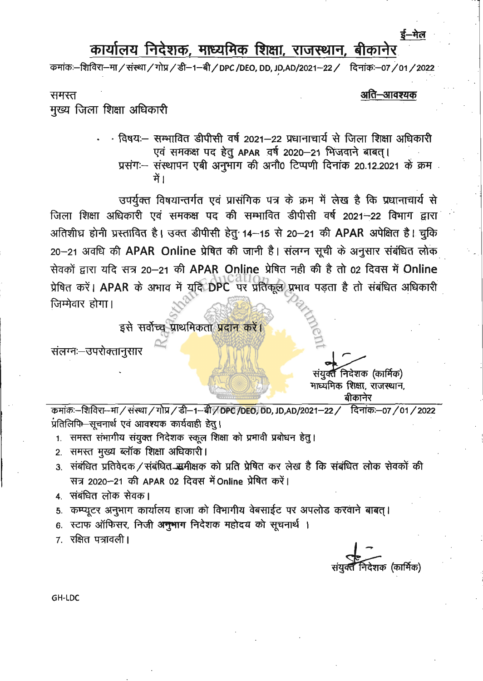## कार्यालय निदेशक, माध्यमिक शिक्षा, राजस्थान, बीकानेर

कमांकः—शिविरा—मा / संस्था / गोप्र / डी—1—बी / DPC /DEO, DD, JD,AD/2021—22 / दिनांकः—07 / 01 / 2022

समस्त

## अति–आवश्यक

मुख्य जिला शिक्षा अधिकारी

· विषयः— सम्भावित डीपीसी वर्ष 2021—22 प्रधानाचार्य से जिला शिक्षा अधिकारी एवं समकक्ष पद हेतु APAR वर्ष 2020-21 भिजवाने बाबत। प्रसंग :- संस्थापन एबी अनुभाग की अनौ0 टिप्पणी दिनांक 20.12.2021 के क्रम में 1

उपर्युक्त विषयान्तर्गत एवं प्रासंगिक पत्र के क्रम में लेख है कि प्रधानाचार्य से जिला शिक्षा अधिकारी एवं समकक्ष पद की सम्भावित डीपीसी वर्ष 2021-22 विभाग द्वारा अतिशीघ्र होनी प्रस्तावित है। उक्त डीपीसी हेतु 14-15 से 20-21 की APAR अपेक्षित है। चुकि 20-21 अवधि की APAR Online प्रेषित की जानी है। संलग्न सूची के अनुसार संबंधित लोक सेवकों द्वारा यदि सत्र 20-21 की APAR Online प्रेषित नही की है तो 02 दिवस में Online प्रेषित करें। APAR के अभाव में युद्धि DPC पर प्रतिकूल प्रभाव पड़ता है तो संबंधित अधिकारी जिम्मेवार होगा।

इसे सर्वोच्च प्राथमिकता प्रदान करें।

संलग्नः-उपरोक्तानुसार

कमांकः–शिविरा–मा / संस्था / गोप्र / डी–1–बी / DPC /DEO, DD, JD,AD/2021–22 / दिनांकः–07 / 01 / 2022 प्रतिलिपि सचनार्थ एवं आवश्यक कार्यवाही हेत।

1. समस्त संभागीय संयुक्त निदेशक स्कूल शिक्षा को प्रभावी प्रबोधन हेतु।

- 2. समस्त मुख्य ब्लॉक शिक्षा अधिकारी।
- 3. संबंधित प्रतिवेदक / संबंधित मुमीक्षक को प्रति प्रेषित कर लेख है कि संबंधित लोक सेवकों की सत्र 2020-21 की APAR 02 दिवस में Online प्रेषित करें।
- 4 संबंधित लोक सेवक।
- 5. कम्प्यूटर अनुभाग कार्यालय हाजा को विभागीय वेबसाईट पर अपलोड करवाने बाबत।
- 6. स्टाफ ऑफिसर, निजी अनुभाग निदेशक महोदय को सूचनार्थ ।

7 रक्षित पत्रावली।

शक (कार्मिक)

संयुक्त निदेशक (कार्मिक) माध्यमिक शिक्षा, राजस्थान, बीकानेर

GH-LDC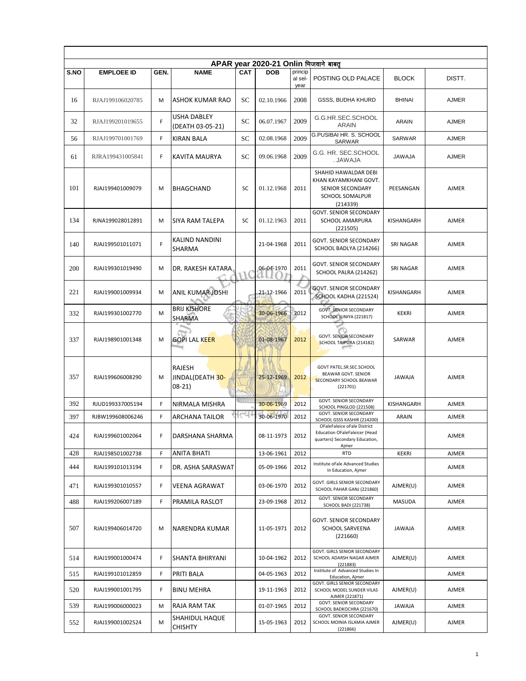|      |                   |      |                                        |               | APAR year 2020-21 Onlin भिजवाने बाबत |                            |                                                                                                                |                  |              |  |  |  |  |
|------|-------------------|------|----------------------------------------|---------------|--------------------------------------|----------------------------|----------------------------------------------------------------------------------------------------------------|------------------|--------------|--|--|--|--|
| S.NO | <b>EMPLOEE ID</b> | GEN. | <b>NAME</b>                            | <b>CAT</b>    | <b>DOB</b>                           | princip<br>al sel-<br>year | POSTING OLD PALACE                                                                                             | <b>BLOCK</b>     | DISTT.       |  |  |  |  |
| 16   | RJAJ199106020785  | M    | <b>ASHOK KUMAR RAO</b>                 | SC            | 02.10.1966                           | 2008                       | GSSS, BUDHA KHURD                                                                                              | <b>BHINAI</b>    | <b>AJMER</b> |  |  |  |  |
| 32   | RJAJ199201019655  | F    | USHA DABLEY<br>(DEATH 03-05-21)        | SC            | 06.07.1967                           | 2009                       | G.G.HR.SEC.SCHOOL<br><b>ARAIN</b>                                                                              | ARAIN            | <b>AJMER</b> |  |  |  |  |
| 56   | RJAJ199701001769  | F    | <b>KIRAN BALA</b>                      | SC            | 02.08.1968                           | 2009                       | <b>G.PUSIBAI HR. S. SCHOOL</b><br><b>SARWAR</b>                                                                | <b>SARWAR</b>    | <b>AJMER</b> |  |  |  |  |
| 61   | RJRA199431005841  | F    | KAVITA MAURYA                          | SC            | 09.06.1968                           | 2009                       | G.G. HR. SEC.SCHOOL<br>ALAWAJ.                                                                                 | <b>JAWAJA</b>    | <b>AJMER</b> |  |  |  |  |
| 101  | RJAJ199401009079  | M    | <b>BHAGCHAND</b>                       | <b>SC</b>     | 01.12.1968                           | 2011                       | SHAHID HAWALDAR DEBI<br>KHAN KAYAMKHANI GOVT.<br>SENIOR SECONDARY<br>SCHOOL SOMALPUR<br>(214339)               | PEESANGAN        | <b>AJMER</b> |  |  |  |  |
| 134  | RJNA199028012891  | M    | <b>SIYA RAM TALEPA</b>                 | SC            | 01.12.1963                           | 2011                       | <b>GOVT. SENIOR SECONDARY</b><br>SCHOOL AMARPURA<br>(221505)                                                   | KISHANGARH       | <b>AJMER</b> |  |  |  |  |
| 140  | RJAJ199501011071  | F    | <b>KALIND NANDINI</b><br>SHARMA        |               | 21-04-1968                           | 2011                       | GOVT. SENIOR SECONDARY<br>SCHOOL BADLYA (214266)                                                               | SRI NAGAR        | <b>AJMER</b> |  |  |  |  |
| 200  | RJAJ199301019490  | M    | DR. RAKESH KATARA                      |               | 06-04-1970                           | 2011                       | <b>GOVT. SENIOR SECONDARY</b><br>SCHOOL PALRA (214262)                                                         | <b>SRI NAGAR</b> | <b>AJMER</b> |  |  |  |  |
| 221  | RJAJ199001009934  | M    | ANIL KUMAR JOSHI                       |               | 21-12-1966                           | 2011                       | <b>GOVT. SENIOR SECONDARY</b><br>SCHOOL KADHA (221524)                                                         | KISHANGARH       | <b>AJMER</b> |  |  |  |  |
| 332  | RJAJ199301002770  | M    | <b>BRIJ KISHORE</b><br>SHARMA          |               | 30-06-1966                           | 2012                       | <b>GOVT. SENIOR SECONDARY</b><br>SCHOOL JUNIYA (221817)                                                        | <b>KEKRI</b>     | <b>AJMER</b> |  |  |  |  |
| 337  | RJAJ198901001348  | M    | <b>GOPI LAL KEER</b>                   |               | 01-08-1967                           | 2012                       | <b>GOVT. SENIOR SECONDARY</b><br>SCHOOL TAJPURA (214182)                                                       | SARWAR           | <b>AJMER</b> |  |  |  |  |
| 357  | RJAJ199606008290  | M    | RAJESH<br>JINDAL(DEATH 30-<br>$08-21)$ |               | 25-12-1969                           | 2012                       | GOVT PATEL.SR.SEC.SCHOOL<br>BEAWAR GOVT. SENIOR<br>SECONDARY SCHOOL BEAWAR<br>(221701)                         | <b>JAWAJA</b>    | <b>AJMER</b> |  |  |  |  |
| 392  | RJUD199337005194  | F    | NIRMALA MISHRA                         | <b>CONTIN</b> | 30-06-1969                           | 2012                       | <b>GOVT. SENIOR SECONDARY</b><br>SCHOOL PINGLOD (221508)                                                       | KISHANGARH       | <b>AJMER</b> |  |  |  |  |
| 397  | RJBW199608006246  | F    | ARCHANA TAILOR                         | ירט           | 30-06-1970                           | 2012                       | <b>GOVT. SENIOR SECONDARY</b><br>SCHOOL GSSS KASHIR (214200)                                                   | <b>ARAIN</b>     | <b>AJMER</b> |  |  |  |  |
| 424  | RJAJ199601002064  | F    | DARSHANA SHARMA                        |               | 08-11-1973                           | 2012                       | OFaleFaleice oFale District<br><b>Education OFaleFaleicer (Head</b><br>quarters) Secondary Education,<br>Ajmer |                  | AJMER        |  |  |  |  |
| 428  | RJAJ198501002738  | F    | ANITA BHATI                            |               | 13-06-1961                           | 2012                       | <b>RTD</b>                                                                                                     | <b>KEKRI</b>     | <b>AJMER</b> |  |  |  |  |
| 444  | RJAJ199101013194  | F    | DR. ASHA SARASWAT                      |               | 05-09-1966                           | 2012                       | Institute oFale Advanced Studies<br>In Education, Ajmer                                                        |                  | AJMER        |  |  |  |  |
| 471  | RJAJ199301010557  | F    | VEENA AGRAWAT                          |               | 03-06-1970                           | 2012                       | GOVT. GIRLS SENIOR SECONDARY<br>SCHOOL PAHAR GANJ (221860)                                                     | AJMER(U)         | <b>AJMER</b> |  |  |  |  |
| 488  | RJAJ199206007189  | F    | PRAMILA RASLOT                         |               | 23-09-1968                           | 2012                       | <b>GOVT. SENIOR SECONDARY</b><br><b>SCHOOL BADI (221738)</b>                                                   | <b>MASUDA</b>    | AJMER        |  |  |  |  |
| 507  | RJAJ199406014720  | M    | <b>NARENDRA KUMAR</b>                  |               | 11-05-1971                           | 2012                       | GOVT. SENIOR SECONDARY<br><b>SCHOOL SARVEENA</b><br>(221660)                                                   | <b>JAWAJA</b>    | <b>AJMER</b> |  |  |  |  |
| 514  | RJAJ199001000474  | F    | SHANTA BHIRYANI                        |               | 10-04-1962                           | 2012                       | GOVT. GIRLS SENIOR SECONDARY<br>SCHOOL ADARSH NAGAR AJMER<br>(221883)                                          | AJMER(U)         | <b>AJMER</b> |  |  |  |  |
| 515  | RJAJ199101012859  | F    | PRITI BALA                             |               | 04-05-1963                           | 2012                       | Institute of Advanced Studies In<br>Education, Ajmer                                                           |                  | <b>AJMER</b> |  |  |  |  |
| 520  | RJAJ199001001795  | F    | <b>BINU MEHRA</b>                      |               | 19-11-1963                           | 2012                       | GOVT. GIRLS SENIOR SECONDARY<br>SCHOOL MODEL SUNDER VILAS<br>AJMER (221871)                                    | AJMER(U)         | AJMER        |  |  |  |  |
| 539  | RJAJ199006000023  | M    | RAJA RAM TAK                           |               | 01-07-1965                           | 2012                       | <b>GOVT. SENIOR SECONDARY</b><br>SCHOOL BADKOCHRA (221670)                                                     | <b>JAWAJA</b>    | AJMER        |  |  |  |  |
| 552  | RJAJ199001002524  | M    | SHAHIDUL HAQUE<br><b>CHISHTY</b>       |               | 15-05-1963                           | 2012                       | GOVT. SENIOR SECONDARY<br>SCHOOL MOINIA ISLAMIA AJMER<br>(221866)                                              | AJMER(U)         | AJMER        |  |  |  |  |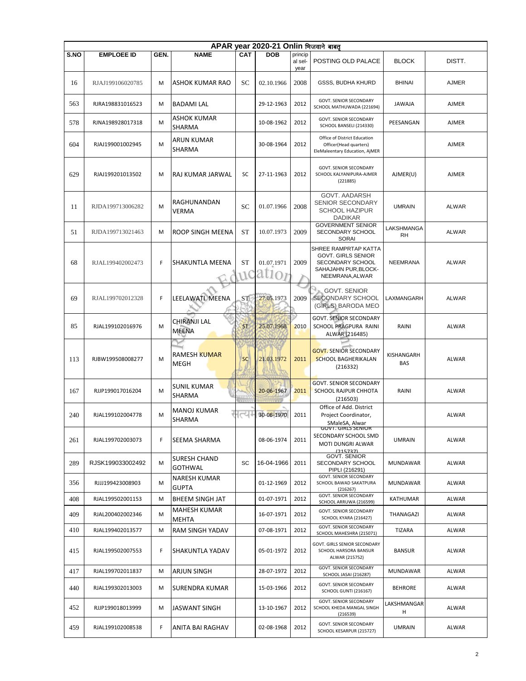|      | APAR year 2020-21 Onlin भिजवाने बाबत |      |                                     |                             |                     |                            |                                                                                                                  |                          |              |  |  |  |  |
|------|--------------------------------------|------|-------------------------------------|-----------------------------|---------------------|----------------------------|------------------------------------------------------------------------------------------------------------------|--------------------------|--------------|--|--|--|--|
| S.NO | <b>EMPLOEE ID</b>                    | GEN. | <b>NAME</b>                         | <b>CAT</b>                  | <b>DOB</b>          | princip<br>al sel-<br>year | POSTING OLD PALACE                                                                                               | <b>BLOCK</b>             | DISTT.       |  |  |  |  |
| 16   | RJAJ199106020785                     | M    | ASHOK KUMAR RAO                     | SC                          | 02.10.1966          | 2008                       | <b>GSSS, BUDHA KHURD</b>                                                                                         | <b>BHINAI</b>            | <b>AJMER</b> |  |  |  |  |
| 563  | RJRA198831016523                     | M    | <b>BADAMI LAL</b>                   |                             | 29-12-1963          | 2012                       | <b>GOVT. SENIOR SECONDARY</b><br>SCHOOL MATHUWADA (221694)                                                       | <b>JAWAJA</b>            | <b>AJMER</b> |  |  |  |  |
| 578  | RJNA198928017318                     | M    | ASHOK KUMAR<br>SHARMA               |                             | 10-08-1962          | 2012                       | GOVT. SENIOR SECONDARY<br>SCHOOL BANSELI (214330)                                                                | PEESANGAN                | <b>AJMER</b> |  |  |  |  |
| 604  | RJAJ199001002945                     | M    | <b>ARUN KUMAR</b><br>SHARMA         |                             | 30-08-1964          | 2012                       | Office of District Education<br>Officer(Head quarters)<br>EleMaleentary Education, AjMER                         |                          | <b>AJMER</b> |  |  |  |  |
| 629  | RJAJ199201013502                     | M    | RAJ KUMAR JARWAL                    | SC                          | 27-11-1963          | 2012                       | GOVT. SENIOR SECONDARY<br>SCHOOL KALYANIPURA-AJMER<br>(221885)                                                   | AJMER(U)                 | <b>AJMER</b> |  |  |  |  |
| 11   | RJDA199713006282                     | M    | RAGHUNANDAN<br><b>VERMA</b>         | SC                          | 01.07.1966          | 2008                       | GOVT. AADARSH<br>SENIOR SECONDARY<br><b>SCHOOL HAZIPUR</b><br><b>DADIKAR</b>                                     | <b>UMRAIN</b>            | <b>ALWAR</b> |  |  |  |  |
| 51   | RJDA199713021463                     | M    | ROOP SINGH MEENA                    | <b>ST</b>                   | 10.07.1973          | 2009                       | <b>GOVERNMENT SENIOR</b><br>SECONDARY SCHOOL<br><b>SORAI</b>                                                     | LAKSHMANGA<br><b>RH</b>  | <b>ALWAR</b> |  |  |  |  |
| 68   | RJAL199402002473                     | F    | SHAKUNTLA MEENA                     | <b>ST</b><br>$\overline{1}$ | 01.07.1971<br>ation | 2009                       | SHREE RAMPRTAP KATTA<br><b>GOVT. GIRLS SENIOR</b><br>SECONDARY SCHOOL<br>SAHAJAHN PUR, BLOCK-<br>NEEMRANA, ALWAR | <b>NEEMRANA</b>          | <b>ALWAR</b> |  |  |  |  |
| 69   | RJAL199702012328                     | F    | LEELAWATI MEENA                     | ST                          | 27.05.1973          | 2009                       | <b>GOVT. SENIOR</b><br>SECONDARY SCHOOL<br>(GIRLS) BARODA MEO                                                    | LAXMANGARH               | <b>ALWAR</b> |  |  |  |  |
| 85   | RJAL199102016976                     | M    | <b>CHIRANJI LAL</b><br><b>MEENA</b> | <b>ST</b>                   | 25.07.1968          | 2010                       | <b>GOVT. SENIOR SECONDARY</b><br>SCHOOL PRAGPURA RAINI<br>ALWAR (216485)                                         | RAINI                    | <b>ALWAR</b> |  |  |  |  |
| 113  | RJBW199508008277                     | M    | <b>RAMESH KUMAR</b><br><b>MEGH</b>  | <b>SC</b>                   | 21.03.1972          | 2011                       | <b>GOVT. SENIOR SECONDARY</b><br><b>SCHOOL BAGHERIKALAN</b><br>(216332)                                          | KISHANGARH<br><b>BAS</b> | <b>ALWAR</b> |  |  |  |  |
| 167  | RJJP199017016204                     | M    | <b>SUNIL KUMAR</b><br>SHARMA        |                             | 20-06-1967          | 2011                       | <b>GOVT. SENIOR SECONDARY</b><br>SCHOOL RAJPUR CHHOTA<br>(216503)                                                | RAINI                    | <b>ALWAR</b> |  |  |  |  |
| 240  | RJAL199102004778                     | M    | MANOJ KUMAR<br>SHARMA               | ط،                          | 30-06-1970          | 2011                       | Office of Add. District<br>Project Coordinator,<br>SMaleSA, Alwar                                                |                          | ALWAR        |  |  |  |  |
| 261  | RJAL199702003073                     | F    | SEEMA SHARMA                        |                             | 08-06-1974          | 2011                       | <b>GOVT. GIRLS SENIOR</b><br>SECONDARY SCHOOL SMD<br>MOTI DUNGRI ALWAR<br>(215737)                               | <b>UMRAIN</b>            | ALWAR        |  |  |  |  |
| 289  | RJSK199033002492                     | М    | SURESH CHAND<br><b>GOTHWAL</b>      | SC                          | 16-04-1966          | 2011                       | <b>GOVT. SENIOR</b><br>SECONDARY SCHOOL<br>PIPLI (216291)                                                        | MUNDAWAR                 | ALWAR        |  |  |  |  |
| 356  | RJJJ199423008903                     | M    | NARESH KUMAR<br>GUPTA               |                             | 01-12-1969          | 2012                       | GOVT. SENIOR SECONDARY<br>SCHOOL BAWAD SAKATPURA<br>(216267)                                                     | MUNDAWAR                 | ALWAR        |  |  |  |  |
| 408  | RJAL199502001153                     | м    | BHEEM SINGH JAT                     |                             | 01-07-1971          | 2012                       | GOVT. SENIOR SECONDARY<br>SCHOOL ARRUWA (216599)                                                                 | KATHUMAR                 | ALWAR        |  |  |  |  |
| 409  | RJAL200402002346                     | м    | <b>MAHESH KUMAR</b><br>MEHTA        |                             | 16-07-1971          | 2012                       | <b>GOVT. SENIOR SECONDARY</b><br>SCHOOL KYARA (216427)                                                           | THANAGAZI                | ALWAR        |  |  |  |  |
| 410  | RJAL199402013577                     | М    | <b>RAM SINGH YADAV</b>              |                             | 07-08-1971          | 2012                       | GOVT. SENIOR SECONDARY<br>SCHOOL MAHESHRA (215071)                                                               | TIZARA                   | <b>ALWAR</b> |  |  |  |  |
| 415  | RJAL199502007553                     | F.   | SHAKUNTLA YADAV                     |                             | 05-01-1972          | 2012                       | GOVT. GIRLS SENIOR SECONDARY<br>SCHOOL HARSORA BANSUR<br>ALWAR (215752)                                          | <b>BANSUR</b>            | <b>ALWAR</b> |  |  |  |  |
| 417  | RJAL199702011837                     | М    | ARJUN SINGH                         |                             | 28-07-1972          | 2012                       | GOVT. SENIOR SECONDARY<br>SCHOOL JASAI (216287)                                                                  | MUNDAWAR                 | ALWAR        |  |  |  |  |
| 440  | RJAL199302013003                     | М    | SURENDRA KUMAR                      |                             | 15-03-1966          | 2012                       | GOVT. SENIOR SECONDARY<br>SCHOOL GUNTI (216167)                                                                  | <b>BEHRORE</b>           | ALWAR        |  |  |  |  |
| 452  | RJJP199018013999                     | М    | JASWANT SINGH                       |                             | 13-10-1967          | 2012                       | <b>GOVT. SENIOR SECONDARY</b><br>SCHOOL KHEDA MANGAL SINGH<br>(216539)                                           | LAKSHMANGAR<br>н         | ALWAR        |  |  |  |  |
| 459  | RJAL199102008538                     | F.   | ANITA BAI RAGHAV                    |                             | 02-08-1968          | 2012                       | GOVT. SENIOR SECONDARY<br>SCHOOL KESARPUR (215727)                                                               | <b>UMRAIN</b>            | ALWAR        |  |  |  |  |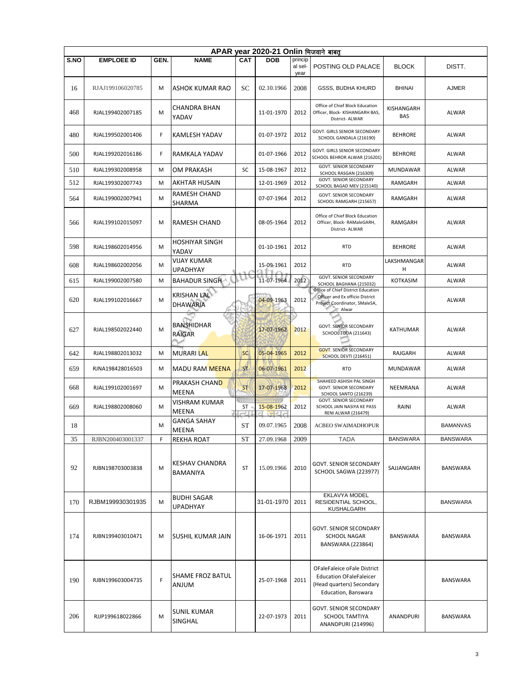|             | APAR year 2020-21 Onlin भिजवाने बाबत् |      |                                          |                    |            |                            |                                                                                                                   |                   |                 |  |  |  |  |
|-------------|---------------------------------------|------|------------------------------------------|--------------------|------------|----------------------------|-------------------------------------------------------------------------------------------------------------------|-------------------|-----------------|--|--|--|--|
| <b>S.NO</b> | <b>EMPLOEE ID</b>                     | GEN. | <b>NAME</b>                              | <b>CAT</b>         | <b>DOB</b> | princip<br>al sel-<br>year | POSTING OLD PALACE                                                                                                | <b>BLOCK</b>      | DISTT.          |  |  |  |  |
| 16          | RJAJ199106020785                      | м    | <b>ASHOK KUMAR RAO</b>                   | SС                 | 02.10.1966 | 2008                       | <b>GSSS, BUDHA KHURD</b>                                                                                          | <b>BHINAI</b>     | AJMER           |  |  |  |  |
| 468         | RJAL199402007185                      | M    | CHANDRA BHAN<br>YADAV                    |                    | 11-01-1970 | 2012                       | Office of Chief Block Education<br>Officer, Block- KISHANGARH BAS,<br>District- ALWAR                             | KISHANGARH<br>BAS | ALWAR           |  |  |  |  |
| 480         | RJAL199502001406                      | F    | KAMLESH YADAV                            |                    | 01-07-1972 | 2012                       | GOVT. GIRLS SENIOR SECONDARY<br>SCHOOL GANDALA (216190)                                                           | <b>BEHRORE</b>    | <b>ALWAR</b>    |  |  |  |  |
| 500         | RJAL199202016186                      | F    | RAMKALA YADAV                            |                    | 01-07-1966 | 2012                       | GOVT. GIRLS SENIOR SECONDARY<br>SCHOOL BEHROR ALWAR (216201)                                                      | <b>BEHRORE</b>    | ALWAR           |  |  |  |  |
| 510         | RJAL199302008958                      | M    | OM PRAKASH                               | SC                 | 15-08-1967 | 2012                       | <b>GOVT. SENIOR SECONDARY</b><br>SCHOOL RASGAN (216309)                                                           | <b>MUNDAWAR</b>   | <b>ALWAR</b>    |  |  |  |  |
| 512         | RJAL199302007743                      | M    | <b>AKHTAR HUSAIN</b>                     |                    | 12-01-1969 | 2012                       | <b>GOVT. SENIOR SECONDARY</b><br>SCHOOL BAGAD MEV (215140)                                                        | RAMGARH           | ALWAR           |  |  |  |  |
| 564         | RJAL199002007941                      | M    | RAMESH CHAND<br>SHARMA                   |                    | 07-07-1964 | 2012                       | GOVT. SENIOR SECONDARY<br>SCHOOL RAMGARH (215657)                                                                 | RAMGARH           | ALWAR           |  |  |  |  |
| 566         | RJAL199102015097                      | M    | <b>RAMESH CHAND</b>                      |                    | 08-05-1964 | 2012                       | Office of Chief Block Education<br>Officer, Block-RAMaleGARH,<br>District- ALWAR                                  | RAMGARH           | ALWAR           |  |  |  |  |
| 598         | RJAL198602014956                      | M    | HOSHIYAR SINGH<br>YADAV                  |                    | 01-10-1961 | 2012                       | <b>RTD</b>                                                                                                        | <b>BEHRORE</b>    | <b>ALWAR</b>    |  |  |  |  |
| 608         | RJAL198602002056                      | M    | <b>VIJAY KUMAR</b><br><b>UPADHYAY</b>    |                    | 15-09-1961 | 2012                       | <b>RTD</b>                                                                                                        | LAKSHMANGAR<br>н  | ALWAR           |  |  |  |  |
| 615         | RJAL199002007580                      | M    | <b>BAHADUR SINGHA</b>                    |                    | 11-07-1964 | 2012                       | <b>GOVT. SENIOR SECONDARY</b><br>SCHOOL BAGHANA (215032)                                                          | <b>KOTKASIM</b>   | <b>ALWAR</b>    |  |  |  |  |
| 620         | RJAL199102016667                      | M    | <b>KRISHAN LAL</b><br><b>DHAWARIA</b>    |                    | 04-09-1963 | 2012                       | Office of Chief District Education<br>Officer and Ex officio District<br>Project Coordinator, SMaleSA,<br>Alwar   |                   | ALWAR           |  |  |  |  |
| 627         | RJAL198502022440                      | M    | <b>BANSHIDHAR</b><br>RAIGAR              |                    | 17-07-1962 | 2012                       | <b>GOVT. SENIOR SECONDARY</b><br><b>SCHOOL TODA (211643)</b>                                                      | <b>KATHUMAR</b>   | ALWAR           |  |  |  |  |
| 642         | RJAL198802013032                      | M    | <b>MURARI LAL</b>                        | <b>SC</b>          | 05-04-1965 | 2012                       | <b>GOVT. SENIOR SECONDARY</b><br><b>SCHOOL DEVTI (216451)</b>                                                     | RAJGARH           | ALWAR           |  |  |  |  |
| 659         | RJNA198428016503                      | М    | <b>MADU RAM MEENA</b>                    | <b>ST</b>          | 06-07-1961 | 2012                       | <b>RTD</b>                                                                                                        | MUNDAWAR          | ALWAR           |  |  |  |  |
| 668         | RJAL199102001697                      | М    | PRAKASH CHAND<br>MEENA                   | <b>ST</b>          | 17-07-1968 | 2012                       | SHAHEED ASHISH PAL SINGH<br>GOVT. SENIOR SECONDARY<br>SCHOOL SANTO (216239)                                       | <b>NEEMRANA</b>   | ALWAR           |  |  |  |  |
| 669         | RJAL198802008060                      | M    | VISHRAM KUMAR<br>MEENA                   | 11111<br>ST<br>mU. | 15-08-1962 | 2012                       | <b>GOVT. SENIOR SECONDARY</b><br>SCHOOL JAIN NASIYA KE PASS<br><b>RENI ALWAR (216479)</b>                         | RAINI             | ALWAR           |  |  |  |  |
| 18          |                                       | м    | <b>GANGA SAHAY</b><br>MEENA              | <b>ST</b>          | 09.07.1965 | 2008                       | ACBEO SWAIMADHOPUR                                                                                                |                   | <b>BAMANVAS</b> |  |  |  |  |
| 35          | RJBN200403001337                      | F    | REKHA ROAT                               | <b>ST</b>          | 27.09.1968 | 2009                       | <b>TADA</b>                                                                                                       | <b>BANSWARA</b>   | <b>BANSWARA</b> |  |  |  |  |
| 92          | RJBN198703003838                      | M    | <b>KESHAV CHANDRA</b><br><b>BAMANIYA</b> | ST                 | 15.09.1966 | 2010                       | <b>GOVT. SENIOR SECONDARY</b><br>SCHOOL SAGWA (223977)                                                            | SAJJANGARH        | BANSWARA        |  |  |  |  |
| 170         | RJBM199930301935                      | M    | <b>BUDHI SAGAR</b><br><b>UPADHYAY</b>    |                    | 31-01-1970 | 2011                       | EKLAVYA MODEL<br>RESIDENTIAL SCHOOL,<br>KUSHALGARH                                                                |                   | <b>BANSWARA</b> |  |  |  |  |
| 174         | RJBN199403010471                      | M    | İSUSHIL KUMAR JAIN                       |                    | 16-06-1971 | 2011                       | <b>GOVT. SENIOR SECONDARY</b><br><b>SCHOOL NAGAR</b><br>BANSWARA (223864)                                         | <b>BANSWARA</b>   | <b>BANSWARA</b> |  |  |  |  |
| 190         | RJBN199603004735                      | F    | SHAME FROZ BATUL<br><b>ANJUM</b>         |                    | 25-07-1968 | 2011                       | OFaleFaleice oFale District<br><b>Education OFaleFaleicer</b><br>(Head quarters) Secondary<br>Education, Banswara |                   | BANSWARA        |  |  |  |  |
| 206         | RJJP199618022866                      | M    | <b>SUNIL KUMAR</b><br>SINGHAL            |                    | 22-07-1973 | 2011                       | <b>GOVT. SENIOR SECONDARY</b><br><b>SCHOOL TAMTIYA</b><br><b>ANANDPURI (214996)</b>                               | ANANDPURI         | BANSWARA        |  |  |  |  |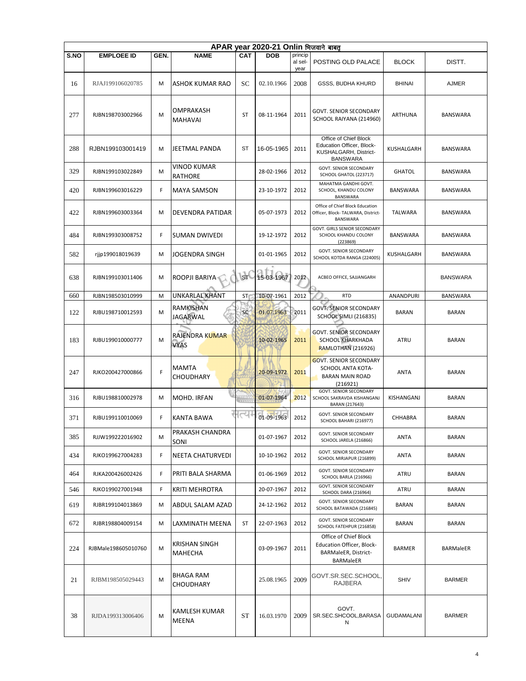|      | APAR year 2020-21 Onlin भिजवाने बाबत् |      |                                      |            |            |                 |                                                                                                |                   |                  |  |  |  |  |
|------|---------------------------------------|------|--------------------------------------|------------|------------|-----------------|------------------------------------------------------------------------------------------------|-------------------|------------------|--|--|--|--|
| S.NO | <b>EMPLOEE ID</b>                     | GEN. | <b>NAME</b>                          | <b>CAT</b> | <b>DOB</b> | princip         |                                                                                                |                   |                  |  |  |  |  |
|      |                                       |      |                                      |            |            | al sel-<br>year | POSTING OLD PALACE                                                                             | <b>BLOCK</b>      | DISTT.           |  |  |  |  |
| 16   | RJAJ199106020785                      | M    | ASHOK KUMAR RAO                      | SC         | 02.10.1966 | 2008            | GSSS, BUDHA KHURD                                                                              | <b>BHINAI</b>     | AJMER            |  |  |  |  |
| 277  | RJBN198703002966                      | M    | OMPRAKASH<br><b>MAHAVAI</b>          | ST         | 08-11-1964 | 2011            | <b>GOVT. SENIOR SECONDARY</b><br>SCHOOL RAIYANA (214960)                                       | ARTHUNA           | BANSWARA         |  |  |  |  |
| 288  | RJBN199103001419                      | M    | JEETMAL PANDA                        | ST         | 16-05-1965 | 2011            | Office of Chief Block<br>Education Officer, Block-<br>KUSHALGARH, District-<br><b>BANSWARA</b> | KUSHALGARH        | BANSWARA         |  |  |  |  |
| 329  | RJBN199103022849                      | M    | <b>VINOD KUMAR</b><br><b>RATHORE</b> |            | 28-02-1966 | 2012            | <b>GOVT. SENIOR SECONDARY</b><br>SCHOOL GHATOL (223717)                                        | <b>GHATOL</b>     | <b>BANSWARA</b>  |  |  |  |  |
| 420  | RJBN199603016229                      | F    | <b>MAYA SAMSON</b>                   |            | 23-10-1972 | 2012            | MAHATMA GANDHI GOVT.<br>SCHOOL, KHANDU COLONY<br>BANSWARA                                      | <b>BANSWARA</b>   | BANSWARA         |  |  |  |  |
| 422  | RJBN199603003364                      | М    | DEVENDRA PATIDAR                     |            | 05-07-1973 | 2012            | Office of Chief Block Education<br>Officer, Block- TALWARA, District-<br><b>BANSWARA</b>       | <b>TALWARA</b>    | BANSWARA         |  |  |  |  |
| 484  | RJBN199303008752                      | F    | <b>SUMAN DWIVEDI</b>                 |            | 19-12-1972 | 2012            | GOVT. GIRLS SENIOR SECONDARY<br>SCHOOL KHANDU COLONY<br>(223869)                               | BANSWARA          | BANSWARA         |  |  |  |  |
| 582  | rjjp199018019639                      | М    | <b>JOGENDRA SINGH</b>                |            | 01-01-1965 | 2012            | <b>GOVT. SENIOR SECONDARY</b><br>SCHOOL KOTDA RANGA (224005)                                   | KUSHALGARH        | <b>BANSWARA</b>  |  |  |  |  |
| 638  | RJBN199103011406                      | M    | ROOPJI BARIYA                        | <b>ST</b>  | 15-03-1967 | 2012            | ACBEO OFFICE, SAJJANGARH                                                                       |                   | <b>BANSWARA</b>  |  |  |  |  |
| 660  | RJBN198503010999                      | M    | UNKARLAL KHANT                       | ST         | 10-07-1961 | 2012            | <b>RTD</b>                                                                                     | ANANDPURI         | BANSWARA         |  |  |  |  |
| 122  | RJBU198710012593                      | M    | RAMKISHAN<br><b>JAGARWAL</b>         | <b>SC</b>  | 01.07.1963 | 2011            | <b>GOVT. SENIOR SECONDARY</b><br><b>SCHOOL SIMLI (216835)</b>                                  | BARAN             | <b>BARAN</b>     |  |  |  |  |
| 183  | RJBU199010000777                      | M    | RAJENDRA KUMAR<br><b>VYAS</b>        |            | 10-02-1965 | 2011            | <b>GOVT. SENIOR SECONDARY</b><br><b>SCHOOL KHARKHADA</b><br><b>RAMLOTHAN (216926)</b>          | <b>ATRU</b>       | <b>BARAN</b>     |  |  |  |  |
| 247  | RJKO200427000866                      | F    | <b>MAMTA</b><br>CHOUDHARY            |            | 20-09-1972 | 2011            | <b>GOVT. SENIOR SECONDARY</b><br>SCHOOL ANTA KOTA-<br><b>BARAN MAIN ROAD</b><br>(216921)       | <b>ANTA</b>       | <b>BARAN</b>     |  |  |  |  |
| 316  | RJBU198810002978                      | М    | MOHD. IRFAN                          | ₩₩         | 01-07-1964 | 2012            | <b>GOVT. SENIOR SECONDARY</b><br>SCHOOL SAKRAVDA KISHANGANJ<br>BARAN (217643)                  | KISHANGANJ        | <b>BARAN</b>     |  |  |  |  |
| 371  | RJBU199110010069                      | F    | KANTA BAWA                           | त्य        | 01-09-1963 | 2012            | <b>GOVT. SENIOR SECONDARY</b><br>SCHOOL BAHARI (216977)                                        | CHHABRA           | <b>BARAN</b>     |  |  |  |  |
| 385  | RJJW199222016902                      | М    | PRAKASH CHANDRA<br>SONI              |            | 01-07-1967 | 2012            | <b>GOVT. SENIOR SECONDARY</b><br>SCHOOL JARELA (216866)                                        | <b>ANTA</b>       | <b>BARAN</b>     |  |  |  |  |
| 434  | RJKO199627004283                      | F.   | NEETA CHATURVEDI                     |            | 10-10-1962 | 2012            | GOVT. SENIOR SECONDARY<br>SCHOOL MIRJAPUR (216899)                                             | <b>ANTA</b>       | BARAN            |  |  |  |  |
| 464  | RJKA200426002426                      | F.   | PRITI BALA SHARMA                    |            | 01-06-1969 | 2012            | GOVT. SENIOR SECONDARY<br>SCHOOL BARLA (216966)                                                | ATRU              | BARAN            |  |  |  |  |
| 546  | RJKO199027001948                      | F    | KRITI MEHROTRA                       |            | 20-07-1967 | 2012            | <b>GOVT. SENIOR SECONDARY</b><br>SCHOOL DARA (216964)                                          | ATRU              | <b>BARAN</b>     |  |  |  |  |
| 619  | RJBR199104013869                      | М    | ABDUL SALAM AZAD                     |            | 24-12-1962 | 2012            | GOVT. SENIOR SECONDARY<br>SCHOOL BATAWADA (216845)                                             | <b>BARAN</b>      | BARAN            |  |  |  |  |
| 672  | RJBR198804009154                      | М    | LAXMINATH MEENA                      | ST         | 22-07-1963 | 2012            | GOVT. SENIOR SECONDARY<br>SCHOOL FATEHPUR (216858)                                             | <b>BARAN</b>      | BARAN            |  |  |  |  |
| 224  | RJBMale198605010760                   | М    | <b>KRISHAN SINGH</b><br>MAHECHA      |            | 03-09-1967 | 2011            | Office of Chief Block<br>Education Officer, Block-<br>BARMaleER, District-<br><b>BARMaleER</b> | <b>BARMER</b>     | <b>BARMaleER</b> |  |  |  |  |
| 21   | RJBM198505029443                      | М    | <b>BHAGA RAM</b><br><b>CHOUDHARY</b> |            | 25.08.1965 | 2009            | GOVT.SR.SEC.SCHOOL,<br>RAJBERA                                                                 | <b>SHIV</b>       | <b>BARMER</b>    |  |  |  |  |
| 38   | RJDA199313006406                      | М    | KAMLESH KUMAR<br>MEENA               | ST         | 16.03.1970 | 2009            | GOVT.<br>SR.SEC.SHCOOL, BARASA<br>N                                                            | <b>GUDAMALANI</b> | <b>BARMER</b>    |  |  |  |  |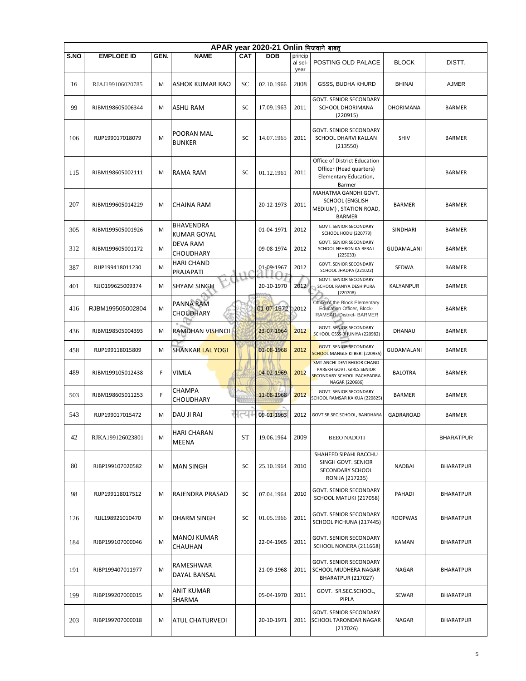|      | APAR year 2020-21 Onlin भिजवाने बाबत |      |                                        |            |            |                            |                                                                                                                |                   |                  |  |  |  |  |
|------|--------------------------------------|------|----------------------------------------|------------|------------|----------------------------|----------------------------------------------------------------------------------------------------------------|-------------------|------------------|--|--|--|--|
| S.NO | <b>EMPLOEE ID</b>                    | GEN. | <b>NAME</b>                            | <b>CAT</b> | <b>DOB</b> | princip<br>al sel-<br>year | POSTING OLD PALACE                                                                                             | <b>BLOCK</b>      | DISTT.           |  |  |  |  |
| 16   | RJAJ199106020785                     | M    | ASHOK KUMAR RAO                        | SC         | 02.10.1966 | 2008                       | <b>GSSS, BUDHA KHURD</b>                                                                                       | <b>BHINAI</b>     | <b>AJMER</b>     |  |  |  |  |
| 99   | RJBM198605006344                     | м    | ASHU RAM                               | SC         | 17.09.1963 | 2011                       | <b>GOVT. SENIOR SECONDARY</b><br>SCHOOL DHORIMANA<br>(220915)                                                  | DHORIMANA         | BARMER           |  |  |  |  |
| 106  | RJJP199017018079                     | M    | POORAN MAL<br><b>BUNKER</b>            | SC         | 14.07.1965 | 2011                       | GOVT. SENIOR SECONDARY<br>SCHOOL DHARVI KALLAN<br>(213550)                                                     | <b>SHIV</b>       | <b>BARMER</b>    |  |  |  |  |
| 115  | RJBM198605002111                     | M    | RAMA RAM                               | SC         | 01.12.1961 | 2011                       | Office of District Education<br>Officer (Head quarters)<br>Elementary Education,<br>Barmer                     |                   | <b>BARMER</b>    |  |  |  |  |
| 207  | RJBM199605014229                     | M    | <b>CHAINA RAM</b>                      |            | 20-12-1973 | 2011                       | MAHATMA GANDHI GOVT.<br><b>SCHOOL (ENGLISH</b><br>MEDIUM), STATION ROAD,<br><b>BARMER</b>                      | <b>BARMER</b>     | <b>BARMER</b>    |  |  |  |  |
| 305  | RJBM199505001926                     | М    | <b>BHAVENDRA</b><br><b>KUMAR GOYAL</b> |            | 01-04-1971 | 2012                       | <b>GOVT. SENIOR SECONDARY</b><br>SCHOOL HODU (220779)                                                          | SINDHARI          | <b>BARMER</b>    |  |  |  |  |
| 312  | RJBM199605001172                     | М    | <b>DEVA RAM</b><br><b>CHOUDHARY</b>    |            | 09-08-1974 | 2012                       | <b>GOVT. SENIOR SECONDARY</b><br>SCHOOL NEHRON KA BERA I<br>(225033)                                           | <b>GUDAMALANI</b> | <b>BARMER</b>    |  |  |  |  |
| 387  | RJJP199418011230                     | M    | <b>HARI CHAND</b><br>PRAJAPATI         | ٦.         | 01-09-1967 | 2012                       | <b>GOVT. SENIOR SECONDARY</b><br>SCHOOL JHADPA (221022)                                                        | SEDWA             | <b>BARMER</b>    |  |  |  |  |
| 401  | RJJO199625009374                     | М    | <b>SHYAM SINGH</b>                     | ◡          | 20-10-1970 | 2012                       | <b>GOVT. SENIOR SECONDARY</b><br>SCHOOL RANIYA DESHIPURA<br>(220708)                                           | KALYANPUR         | <b>BARMER</b>    |  |  |  |  |
| 416  | RJBM199505002804                     | M    | PANNA RAM<br>CHOUDHARY                 |            | 01-07-1972 | 2012                       | Office of the Block Elementary<br>Education Officer, Block-<br>RAMSAR, District-BARMER                         |                   | <b>BARMER</b>    |  |  |  |  |
| 436  | RJBM198505004393                     | М    | RAMDHAN VISHNOI                        |            | 23-07-1964 | 2012                       | <b>GOVT. SENIOR SECONDARY</b><br>SCHOOL GSSS BHUNIYA (220982)                                                  | DHANAU            | <b>BARMER</b>    |  |  |  |  |
| 458  | RJJP199118015809                     | М    | <b>SHANKAR LAL YOGI</b>                |            | 01-08-1968 | 2012                       | <b>GOVT. SENIOR SECONDARY</b><br>SCHOOL MANGLE KI BERI (220935)                                                | GUDAMALANI        | BARMER           |  |  |  |  |
| 489  | RJBM199105012438                     | F    | <b>VIMLA</b>                           |            | 04-02-1969 | 2012                       | SMT ANCHI DEVI BHOOR CHAND<br>PAREKH GOVT. GIRLS SENIOR<br><b>SECONDARY SCHOOL PACHPADRA</b><br>NAGAR (220686) | <b>BALOTRA</b>    | BARMER           |  |  |  |  |
| 503  | RJBM198605011253                     | F    | CHAMPA<br><b>CHOUDHARY</b>             | 11111      | 11-08-1968 | 2012                       | <b>GOVT. SENIOR SECONDARY</b><br>SCHOOL RAMSAR KA KUA (220825)                                                 | <b>BARMER</b>     | <b>BARMER</b>    |  |  |  |  |
| 543  | RJJP199017015472                     | M    | DAU JI RAI                             | r          | 09-01-1963 | 2012                       | GOVT.SR.SEC.SCHOOL, BANDHARA                                                                                   | GADRAROAD         | <b>BARMER</b>    |  |  |  |  |
| 42   | RJKA199126023801                     | M    | <b>HARI CHARAN</b><br>MEENA            | ST         | 19.06.1964 | 2009                       | <b>BEEO NADOTI</b>                                                                                             |                   | <b>BHARATPUR</b> |  |  |  |  |
| 80   | RJBP199107020582                     | M    | <b>MAN SINGH</b>                       | SC         | 25.10.1964 | 2010                       | SHAHEED SIPAHI BACCHU<br>SINGH GOVT. SENIOR<br>SECONDARY SCHOOL<br>RONIJA (217235)                             | NADBAI            | <b>BHARATPUR</b> |  |  |  |  |
| 98   | RJJP199118017512                     | М    | RAJENDRA PRASAD                        | SC         | 07.04.1964 | 2010                       | <b>GOVT. SENIOR SECONDARY</b><br>SCHOOL MATUKI (217058)                                                        | PAHADI            | <b>BHARATPUR</b> |  |  |  |  |
| 126  | RJJL198921010470                     | M    | DHARM SINGH                            | SC         | 01.05.1966 | 2011                       | <b>GOVT. SENIOR SECONDARY</b><br>SCHOOL PICHUNA (217445)                                                       | <b>ROOPWAS</b>    | <b>BHARATPUR</b> |  |  |  |  |
| 184  | RJBP199107000046                     | M    | <b>MANOJ KUMAR</b><br>CHAUHAN          |            | 22-04-1965 | 2011                       | <b>GOVT. SENIOR SECONDARY</b><br>SCHOOL NONERA (211668)                                                        | KAMAN             | <b>BHARATPUR</b> |  |  |  |  |
| 191  | RJBP199407011977                     | M    | RAMESHWAR<br>DAYAL BANSAL              |            | 21-09-1968 | 2011                       | GOVT. SENIOR SECONDARY<br>SCHOOL MUDHERA NAGAR<br>BHARATPUR (217027)                                           | <b>NAGAR</b>      | <b>BHARATPUR</b> |  |  |  |  |
| 199  | RJBP199207000015                     | M    | <b>ANIT KUMAR</b><br>SHARMA            |            | 05-04-1970 | 2011                       | GOVT. SR.SEC.SCHOOL,<br><b>PIPLA</b>                                                                           | <b>SEWAR</b>      | <b>BHARATPUR</b> |  |  |  |  |
| 203  | RJBP199707000018                     | M    | ATUL CHATURVEDI                        |            | 20-10-1971 | 2011                       | GOVT. SENIOR SECONDARY<br>SCHOOL TARONDAR NAGAR<br>(217026)                                                    | <b>NAGAR</b>      | <b>BHARATPUR</b> |  |  |  |  |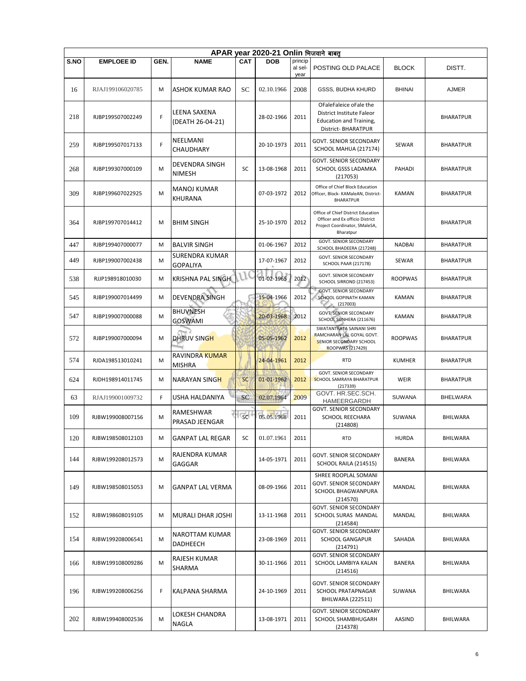|      | APAR year 2020-21 Onlin भिजवाने बाबत |      |                                   |            |            |                            |                                                                                                                     |                |                  |  |  |  |  |
|------|--------------------------------------|------|-----------------------------------|------------|------------|----------------------------|---------------------------------------------------------------------------------------------------------------------|----------------|------------------|--|--|--|--|
| S.NO | <b>EMPLOEE ID</b>                    | GEN. | <b>NAME</b>                       | <b>CAT</b> | <b>DOB</b> | princip<br>al sel-<br>year | POSTING OLD PALACE                                                                                                  | <b>BLOCK</b>   | DISTT.           |  |  |  |  |
| 16   | RJAJ199106020785                     | M    | <b>ASHOK KUMAR RAO</b>            | SC         | 02.10.1966 | 2008                       | GSSS, BUDHA KHURD                                                                                                   | <b>BHINAI</b>  | <b>AJMER</b>     |  |  |  |  |
| 218  | RJBP199507002249                     | F    | LEENA SAXENA<br>(DEATH 26-04-21)  |            | 28-02-1966 | 2011                       | OFaleFaleice oFale the<br>District Institute Faleor<br>Education and Training,<br>District- BHARATPUR               |                | <b>BHARATPUR</b> |  |  |  |  |
| 259  | RJBP199507017133                     | F    | NEELMANI<br>CHAUDHARY             |            | 20-10-1973 | 2011                       | <b>GOVT. SENIOR SECONDARY</b><br>SCHOOL MAHUA (217174)                                                              | <b>SEWAR</b>   | <b>BHARATPUR</b> |  |  |  |  |
| 268  | RJBP199307000109                     | M    | DEVENDRA SINGH<br><b>NIMESH</b>   | SC         | 13-08-1968 | 2011                       | <b>GOVT. SENIOR SECONDARY</b><br>SCHOOL GSSS LADAMKA<br>(217053)                                                    | PAHADI         | BHARATPUR        |  |  |  |  |
| 309  | RJBP199607022925                     | M    | <b>MANOJ KUMAR</b><br>KHURANA     |            | 07-03-1972 | 2012                       | Office of Chief Block Education<br>Officer, Block- KAMaleAN, District-<br><b>BHARATPUR</b>                          | KAMAN          | <b>BHARATPUR</b> |  |  |  |  |
| 364  | RJBP199707014412                     | M    | <b>BHIM SINGH</b>                 |            | 25-10-1970 | 2012                       | Office of Chief District Education<br>Officer and Ex officio District<br>Project Coordinator, SMaleSA,<br>Bharatpur |                | <b>BHARATPUR</b> |  |  |  |  |
| 447  | RJBP199407000077                     | M    | <b>BALVIR SINGH</b>               |            | 01-06-1967 | 2012                       | GOVT. SENIOR SECONDARY<br>SCHOOL BHADEERA (217248)                                                                  | <b>NADBAI</b>  | <b>BHARATPUR</b> |  |  |  |  |
| 449  | RJBP199007002438                     | M    | SURENDRA KUMAR<br><b>GOPALIYA</b> |            | 17-07-1967 | 2012                       | GOVT. SENIOR SECONDARY<br><b>SCHOOL PAAR (217178)</b>                                                               | SEWAR          | BHARATPUR        |  |  |  |  |
| 538  | RJJP198918010030                     | M    | <b>KRISHNA PAL SINGH</b>          | J (        | 01-02-1965 | 2012                       | <b>GOVT. SENIOR SECONDARY</b><br>SCHOOL SIRROND (217453)<br><b>GOVT, SENIOR SECONDARY</b>                           | <b>ROOPWAS</b> | <b>BHARATPUR</b> |  |  |  |  |
| 545  | RJBP199007014499                     | M    | <b>DEVENDRA SINGH</b>             |            | 15-04-1966 | 2012                       | SCHOOL GOPINATH KAMAN<br>(217003)                                                                                   | KAMAN          | BHARATPUR        |  |  |  |  |
| 547  | RJBP199007000088                     | M    | <b>BHUVNESH</b><br><b>GOSWAMI</b> |            | 20-03-1968 | 2012                       | <b>GOVT. SENIOR SECONDARY</b><br>SCHOOL SUNHERA (211676)<br>SWATANTRATA SAINANI SHRI                                | KAMAN          | <b>BHARATPUR</b> |  |  |  |  |
| 572  | RJBP199007000094                     | M    | DHRUV SINGH                       |            | 05-05-1962 | 2012                       | RAMCHARAN LAL GOYAL GOVT.<br>SENIOR SECONDARY SCHOOL<br>ROOPWAS (217429)                                            | <b>ROOPWAS</b> | <b>BHARATPUR</b> |  |  |  |  |
| 574  | RJDA198513010241                     | M    | RAVINDRA KUMAR<br><b>MISHRA</b>   |            | 24-04-1961 | 2012                       | <b>RTD</b>                                                                                                          | <b>KUMHER</b>  | <b>BHARATPUR</b> |  |  |  |  |
| 624  | RJDH198914011745                     | M    | NARAYAN SINGH                     | <b>SC</b>  | 01-01-1962 | 2012                       | GOVT. SENIOR SECONDARY<br>SCHOOL SAMRAYA BHARATPUR<br>(217339)                                                      | WEIR           | <b>BHARATPUR</b> |  |  |  |  |
| 63   | RJAJ199001009732                     | F    | USHA HALDANIYA                    | SC         | 02.07.1964 | 2009                       | GOVT. HR.SEC.SCH.<br>HAMEERGARDH                                                                                    | <b>SUWANA</b>  | BHELWARA         |  |  |  |  |
| 109  | RJBW199008007156                     | M    | RAMESHWAR<br>PRASAD JEENGAR       | <b>SC</b>  | 05.05.1968 | 2011                       | GOVT. SENIOR SECONDARY<br><b>SCHOOL REECHARA</b><br>(214808)                                                        | <b>SUWANA</b>  | BHILWARA         |  |  |  |  |
| 120  | RJBW198508012103                     | м    | <b>GANPAT LAL REGAR</b>           | SC         | 01.07.1961 | 2011                       | <b>RTD</b>                                                                                                          | <b>HURDA</b>   | BHILWARA         |  |  |  |  |
| 144  | RJBW199208012573                     | M    | RAJENDRA KUMAR<br>GAGGAR          |            | 14-05-1971 | 2011                       | GOVT. SENIOR SECONDARY<br>SCHOOL RAILA (214515)                                                                     | <b>BANERA</b>  | BHILWARA         |  |  |  |  |
| 149  | RJBW198508015053                     | M    | <b>GANPAT LAL VERMA</b>           |            | 08-09-1966 | 2011                       | SHREE ROOPLAL SOMANI<br>GOVT. SENIOR SECONDARY<br>SCHOOL BHAGWANPURA<br>(214570)                                    | MANDAL         | <b>BHILWARA</b>  |  |  |  |  |
| 152  | RJBW198608019105                     | м    | MURALI DHAR JOSHI                 |            | 13-11-1968 | 2011                       | <b>GOVT. SENIOR SECONDARY</b><br>SCHOOL SURAS MANDAL<br>(214584)                                                    | MANDAL         | BHILWARA         |  |  |  |  |
| 154  | RJBW199208006541                     | M    | NAROTTAM KUMAR<br>DADHEECH        |            | 23-08-1969 | 2011                       | GOVT. SENIOR SECONDARY<br>SCHOOL GANGAPUR<br>(214791)                                                               | SAHADA         | <b>BHILWARA</b>  |  |  |  |  |
| 166  | RJBW199108009286                     | M    | RAJESH KUMAR<br>SHARMA            |            | 30-11-1966 | 2011                       | <b>GOVT. SENIOR SECONDARY</b><br>SCHOOL LAMBIYA KALAN<br>(214516)                                                   | BANERA         | BHILWARA         |  |  |  |  |
| 196  | RJBW199208006256                     | F    | KALPANA SHARMA                    |            | 24-10-1969 | 2011                       | GOVT. SENIOR SECONDARY<br><b>SCHOOL PRATAPNAGAR</b><br>BHILWARA (222511)                                            | SUWANA         | BHILWARA         |  |  |  |  |
| 202  | RJBW199408002536                     | M    | LOKESH CHANDRA<br>NAGLA           |            | 13-08-1971 | 2011                       | GOVT. SENIOR SECONDARY<br>SCHOOL SHAMBHUGARH<br>(214378)                                                            | AASIND         | BHILWARA         |  |  |  |  |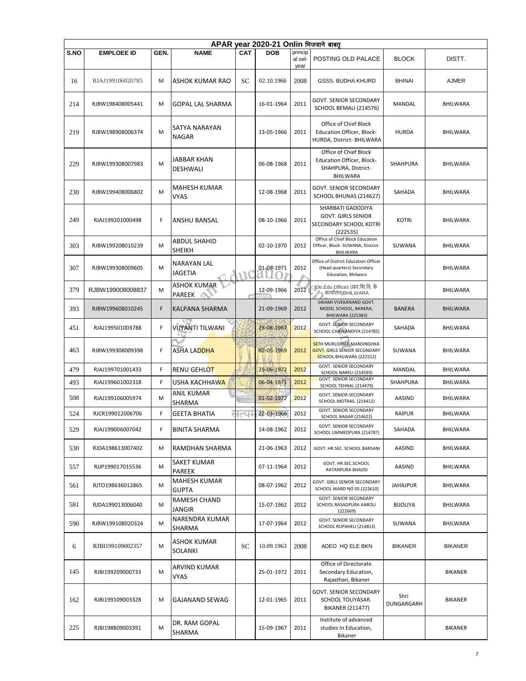|      | APAR year 2020-21 Onlin भिजवाने बाबत् |      |                                         |            |            |                            |                                                                                                     |                    |                 |  |  |  |  |
|------|---------------------------------------|------|-----------------------------------------|------------|------------|----------------------------|-----------------------------------------------------------------------------------------------------|--------------------|-----------------|--|--|--|--|
| S.NO | <b>EMPLOEE ID</b>                     | GEN. | <b>NAME</b>                             | <b>CAT</b> | <b>DOB</b> | princip<br>al sel-<br>year | POSTING OLD PALACE                                                                                  | <b>BLOCK</b>       | DISTT.          |  |  |  |  |
| 16   | RJAJ199106020785                      | M    | <b>ASHOK KUMAR RAO</b>                  | SC         | 02.10.1966 | 2008                       | GSSS, BUDHA KHURD                                                                                   | <b>BHINAI</b>      | <b>AJMER</b>    |  |  |  |  |
| 214  | RJBW198408005441                      | M    | <b>GOPAL LAL SHARMA</b>                 |            | 16-01-1964 | 2011                       | GOVT. SENIOR SECONDARY<br>SCHOOL BEMALI (214576)                                                    | MANDAL             | BHILWARA        |  |  |  |  |
| 219  | RJBW198908006374                      | M    | SATYA NARAYAN<br><b>NAGAR</b>           |            | 13-05-1966 | 2011                       | Office of Chief Block<br>Education Officer, Block-<br>HURDA, District- BHILWARA                     | <b>HURDA</b>       | <b>BHILWARA</b> |  |  |  |  |
| 229  | RJBW199308007983                      | M    | JABBAR KHAN<br><b>DESHWALI</b>          |            | 06-08-1968 | 2011                       | Office of Chief Block<br>Education Officer, Block-<br>SHAHPURA, District-<br>BHILWARA               | <b>SHAHPURA</b>    | BHILWARA        |  |  |  |  |
| 230  | RJBW199408006802                      | M    | MAHESH KUMAR<br>VYAS                    |            | 12-08-1968 | 2011                       | GOVT. SENIOR SECONDARY<br>SCHOOL BHUNAS (214627)                                                    | SAHADA             | BHILWARA        |  |  |  |  |
| 249  | RJAJ199201000498                      | F    | ANSHU BANSAL                            |            | 08-10-1966 | 2011                       | SHARBATI GADODIYA<br><b>GOVT. GIRLS SENIOR</b><br>SECONDARY SCHOOL KOTRI<br>(222535)                | <b>KOTRI</b>       | <b>BHILWARA</b> |  |  |  |  |
| 303  | RJBW199208010239                      | м    | <b>ABDUL SHAHID</b><br><b>SHEIKH</b>    |            | 02-10-1970 | 2012                       | Office of Chief Block Education<br>Officer, Block- SUWANA, District-<br><b>BHILWARA</b>             | SUWANA             | BHILWARA        |  |  |  |  |
| 307  | RJBW199308009605                      | M    | <b>NARAYAN LAL</b><br><b>JAGETIA</b>    |            | 01-08-1971 | 2012                       | Office of District Education Officer<br>(Head quarters) Secondary<br>Education, Bhilwara            |                    | BHILWARA        |  |  |  |  |
| 379  | RJBW199008008837                      | M    | <b>ASHOK KUMAR</b><br>PAREEK<br>$\circ$ |            | 12-09-1966 | 2012                       | Ele.Edu.Offices (प्रार.शि.वि. के<br>कार्यालय)BHILWARA                                               |                    | BHILWARA        |  |  |  |  |
| 393  | RJBW199608010245                      | F    | KALPANA SHARMA                          |            | 21-09-1969 | 2012                       | SWAMI VIVEKANAND GOVT.<br>MODEL SCHOOL, BANERA,<br><b>BHILWARA (225383)</b>                         | <b>BANERA</b>      | <b>BHILWARA</b> |  |  |  |  |
| 451  | RJAJ199501003788                      | F    | чO<br>VIJYANTI TILWANI                  |            | 28-08-1967 | 2012                       | <b>GOVT. SENIOR SECONDARY</b><br>SCHOOL CHAWANDIYA (214785)                                         | SAHADA             | BHILWARA        |  |  |  |  |
| 463  | RJBW199308009398                      | F    | ASHA LADDHA                             |            | 02-05-1969 | 2012                       | <b>SETH MURLIDHAR MANSINGHKA</b><br><b>GOVT. GIRLS SENIOR SECONDARY</b><br>SCHOOL BHILWARA (222512) | SUWANA             | BHILWARA        |  |  |  |  |
| 479  | RJAJ199701001433                      | F    | RENU GEHLOT                             |            | 25-06-1972 | 2012                       | GOVT. SENIOR SECONDARY<br>SCHOOL NARELI (214593)                                                    | MANDAL             | <b>BHILWARA</b> |  |  |  |  |
| 493  | RJAJ199601002318                      | F    | USHA KACHHAWA                           |            | 06-04-1971 | 2012                       | GOVT. SENIOR SECONDARY<br>SCHOOL TEHNAL (214479)                                                    | SHAHPURA           | <b>BHILWARA</b> |  |  |  |  |
| 508  | RJAJ199106005974                      | M    | ANIL KUMAR<br>SHARMA                    |            | 01-02-1972 | 2012                       | GOVT. SENIOR SECONDARY<br>SCHOOL MOTRAS. (214412)                                                   | AASIND             | BHILWARA        |  |  |  |  |
| 524  | RJCR199012006706                      | F    | <b>GEETA BHATIA</b>                     | ಸ          | 22-03-1966 | 2012                       | <b>GOVT. SENIOR SECONDARY</b><br>SCHOOL BAGAR (214622)                                              | <b>RAIPUR</b>      | <b>BHILWARA</b> |  |  |  |  |
| 529  | RJAJ199006007042                      | F    | <b>BINITA SHARMA</b>                    |            | 14-08-1962 | 2012                       | GOVT. SENIOR SECONDARY<br>SCHOOL UMMEDPURA (214787)                                                 | SAHADA             | <b>BHILWARA</b> |  |  |  |  |
| 530  | RJDA198613007402                      | M    | RAMDHAN SHARMA                          |            | 21-06-1963 | 2012                       | GOVT. HR.SEC. SCHOOL BARSANI                                                                        | AASIND             | <b>BHILWARA</b> |  |  |  |  |
| 557  | RJJP199017015536                      | м    | <b>SAKET KUMAR</b><br>PAREEK            |            | 07-11-1964 | 2012                       | GOVT. HR.SEC.SCHOOL<br>RATANPURA BHADSI                                                             | AASIND             | <b>BHILWARA</b> |  |  |  |  |
| 561  | RJTO198636012865                      | м    | <b>MAHESH KUMAR</b><br><b>GUPTA</b>     |            | 08-07-1962 | 2012                       | GOVT. GIRLS SENIOR SECONDARY<br>SCHOOL WARD NO 05 (222610)                                          | <b>JAHAJPUR</b>    | BHILWARA        |  |  |  |  |
| 581  | RJDA199013006040                      | M    | RAMESH CHAND<br><b>JANGIR</b>           |            | 15-07-1962 | 2012                       | <b>GOVT. SENIOR SECONDARY</b><br>SCHOOL RASADPURA AAROLI<br>(222669)                                | <b>BIJOLIYA</b>    | <b>BHILWARA</b> |  |  |  |  |
| 590  | RJBW199108020324                      | м    | NARENDRA KUMAR<br>SHARMA                |            | 17-07-1964 | 2012                       | <b>GOVT. SENIOR SECONDARY</b><br>SCHOOL RUPAHELI (214813)                                           | SUWANA             | <b>BHILWARA</b> |  |  |  |  |
| 6    | RJBI199109002357                      | M    | ASHOK KUMAR<br>SOLANKI                  | SС         | 10.09.1963 | 2008                       | ADEO HQ ELE BKN                                                                                     | <b>BIKANER</b>     | <b>BIKANER</b>  |  |  |  |  |
| 145  | RJBI199209000733                      | M    | ARVIND KUMAR<br><b>VYAS</b>             |            | 25-01-1972 | 2011                       | Office of Directorate<br>Secondary Education,<br>Rajasthan, Bikaner                                 |                    | <b>BIKANER</b>  |  |  |  |  |
| 162  | RJBI199109003328                      | M    | <b>GAJANAND SEWAG</b>                   |            | 12-01-1965 | 2011                       | GOVT. SENIOR SECONDARY<br>SCHOOL TOLIYASAR.<br><b>BIKANER (211477)</b>                              | Shri<br>DUNGARGARH | BIKANER         |  |  |  |  |
| 225  | RJBI198809003391                      | M    | DR. RAM GOPAL<br>SHARMA                 |            | 15-09-1967 | 2011                       | Institute of advanced<br>studies In Education,<br>Bikaner                                           |                    | BIKANER         |  |  |  |  |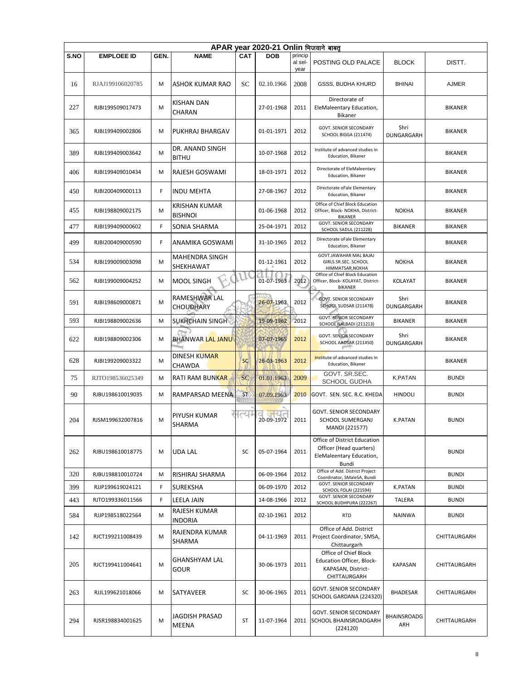|      | APAR year 2020-21 Onlin भिजवाने बाबत |      |                                        |            |                   |                 |                                                                                              |                    |                |  |  |  |  |
|------|--------------------------------------|------|----------------------------------------|------------|-------------------|-----------------|----------------------------------------------------------------------------------------------|--------------------|----------------|--|--|--|--|
| S.NO | <b>EMPLOEE ID</b>                    | GEN. | <b>NAME</b>                            | <b>CAT</b> | <b>DOB</b>        | princip         |                                                                                              |                    |                |  |  |  |  |
|      |                                      |      |                                        |            |                   | al sel-<br>year | POSTING OLD PALACE                                                                           | <b>BLOCK</b>       | DISTT.         |  |  |  |  |
| 16   | RJAJ199106020785                     | M    | ASHOK KUMAR RAO                        | SC         | 02.10.1966        | 2008            | <b>GSSS, BUDHA KHURD</b>                                                                     | <b>BHINAI</b>      | <b>AJMER</b>   |  |  |  |  |
| 227  | RJBI199509017473                     | M    | <b>KISHAN DAN</b><br>CHARAN            |            | 27-01-1968        | 2011            | Directorate of<br>EleMaleentary Education,<br>Bikaner                                        |                    | <b>BIKANER</b> |  |  |  |  |
| 365  | RJBI199409002806                     | M    | PUKHRAJ BHARGAV                        |            | 01-01-1971        | 2012            | GOVT. SENIOR SECONDARY<br>SCHOOL BIGGA (211474)                                              | Shri<br>DUNGARGARH | <b>BIKANER</b> |  |  |  |  |
| 389  | RJBI199409003642                     | M    | DR. ANAND SINGH<br><b>BITHU</b>        |            | 10-07-1968        | 2012            | Institute of advanced studies In<br>Education, Bikaner                                       |                    | <b>BIKANER</b> |  |  |  |  |
| 406  | RJBI199409010434                     | M    | RAJESH GOSWAMI                         |            | 18-03-1971        | 2012            | Directorate of EleMaleentary<br>Education, Bikaner                                           |                    | <b>BIKANER</b> |  |  |  |  |
| 450  | RJBI200409000113                     | F    | <b>INDU MEHTA</b>                      |            | 27-08-1967        | 2012            | Directorate oFale Elementary<br>Education, Bikaner                                           |                    | <b>BIKANER</b> |  |  |  |  |
| 455  | RJBI198809002175                     | M    | <b>KRISHAN KUMAR</b><br><b>BISHNOI</b> |            | 01-06-1968        | 2012            | Office of Chief Block Education<br>Officer, Block- NOKHA, District-<br><b>BIKANER</b>        | <b>NOKHA</b>       | BIKANER        |  |  |  |  |
| 477  | RJBI199409000602                     | F    | SONIA SHARMA                           |            | 25-04-1971        | 2012            | <b>GOVT. SENIOR SECONDARY</b><br>SCHOOL SADUL (211228)                                       | <b>BIKANER</b>     | <b>BIKANER</b> |  |  |  |  |
| 499  | RJBI200409000590                     | F.   | ANAMIKA GOSWAMI                        |            | 31-10-1965        | 2012            | Directorate oFale Elementary<br>Education, Bikaner                                           |                    | <b>BIKANER</b> |  |  |  |  |
| 534  | RJBI199009003098                     | M    | <b>MAHENDRA SINGH</b><br>SHEKHAWAT     |            | 01-12-1961        | 2012            | GOVT.JAWAHAR MAL BAJAJ<br>GIRLS.SR.SEC. SCHOOL<br>HIMMATSAR, NOKHA                           | <b>NOKHA</b>       | <b>BIKANER</b> |  |  |  |  |
| 562  | RJBI199009004252                     | M    | <b>MOOL SINGH</b>                      |            | 01-07-1963        | 2012            | Office of Chief Block Education<br>Officer, Block- KOLAYAT, District-<br><b>BIKANER</b>      | KOLAYAT            | <b>BIKANER</b> |  |  |  |  |
| 591  | RJBI198609000871                     | M    | RAMESHWAR LAL<br><b>CHOUDHARY</b>      |            | 26-07-1962        | 2012            | <b>GOVT. SENIOR SECONDARY</b><br>SCHOOL SUDSAR (211478)                                      | Shri<br>DUNGARGARH | <b>BIKANER</b> |  |  |  |  |
| 593  | RJBI198809002636                     | M    | SUKHCHAIN SINGH                        |            | 19-09-1962        | 2012            | <b>GOVT. SENIOR SECONDARY</b><br>SCHOOL NALBADI (211213)                                     | <b>BIKANER</b>     | <b>BIKANER</b> |  |  |  |  |
| 622  | RJBI198809002306                     | M    | <b>BHANWAR LAL JANU</b>                |            | 07-07-1965        | 2012            | <b>GOVT. SENIOR SECONDARY</b><br>SCHOOL AADSAR (211450)                                      | Shri<br>DUNGARGARH | <b>BIKANER</b> |  |  |  |  |
| 628  | RJBI199209003322                     | M    | <b>DINESH KUMAR</b><br>CHAWDA          | <b>SC</b>  | 26-03-1963        | 2012            | Institute of advanced studies In<br>Education, Bikaner                                       |                    | <b>BIKANER</b> |  |  |  |  |
| 75   | RJTO198536025349                     | M    | <b>RATI RAM BUNKAR</b>                 | <b>SC</b>  | 01.01.1963        | 2009            | GOVT. SR.SEC.<br>SCHOOL GUDHA                                                                | K.PATAN            | <b>BUNDI</b>   |  |  |  |  |
| 90   | RJBU198610019035                     | M    | RAMPARSAD MEENA                        | <b>ST</b>  | 07.09.1963        | 2010            | GOVT. SEN. SEC. R.C. KHEDA                                                                   | <b>HINDOLI</b>     | <b>BUNDI</b>   |  |  |  |  |
| 204  | RJSM199632007816                     | M    | <b>PIYUSH KUMAR</b><br>SHARMA          | الحاء      | जयत<br>20-09-1972 | 2011            | <b>GOVT. SENIOR SECONDARY</b><br>SCHOOL SUMERGANJ<br>MANDI (221577)                          | <b>K.PATAN</b>     | <b>BUNDI</b>   |  |  |  |  |
| 262  | RJBU198610018775                     | M    | UDA LAL                                | SC         | 05-07-1964        | 2011            | Office of District Education<br>Officer (Head quarters)<br>EleMaleentary Education,<br>Bundi |                    | <b>BUNDI</b>   |  |  |  |  |
| 320  | RJBU198810010724                     | M    | RISHIRAJ SHARMA                        |            | 06-09-1964        | 2012            | Office of Add. District Project<br>Coordinator, SMaleSA, Bundi                               |                    | <b>BUNDI</b>   |  |  |  |  |
| 399  | RJJP199619024121                     | F    | <b>SUREKSHA</b>                        |            | 06-09-1970        | 2012            | <b>GOVT. SENIOR SECONDARY</b>                                                                | <b>K.PATAN</b>     | <b>BUNDI</b>   |  |  |  |  |
| 443  | RJTO199336011566                     | F    | LEELA JAIN                             |            | 14-08-1966        | 2012            | SCHOOL FOLAI (221594)<br>GOVT. SENIOR SECONDARY                                              | TALERA             | <b>BUNDI</b>   |  |  |  |  |
| 584  | RJJP198518022564                     | M    | RAJESH KUMAR<br><b>INDORIA</b>         |            | 02-10-1961        | 2012            | SCHOOL BUDHPURA (222267)<br><b>RTD</b>                                                       | <b>NAINWA</b>      | <b>BUNDI</b>   |  |  |  |  |
| 142  | RJCT199211008439                     | M    | RAJENDRA KUMAR<br>SHARMA               |            | 04-11-1969        | 2011            | Office of Add. District<br>Project Coordinator, SMSA,<br>Chittaurgarh                        |                    | CHITTAURGARH   |  |  |  |  |
| 205  | RJCT199411004641                     | M    | <b>GHANSHYAM LAL</b><br><b>GOUR</b>    |            | 30-06-1973        | 2011            | Office of Chief Block<br>Education Officer, Block-<br>KAPASAN, District-<br>CHITTAURGARH     | <b>KAPASAN</b>     | CHITTAURGARH   |  |  |  |  |
| 263  | RJJL199621018066                     | M    | SATYAVEER                              | SC         | 30-06-1965        | 2011            | GOVT. SENIOR SECONDARY<br>SCHOOL GARDANA (224320)                                            | <b>BHADESAR</b>    | CHITTAURGARH   |  |  |  |  |
| 294  | RJSR198834001625                     | M    | JAGDISH PRASAD<br>MEENA                | ST         | 11-07-1964        | 2011            | GOVT. SENIOR SECONDARY<br>SCHOOL BHAINSROADGARH<br>(224120)                                  | BHAINSROADG<br>ARH | CHITTAURGARH   |  |  |  |  |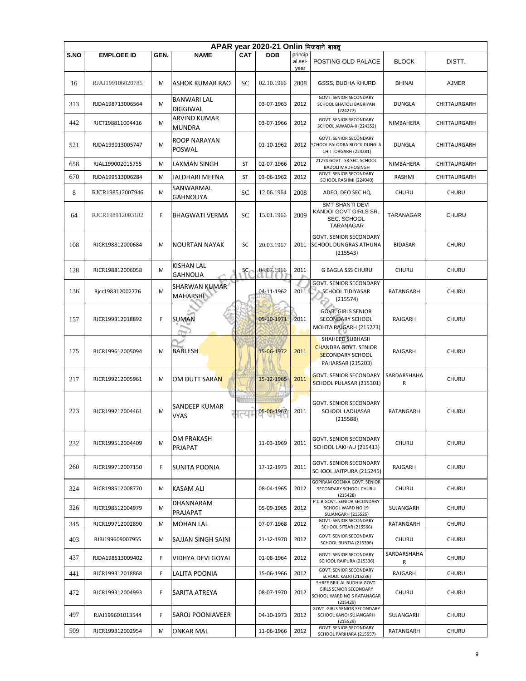|      | APAR vear 2020-21 Onlin भिजवाने बाबत |      |                                         |             |            |                            |                                                                                                       |                  |              |  |  |  |  |
|------|--------------------------------------|------|-----------------------------------------|-------------|------------|----------------------------|-------------------------------------------------------------------------------------------------------|------------------|--------------|--|--|--|--|
| S.NO | <b>EMPLOEE ID</b>                    | GEN. | <b>NAME</b>                             | <b>CAT</b>  | <b>DOB</b> | princip<br>al sel-<br>year | POSTING OLD PALACE                                                                                    | <b>BLOCK</b>     | DISTT.       |  |  |  |  |
| 16   | RJAJ199106020785                     | M    | ASHOK KUMAR RAO                         | <b>SC</b>   | 02.10.1966 | 2008                       | GSSS, BUDHA KHURD                                                                                     | <b>BHINAI</b>    | <b>AJMER</b> |  |  |  |  |
| 313  | RJDA198713006564                     | М    | <b>BANWARI LAL</b><br><b>DIGGIWAL</b>   |             | 03-07-1963 | 2012                       | <b>GOVT. SENIOR SECONDARY</b><br>SCHOOL BHATOLI BAGRIYAN<br>(224277)                                  | <b>DUNGLA</b>    | CHITTAURGARH |  |  |  |  |
| 442  | RJCT198811004416                     | M    | <b>ARVIND KUMAR</b><br><b>MUNDRA</b>    |             | 03-07-1966 | 2012                       | <b>GOVT. SENIOR SECONDARY</b><br>SCHOOL JAWADA-II (224352)                                            | NIMBAHERA        | CHITTAURGARH |  |  |  |  |
| 521  | RJDA199013005747                     | M    | ROOP NARAYAN<br><b>POSWAL</b>           |             | 01-10-1962 | 2012                       | <b>GOVT. SENIOR SECONDARY</b><br>SCHOOL FALODRA BLOCK DUNGLA<br>CHITTORGARH (224281)                  | <b>DUNGLA</b>    | CHITTAURGARH |  |  |  |  |
| 658  | RJAL199002015755                     | M    | LAXMAN SINGH                            | <b>ST</b>   | 02-07-1966 | 2012                       | 21274 GOVT. SR.SEC. SCHOOL<br><b>BADOLI MADHOSINGH</b>                                                | <b>NIMBAHERA</b> | CHITTAURGARH |  |  |  |  |
| 670  | RJDA199513006284                     | м    | JALDHARI MEENA                          | ST          | 03-06-1962 | 2012                       | <b>GOVT. SENIOR SECONDARY</b><br>SCHOOL RASHMI (224040)                                               | RASHMI           | CHITTAURGARH |  |  |  |  |
| 8    | RJCR198512007946                     | M    | SANWARMAL<br><b>GAHNOLIYA</b>           | SC          | 12.06.1964 | 2008                       | ADEO, DEO SEC HQ                                                                                      | <b>CHURU</b>     | <b>CHURU</b> |  |  |  |  |
| 64   | RJCR198912003182                     | F    | <b>BHAGWATI VERMA</b>                   | <b>SC</b>   | 15.01.1966 | 2009                       | <b>SMT SHANTI DEVI</b><br>KANDOI GOVT GIRLS SR.<br>SEC. SCHOOL<br>TARANAGAR                           | TARANAGAR        | <b>CHURU</b> |  |  |  |  |
| 108  | RJCR198812000684                     | M    | <b>NOURTAN NAYAK</b>                    | <b>SC</b>   | 20.03.1967 | 2011                       | <b>GOVT. SENIOR SECONDARY</b><br>SCHOOL DUNGRAS ATHUNA<br>(215543)                                    | <b>BIDASAR</b>   | <b>CHURU</b> |  |  |  |  |
| 128  | RJCR198812006058                     | M    | <b>KISHAN LAL</b><br><b>GAHNOLIA</b>    | SC.         | 04.07.1966 | 2011                       | <b>G BAGLA SSS CHURU</b>                                                                              | <b>CHURU</b>     | <b>CHURU</b> |  |  |  |  |
| 136  | Rjcr198312002776                     | M    | <b>SHARWAN KUMAR</b><br><b>MAHARSHI</b> |             | 04-11-1962 | 2011                       | <b>GOVT. SENIOR SECONDARY</b><br><b>SCHOOL TIDIYASAR</b><br>(215574)                                  | RATANGARH        | <b>CHURU</b> |  |  |  |  |
| 157  | RJCR199312018892                     | F    | SUMAN                                   |             | 05-10-1971 | 2011                       | <b>GOVT. GIRLS SENIOR</b><br>SECONDARY SCHOOL<br>MOHTA RAJGARH (215273)                               | RAJGARH          | CHURU        |  |  |  |  |
| 175  | RJCR199612005094                     | M    | <b>BABLESH</b>                          |             | 15-06-1972 | 2011                       | SHAHEED SUBHASH<br><b>CHANDRA GOVT. SENIOR</b><br><b>SECONDARY SCHOOL</b><br><b>PAHARSAR (215203)</b> | RAJGARH          | <b>CHURU</b> |  |  |  |  |
| 217  | RJCR199212005961                     | м    | OM DUTT SARAN                           |             | 15-12-1965 | 2011                       | <b>GOVT. SENIOR SECONDARY</b><br>SCHOOL PULASAR (215301)                                              | SARDARSHAHA<br>R | <b>CHURU</b> |  |  |  |  |
| 223  | RJCR199212004461                     | M    | SANDEEP KUMAR<br><b>VYAS</b>            | 111111<br>⊣ | 05-06-1967 | 2011                       | <b>GOVT. SENIOR SECONDARY</b><br>SCHOOL LADHASAR<br>(215588)                                          | RATANGARH        | <b>CHURU</b> |  |  |  |  |
| 232  | RJCR199512004409                     | M    | OM PRAKASH<br>PRJAPAT                   |             | 11-03-1969 | 2011                       | <b>GOVT. SENIOR SECONDARY</b><br>SCHOOL LAKHAU (215413)                                               | <b>CHURU</b>     | <b>CHURU</b> |  |  |  |  |
| 260  | RJCR199712007150                     | F.   | SUNITA POONIA                           |             | 17-12-1973 | 2011                       | <b>GOVT. SENIOR SECONDARY</b><br>SCHOOL JAITPURA (215245)                                             | RAJGARH          | <b>CHURU</b> |  |  |  |  |
| 324  | RJCR198512008770                     | м    | <b>KASAM ALI</b>                        |             | 08-04-1965 | 2012                       | GOPIRAM GOENKA GOVT. SENIOR<br>SECONDARY SCHOOL CHURU<br>(215428)                                     | <b>CHURU</b>     | <b>CHURU</b> |  |  |  |  |
| 326  | RJCR198512004979                     | M    | DHANNARAM<br>PRAJAPAT                   |             | 05-09-1965 | 2012                       | P.C.B GOVT. SENIOR SECONDARY<br>SCHOOL WARD NO.19<br><b>SUJANGARH (215525)</b>                        | SUJANGARH        | CHURU        |  |  |  |  |
| 345  | RJCR199712002890                     | M    | <b>MOHAN LAL</b>                        |             | 07-07-1968 | 2012                       | GOVT. SENIOR SECONDARY<br>SCHOOL SITSAR (215566)                                                      | RATANGARH        | <b>CHURU</b> |  |  |  |  |
| 403  | RJBI199609007955                     | М    | SAJJAN SINGH SAINI                      |             | 21-12-1970 | 2012                       | GOVT. SENIOR SECONDARY<br>SCHOOL BUNTIA (215396)                                                      | <b>CHURU</b>     | <b>CHURU</b> |  |  |  |  |
| 437  | RJDA198513009402                     | F.   | VIDHYA DEVI GOYAL                       |             | 01-08-1964 | 2012                       | GOVT. SENIOR SECONDARY<br>SCHOOL RAIPURA (215336)                                                     | SARDARSHAHA<br>R | CHURU        |  |  |  |  |
| 441  | RJCR199312018868                     | F.   | LALITA POONIA                           |             | 15-06-1966 | 2012                       | <b>GOVT. SENIOR SECONDARY</b><br>SCHOOL KALRI (215236)                                                | RAJGARH          | CHURU        |  |  |  |  |
| 472  | RJCR199312004993                     | F    | SARITA ATREYA                           |             | 08-07-1970 | 2012                       | SHREE BRIJLAL BUDHIA GOVT.<br><b>GIRLS SENIOR SECONDARY</b><br>SCHOOL WARD NO 5 RATANAGAR<br>(215429) | <b>CHURU</b>     | CHURU        |  |  |  |  |
| 497  | RJAJ199601013544                     | F.   | SAROJ POONIAVEER                        |             | 04-10-1973 | 2012                       | GOVT. GIRLS SENIOR SECONDARY<br>SCHOOL KANOI SUJANGARH<br>(215529)                                    | SUJANGARH        | CHURU        |  |  |  |  |
| 509  | RJCR199312002954                     | М    | <b>ONKAR MAL</b>                        |             | 11-06-1966 | 2012                       | GOVT. SENIOR SECONDARY<br>SCHOOL PARIHARA (215557)                                                    | RATANGARH        | CHURU        |  |  |  |  |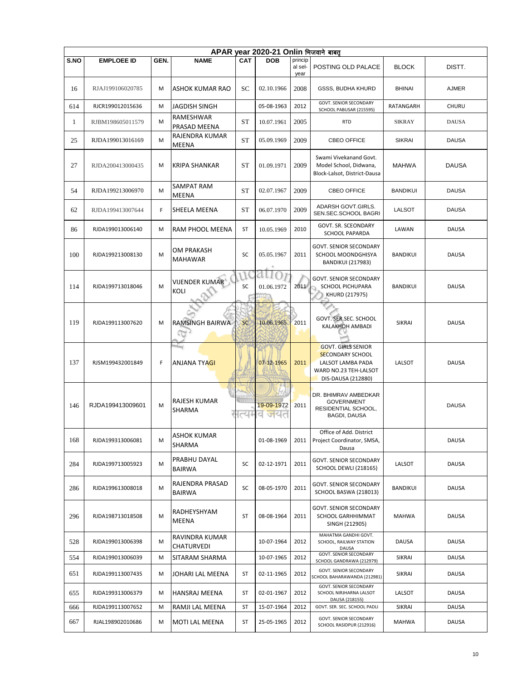|              | APAR year 2020-21 Onlin भिजवाने बाबत् |      |                                      |            |                   |                            |                                                                                                                          |                 |              |  |  |  |  |
|--------------|---------------------------------------|------|--------------------------------------|------------|-------------------|----------------------------|--------------------------------------------------------------------------------------------------------------------------|-----------------|--------------|--|--|--|--|
| <b>S.NO</b>  | <b>EMPLOEE ID</b>                     | GEN. | <b>NAME</b>                          | <b>CAT</b> | <b>DOB</b>        | princip<br>al sel-<br>year | POSTING OLD PALACE                                                                                                       | <b>BLOCK</b>    | DISTT.       |  |  |  |  |
| 16           | RJAJ199106020785                      | м    | <b>ASHOK KUMAR RAO</b>               | SC         | 02.10.1966        | 2008                       | GSSS, BUDHA KHURD                                                                                                        | <b>BHINAI</b>   | <b>AJMER</b> |  |  |  |  |
| 614          | RJCR199012015636                      | M    | <b>JAGDISH SINGH</b>                 |            | 05-08-1963        | 2012                       | GOVT. SENIOR SECONDARY<br>SCHOOL PABUSAR (215595)                                                                        | RATANGARH       | <b>CHURU</b> |  |  |  |  |
| $\mathbf{1}$ | RJBM198605011579                      | M    | RAMESHWAR<br>PRASAD MEENA            | <b>ST</b>  | 10.07.1961        | 2005                       | <b>RTD</b>                                                                                                               | <b>SIKRAY</b>   | <b>DAUSA</b> |  |  |  |  |
| 25           | RJDA199013016169                      | M    | RAJENDRA KUMAR<br>MEENA              | <b>ST</b>  | 05.09.1969        | 2009                       | CBEO OFFICE                                                                                                              | <b>SIKRAI</b>   | <b>DAUSA</b> |  |  |  |  |
| 27           | RJDA200413000435                      | М    | <b>KRIPA SHANKAR</b>                 | <b>ST</b>  | 01.09.1971        | 2009                       | Swami Vivekanand Govt.<br>Model School, Didwana,<br>Block-Lalsot, District-Dausa                                         | <b>MAHWA</b>    | <b>DAUSA</b> |  |  |  |  |
| 54           | RJDA199213006970                      | M    | SAMPAT RAM<br>MEENA                  | <b>ST</b>  | 02.07.1967        | 2009                       | CBEO OFFICE                                                                                                              | <b>BANDIKUI</b> | <b>DAUSA</b> |  |  |  |  |
| 62           | RJDA199413007644                      | F.   | SHEELA MEENA                         | ST         | 06.07.1970        | 2009                       | ADARSH GOVT.GIRLS.<br>SEN.SEC.SCHOOL BAGRI                                                                               | <b>LALSOT</b>   | <b>DAUSA</b> |  |  |  |  |
| 86           | RJDA199013006140                      | м    | RAM PHOOL MEENA                      | <b>ST</b>  | 10.05.1969        | 2010                       | GOVT. SR. SCEONDARY<br><b>SCHOOL PAPARDA</b>                                                                             | LAWAN           | <b>DAUSA</b> |  |  |  |  |
| 100          | RJDA199213008130                      | M    | OM PRAKASH<br><b>MAHAWAR</b>         | SC         | 05.05.1967        | 2011                       | <b>GOVT. SENIOR SECONDARY</b><br>SCHOOL MOONDGHISYA<br><b>BANDIKUI (217983)</b>                                          | <b>BANDIKUI</b> | <b>DAUSA</b> |  |  |  |  |
| 114          | RJDA199713018046                      | M    | <b>VIJENDER KUMAR</b><br>KOLI        | SC         | 01.06.1972        | 2011                       | <b>GOVT. SENIOR SECONDARY</b><br><b>SCHOOL PICHUPARA</b><br>KHURD (217975)                                               | <b>BANDIKUI</b> | <b>DAUSA</b> |  |  |  |  |
| 119          | RJDA199113007620                      | M    | <b>RAMSINGH BAIRWA</b>               | <b>SC</b>  | 10.06.1965        | 2011                       | GOVT. SER.SEC. SCHOOL<br>KALAKHOH AMBADI                                                                                 | <b>SIKRAI</b>   | <b>DAUSA</b> |  |  |  |  |
| 137          | RJSM199432001849                      | F    | <b>ANJANA TYAGI</b>                  |            | 07-12-1965        | 2011                       | <b>GOVT. GIRLS SENIOR</b><br><b>SECONDARY SCHOOL</b><br>LALSOT LAMBA PADA<br>WARD NO.23 TEH-LALSOT<br>DIS-DAUSA (212880) | LALSOT          | <b>DAUSA</b> |  |  |  |  |
| 146          | RJDA199413009601                      | M    | <b>RAJESH KUMAR</b><br><b>SHARMA</b> | الا        | 19-09-1972<br>जयत | 2011                       | DR. BHIMRAV AMBEDKAR<br><b>GOVERNMENT</b><br>RESIDENTIAL SCHOOL,<br>BAGDI, DAUSA                                         |                 | <b>DAUSA</b> |  |  |  |  |
| 168          | RJDA199313006081                      | м    | <b>ASHOK KUMAR</b><br>SHARMA         |            | 01-08-1969        | 2011                       | Office of Add. District<br>Project Coordinator, SMSA,<br>Dausa                                                           |                 | <b>DAUSA</b> |  |  |  |  |
| 284          | RJDA199713005923                      | м    | PRABHU DAYAL<br><b>BAIRWA</b>        | SC         | 02-12-1971        | 2011                       | <b>GOVT. SENIOR SECONDARY</b><br>SCHOOL DEWLI (218165)                                                                   | LALSOT          | <b>DAUSA</b> |  |  |  |  |
| 286          | RJDA199613008018                      | м    | RAJENDRA PRASAD<br><b>BAIRWA</b>     | SC         | 08-05-1970        | 2011                       | <b>GOVT. SENIOR SECONDARY</b><br>SCHOOL BASWA (218013)                                                                   | <b>BANDIKUI</b> | <b>DAUSA</b> |  |  |  |  |
| 296          | RJDA198713018508                      | м    | RADHEYSHYAM<br>MEENA                 | ST         | 08-08-1964        | 2011                       | <b>GOVT. SENIOR SECONDARY</b><br>SCHOOL GARHHIMMAT<br>SINGH (212905)                                                     | <b>MAHWA</b>    | DAUSA        |  |  |  |  |
| 528          | RJDA199013006398                      | м    | RAVINDRA KUMAR<br>CHATURVEDI         |            | 10-07-1964        | 2012                       | MAHATMA GANDHI GOVT.<br>SCHOOL, RAILWAY STATION<br>DAUSA                                                                 | DAUSA           | DAUSA        |  |  |  |  |
| 554          | RJDA199013006039                      | M    | SITARAM SHARMA                       |            | 10-07-1965        | 2012                       | GOVT. SENIOR SECONDARY<br>SCHOOL GANDRAWA (212979)                                                                       | <b>SIKRAI</b>   | DAUSA        |  |  |  |  |
| 651          | RJDA199113007435                      | м    | JOHARI LAL MEENA                     | ST         | 02-11-1965        | 2012                       | GOVT. SENIOR SECONDARY<br>SCHOOL BAHARAWANDA (212981)                                                                    | <b>SIKRAI</b>   | <b>DAUSA</b> |  |  |  |  |
| 655          | RJDA199313006379                      | м    | HANSRAJ MEENA                        | ST         | 02-01-1967        | 2012                       | GOVT. SENIOR SECONDARY<br>SCHOOL NIRJHARNA LALSOT<br>DAUSA (218155)                                                      | LALSOT          | DAUSA        |  |  |  |  |
| 666          | RJDA199113007652                      | М    | RAMJI LAL MEENA                      | ST         | 15-07-1964        | 2012                       | GOVT. SER. SEC. SCHOOL PADLI                                                                                             | <b>SIKRAI</b>   | DAUSA        |  |  |  |  |
| 667          | RJAL198902010686                      | M    | <b>MOTI LAL MEENA</b>                | ST         | 25-05-1965        | 2012                       | GOVT. SENIOR SECONDARY<br>SCHOOL RASIDPUR (212916)                                                                       | <b>MAHWA</b>    | DAUSA        |  |  |  |  |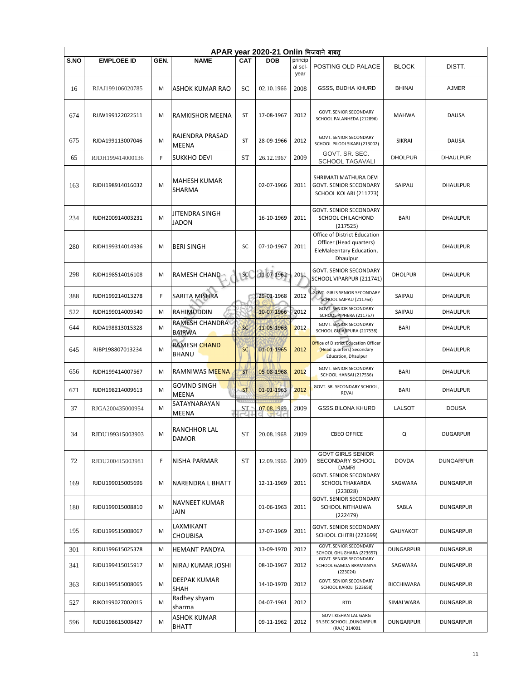|             | APAR year 2020-21 Onlin भिजवाने बाबत |      |                                       |            |            |                            |                                                                                                 |                  |                  |  |  |  |  |
|-------------|--------------------------------------|------|---------------------------------------|------------|------------|----------------------------|-------------------------------------------------------------------------------------------------|------------------|------------------|--|--|--|--|
| <b>S.NO</b> | <b>EMPLOEE ID</b>                    | GEN. | <b>NAME</b>                           | <b>CAT</b> | <b>DOB</b> | princip<br>al sel-<br>year | POSTING OLD PALACE                                                                              | <b>BLOCK</b>     | DISTT.           |  |  |  |  |
| 16          | RJAJ199106020785                     | м    | ASHOK KUMAR RAO                       | SC         | 02.10.1966 | 2008                       | GSSS, BUDHA KHURD                                                                               | <b>BHINAI</b>    | <b>AJMER</b>     |  |  |  |  |
| 674         | RJJW199122022511                     | М    | <b>RAMKISHOR MEENA</b>                | ST         | 17-08-1967 | 2012                       | GOVT. SENIOR SECONDARY<br>SCHOOL PALANHEDA (212896)                                             | <b>MAHWA</b>     | <b>DAUSA</b>     |  |  |  |  |
| 675         | RJDA199113007046                     | M    | RAJENDRA PRASAD<br>MEENA              | ST         | 28-09-1966 | 2012                       | <b>GOVT. SENIOR SECONDARY</b><br>SCHOOL PILODI SIKARI (213002)                                  | <b>SIKRAI</b>    | <b>DAUSA</b>     |  |  |  |  |
| 65          | RJDH199414000136                     | F.   | <b>SUKKHO DEVI</b>                    | ST         | 26.12.1967 | 2009                       | GOVT. SR. SEC.<br><b>SCHOOL TAGAVALI</b>                                                        | <b>DHOLPUR</b>   | <b>DHAULPUR</b>  |  |  |  |  |
| 163         | RJDH198914016032                     | M    | <b>MAHESH KUMAR</b><br>SHARMA         |            | 02-07-1966 | 2011                       | SHRIMATI MATHURA DEVI<br><b>GOVT. SENIOR SECONDARY</b><br>SCHOOL KOLARI (211773)                | SAIPAU           | DHAULPUR         |  |  |  |  |
| 234         | RJDH200914003231                     | M    | <b>JITENDRA SINGH</b><br><b>JADON</b> |            | 16-10-1969 | 2011                       | <b>GOVT. SENIOR SECONDARY</b><br>SCHOOL CHILACHOND<br>(217525)                                  | <b>BARI</b>      | <b>DHAULPUR</b>  |  |  |  |  |
| 280         | RJDH199314014936                     | M    | <b>BERI SINGH</b>                     | SC         | 07-10-1967 | 2011                       | Office of District Education<br>Officer (Head quarters)<br>EleMaleentary Education,<br>Dhaulpur |                  | DHAULPUR         |  |  |  |  |
| 298         | RJDH198514016108                     | M    | RAMESH CHAND                          | SC         | 11-07-1962 | 2011                       | <b>GOVT. SENIOR SECONDARY</b><br>SCHOOL VIPARPUR (211741)                                       | <b>DHOLPUR</b>   | <b>DHAULPUR</b>  |  |  |  |  |
| 388         | RJDH199214013278                     | F.   | SARITA MISHRA                         |            | 29-01-1968 | 2012                       | <b>GOVT. GIRLS SENIOR SECONDARY</b><br>SCHOOL SAIPAU (211763)                                   | SAIPAU           | <b>DHAULPUR</b>  |  |  |  |  |
| 522         | RJDH199014009540                     | M    | RAHIMUDDIN                            |            | 10-07-1966 | 2012                       | <b>GOVT. SENIOR SECONDARY</b><br>SCHOOL PIPHERA (211757)                                        | SAIPAU           | <b>DHAULPUR</b>  |  |  |  |  |
| 644         | RJDA198813015328                     | M    | RAMESH CHANDRA<br><b>BAIRWA</b>       | <b>SC</b>  | 11-05-1963 | 2012                       | <b>GOVT. SENIOR SECONDARY</b><br>SCHOOL GUJARPURA (217538)                                      | <b>BARI</b>      | <b>DHAULPUR</b>  |  |  |  |  |
| 645         | RJBP198807013234                     | M    | <b>RAMESH CHAND</b><br><b>BHANU</b>   | SC         | 01-01-1965 | 2012                       | Office of District Education Officer<br>(Head quarters) Secondary<br>Education, Dhaulpur        |                  | DHAULPUR         |  |  |  |  |
| 656         | RJDH199414007567                     | М    | RAMNIWAS MEENA                        | <b>ST</b>  | 05-08-1968 | 2012                       | <b>GOVT. SENIOR SECONDARY</b><br>SCHOOL HANSAI (217556)                                         | <b>BARI</b>      | <b>DHAULPUR</b>  |  |  |  |  |
| 671         | RJDH198214009613                     | M    | GOVIND SINGH<br>MEENA                 | <b>ST</b>  | 01-01-1963 | 2012                       | GOVT. SR. SECONDARY SCHOOL,<br><b>REVAI</b>                                                     | <b>BARI</b>      | DHAULPUR         |  |  |  |  |
| 37          | RJGA200435000954                     | M    | SATAYNARAYAN<br>MEENA                 | ST         | 07.08.1969 | 2009                       | <b>GSSS.BILONA KHURD</b>                                                                        | <b>LALSOT</b>    | <b>DOUSA</b>     |  |  |  |  |
| 34          | RJDU199315003903                     | м    | RANCHHOR LAL<br>DAMOR                 | ST         | 20.08.1968 | 2009                       | <b>CBEO OFFICE</b>                                                                              | Q                | <b>DUGARPUR</b>  |  |  |  |  |
| 72          | RJDU200415003981                     | F.   | <b>NISHA PARMAR</b>                   | ST         | 12.09.1966 | 2009                       | <b>GOVT GIRLS SENIOR</b><br>SECONDARY SCHOOL<br><b>DAMRI</b>                                    | <b>DOVDA</b>     | <b>DUNGARPUR</b> |  |  |  |  |
| 169         | RJDU199015005696                     | м    | NARENDRA L BHATT                      |            | 12-11-1969 | 2011                       | <b>GOVT. SENIOR SECONDARY</b><br><b>SCHOOL THAKARDA</b><br>(223028)                             | SAGWARA          | DUNGARPUR        |  |  |  |  |
| 180         | RJDU199015008810                     | М    | NAVNEET KUMAR<br>JAIN                 |            | 01-06-1963 | 2011                       | GOVT. SENIOR SECONDARY<br><b>SCHOOL NITHAUWA</b><br>(222479)                                    | SABLA            | DUNGARPUR        |  |  |  |  |
| 195         | RJDU199515008067                     | M    | LAXMIKANT<br><b>CHOUBISA</b>          |            | 17-07-1969 | 2011                       | <b>GOVT. SENIOR SECONDARY</b><br>SCHOOL CHITRI (223699)                                         | GALIYAKOT        | DUNGARPUR        |  |  |  |  |
| 301         | RJDU199615025378                     | М    | <b>HEMANT PANDYA</b>                  |            | 13-09-1970 | 2012                       | GOVT. SENIOR SECONDARY<br>SCHOOL GHUGHARA (223657)                                              | <b>DUNGARPUR</b> | <b>DUNGARPUR</b> |  |  |  |  |
| 341         | RJDU199415015917                     | м    | NIRAJ KUMAR JOSHI                     |            | 08-10-1967 | 2012                       | <b>GOVT. SENIOR SECONDARY</b><br>SCHOOL GAMDA BRAMANIYA<br>(223024)                             | SAGWARA          | DUNGARPUR        |  |  |  |  |
| 363         | RJDU199515008065                     | м    | DEEPAK KUMAR<br><b>SHAH</b>           |            | 14-10-1970 | 2012                       | GOVT. SENIOR SECONDARY<br>SCHOOL KAROLI (223658)                                                | BICCHIWARA       | <b>DUNGARPUR</b> |  |  |  |  |
| 527         | RJKO199027002015                     | м    | Radhey shyam<br>sharma                |            | 04-07-1961 | 2012                       | <b>RTD</b>                                                                                      | SIMALWARA        | <b>DUNGARPUR</b> |  |  |  |  |
| 596         | RJDU198615008427                     | M    | <b>ASHOK KUMAR</b><br><b>BHATT</b>    |            | 09-11-1962 | 2012                       | GOVT.KISHAN LAL GARG<br>SR.SEC.SCHOOL, DUNGARPUR<br>(RAJ.) 314001                               | <b>DUNGARPUR</b> | DUNGARPUR        |  |  |  |  |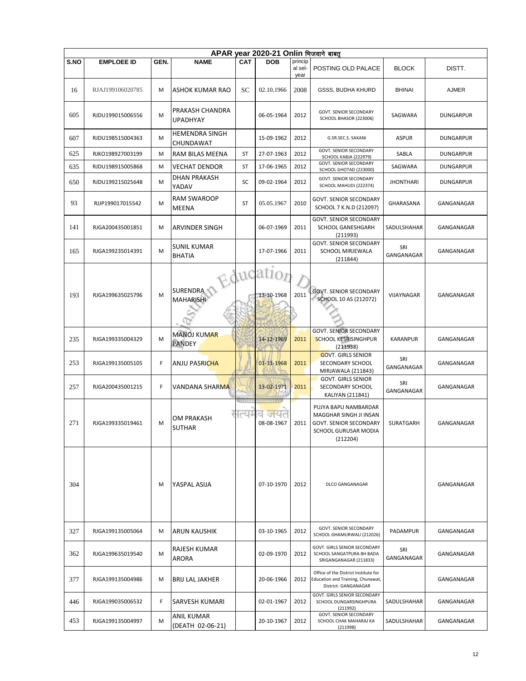|      | APAR year 2020-21 Onlin भिजवाने बाबत |      |                                     |           |                         |                            |                                                                                                              |                   |                  |  |  |  |
|------|--------------------------------------|------|-------------------------------------|-----------|-------------------------|----------------------------|--------------------------------------------------------------------------------------------------------------|-------------------|------------------|--|--|--|
| S.NO | <b>EMPLOEE ID</b>                    | GEN. | <b>NAME</b>                         | CAT       | <b>DOB</b>              | princip<br>al sel-<br>year | POSTING OLD PALACE                                                                                           | <b>BLOCK</b>      | DISTT.           |  |  |  |
| 16   | RJAJ199106020785                     | M    | ASHOK KUMAR RAO                     | <b>SC</b> | 02.10.1966              | 2008                       | <b>GSSS, BUDHA KHURD</b>                                                                                     | <b>BHINAI</b>     | <b>AJMER</b>     |  |  |  |
| 605  | RJDU199015006556                     | М    | PRAKASH CHANDRA<br><b>UPADHYAY</b>  |           | 06-05-1964              | 2012                       | GOVT. SENIOR SECONDARY<br>SCHOOL BHASOR (223006)                                                             | SAGWARA           | <b>DUNGARPUR</b> |  |  |  |
| 607  | RJDU198515004363                     | M    | <b>HEMENDRA SINGH</b><br>CHUNDAWAT  |           | 15-09-1962              | 2012                       | G.SR.SEC.S. SAKANI                                                                                           | <b>ASPUR</b>      | <b>DUNGARPUR</b> |  |  |  |
| 625  | RJKO198927003199                     | M    | RAM BILAS MEENA                     | ST        | 27-07-1963              | 2012                       | <b>GOVT. SENIOR SECONDARY</b><br>SCHOOL KABJA (222979)                                                       | SABLA             | <b>DUNGARPUR</b> |  |  |  |
| 635  | RJDU198915005868                     | M    | <b>VECHAT DENDOR</b>                | ST        | 17-06-1965              | 2012                       | GOVT. SENIOR SECONDARY<br>SCHOOL GHOTAD (223000)                                                             | SAGWARA           | <b>DUNGARPUR</b> |  |  |  |
| 650  | RJDU199215025648                     | М    | DHAN PRAKASH<br>YADAV               | SC        | 09-02-1964              | 2012                       | GOVT. SENIOR SECONDARY<br>SCHOOL MAHUDI (222374)                                                             | <b>JHONTHARI</b>  | DUNGARPUR        |  |  |  |
| 93   | RJJP199017015542                     | M    | <b>RAM SWAROOP</b><br>MEENA         | ST        | 05.05.1967              | 2010                       | <b>GOVT. SENIOR SECONDARY</b><br>SCHOOL 7 K.N.D (212097)                                                     | GHARASANA         | GANGANAGAR       |  |  |  |
| 141  | RJGA200435001851                     | М    | ARVINDER SINGH                      |           | 06-07-1969              | 2011                       | GOVT. SENIOR SECONDARY<br>SCHOOL GANESHGARH<br>(211993)                                                      | SADULSHAHAR       | GANGANAGAR       |  |  |  |
| 165  | RJGA199235014391                     | M    | <b>SUNIL KUMAR</b><br><b>BHATIA</b> |           | 17-07-1966              | 2011                       | <b>GOVT. SENIOR SECONDARY</b><br>SCHOOL MIRJEWALA<br>(211844)                                                | SRI<br>GANGANAGAR | GANGANAGAR       |  |  |  |
| 193  | RJGA199635025796                     | M    | SURENDRA<br>MAHARISHI               |           | Education<br>13-10-1968 | 2011                       | <b>GOVT. SENIOR SECONDARY</b><br>SCHOOL 10 AS (212072)                                                       | VIJAYNAGAR        | GANGANAGAR       |  |  |  |
| 235  | RJGA199335004329                     | M    | <b>MANOJ KUMAR</b><br><b>PANDEY</b> |           | 14-12-1969              | 2011                       | <b>GOVT. SENIOR SECONDARY</b><br><b>SCHOOL KESRISINGHPUR</b><br>(211938)                                     | <b>KARANPUR</b>   | GANGANAGAR       |  |  |  |
| 253  | RJGA199135005105                     | F    | <b>ANJU PASRICHA</b>                |           | 01-11-1968              | 2011                       | <b>GOVT. GIRLS SENIOR</b><br>SECONDARY SCHOOL<br>MIRJAWALA (211843)                                          | SRI<br>GANGANAGAR | GANGANAGAR       |  |  |  |
| 257  | RJGA200435001215                     | F    | VANDANA SHARMA                      |           | 13-02-1971              | 2011                       | <b>GOVT. GIRLS SENIOR</b><br>SECONDARY SCHOOL<br>KALIYAN (211841)                                            | SRI<br>GANGANAGAR | GANGANAGAR       |  |  |  |
| 271  | RJGA199335019461                     | M    | <b>OM PRAKASH</b><br><b>SUTHAR</b>  | ।त्यम     | व जयत<br>08-08-1967     | 2011                       | PUJYA BAPU NAMBARDAR<br>MAGGHAR SINGH JI INSAN<br>GOVT. SENIOR SECONDARY<br>SCHOOL GURUSAR MODIA<br>(212204) | SURATGARH         | GANGANAGAR       |  |  |  |
| 304  |                                      | M    | YASPAL ASIJA                        |           | 07-10-1970              | 2012                       | DLCO GANGANAGAR                                                                                              |                   | GANGANAGAR       |  |  |  |
| 327  | RJGA199135005064                     | м    | ARUN KAUSHIK                        |           | 03-10-1965              | 2012                       | GOVT. SENIOR SECONDARY<br>SCHOOL GHAMURWALI (212026)                                                         | PADAMPUR          | GANGANAGAR       |  |  |  |
| 362  | RJGA199635019540                     | М    | RAJESH KUMAR<br>ARORA               |           | 02-09-1970              | 2012                       | GOVT. GIRLS SENIOR SECONDARY<br>SCHOOL SANGATPURA 8H BADA<br>SRIGANGANAGAR (211833)                          | SRI<br>GANGANAGAR | GANGANAGAR       |  |  |  |
| 377  | RJGA199135004986                     | М    | <b>BRIJ LAL JAKHER</b>              |           | 20-06-1966              | 2012                       | Office of the District Institute for<br>Education and Training, Chunawat,<br>District- GANGANAGAR            |                   | GANGANAGAR       |  |  |  |
| 446  | RJGA199035006532                     | F.   | SARVESH KUMARI                      |           | 02-01-1967              | 2012                       | GOVT. GIRLS SENIOR SECONDARY<br>SCHOOL DUNGARSINGHPURA<br>(211992)                                           | SADULSHAHAR       | GANGANAGAR       |  |  |  |
| 453  | RJGA199135004997                     | М    | ANIL KUMAR<br>(DEATH 02-06-21)      |           | 20-10-1967              | 2012                       | <b>GOVT. SENIOR SECONDARY</b><br>SCHOOL CHAK MAHARAJ KA<br>(211998)                                          | SADULSHAHAR       | GANGANAGAR       |  |  |  |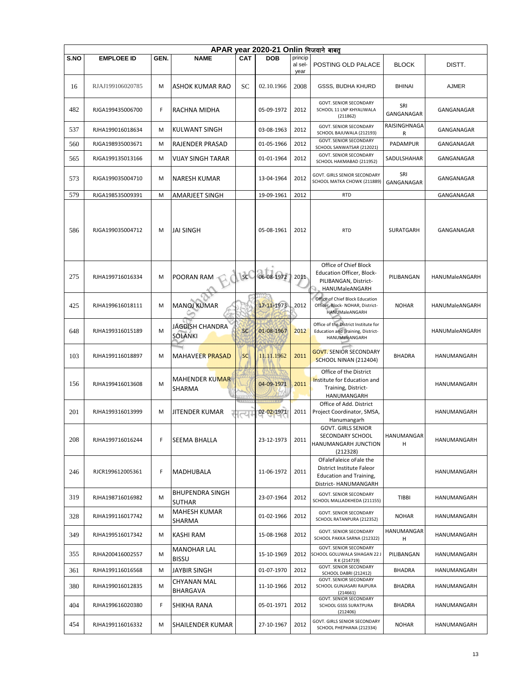|             | APAR year 2020-21 Onlin भिजवाने बाबत |      |                                         |            |            |                            |                                                                                                                |                        |                    |  |  |  |  |
|-------------|--------------------------------------|------|-----------------------------------------|------------|------------|----------------------------|----------------------------------------------------------------------------------------------------------------|------------------------|--------------------|--|--|--|--|
| <b>S.NO</b> | <b>EMPLOEE ID</b>                    | GEN. | <b>NAME</b>                             | <b>CAT</b> | <b>DOB</b> | princip<br>al sel-<br>year | POSTING OLD PALACE                                                                                             | <b>BLOCK</b>           | DISTT.             |  |  |  |  |
| 16          | RJAJ199106020785                     | M    | ASHOK KUMAR RAO                         | SC         | 02.10.1966 | 2008                       | GSSS, BUDHA KHURD                                                                                              | <b>BHINAI</b>          | <b>AJMER</b>       |  |  |  |  |
| 482         | RJGA199435006700                     | F    | RACHNA MIDHA                            |            | 05-09-1972 | 2012                       | <b>GOVT. SENIOR SECONDARY</b><br>SCHOOL 11 LNP KHYALIWALA<br>(211862)                                          | SRI<br>GANGANAGAR      | GANGANAGAR         |  |  |  |  |
| 537         | RJHA199016018634                     | м    | <b>KULWANT SINGH</b>                    |            | 03-08-1963 | 2012                       | GOVT. SENIOR SECONDARY<br>SCHOOL BAJUWALA (212193)                                                             | RAISINGHNAGA<br>R      | GANGANAGAR         |  |  |  |  |
| 560         | RJGA198935003671                     | M    | RAJENDER PRASAD                         |            | 01-05-1966 | 2012                       | <b>GOVT. SENIOR SECONDARY</b><br>SCHOOL SANWATSAR (212021)                                                     | <b>PADAMPUR</b>        | GANGANAGAR         |  |  |  |  |
| 565         | RJGA199135013166                     | м    | VIJAY SINGH TARAR                       |            | 01-01-1964 | 2012                       | GOVT. SENIOR SECONDARY<br>SCHOOL HAKMABAD (211952)                                                             | SADULSHAHAR            | GANGANAGAR         |  |  |  |  |
| 573         | RJGA199035004710                     | м    | <b>NARESH KUMAR</b>                     |            | 13-04-1964 | 2012                       | GOVT. GIRLS SENIOR SECONDARY<br>SCHOOL MATKA CHOWK (211889)                                                    | SRI<br>GANGANAGAR      | GANGANAGAR         |  |  |  |  |
| 579         | RJGA198535009391                     | M    | AMARJEET SINGH                          |            | 19-09-1961 | 2012                       | <b>RTD</b>                                                                                                     |                        | GANGANAGAR         |  |  |  |  |
| 586         | RJGA199035004712                     | M    | <b>JAI SINGH</b>                        |            | 05-08-1961 | 2012                       | <b>RTD</b>                                                                                                     | <b>SURATGARH</b>       | GANGANAGAR         |  |  |  |  |
| 275         | RJHA199716016334                     | M    | POORAN RAM                              | <b>SC</b>  | 06-08-1972 | 2011                       | Office of Chief Block<br>Education Officer, Block-<br>PILIBANGAN, District-<br>HANUMaleANGARH                  | PILIBANGAN             | HANUMaleANGARH     |  |  |  |  |
| 425         | RJHA199616018111                     | M    | <b>MANOJ KUMAR</b>                      |            | 17-11-1973 | 2012                       | Office of Chief Block Education<br>Officer, Block- NOHAR, District-<br>HANUMaleANGARH                          | <b>NOHAR</b>           | HANUMaleANGARH     |  |  |  |  |
| 648         | RJHA199316015189                     | M    | JAGDISH CHANDRA<br>SOLANKI              | <b>SC</b>  | 01-08-1967 | 2012                       | Office of the District Institute for<br>Education and Training, District-<br>HANUMaleANGARH                    |                        | HANUMaleANGARH     |  |  |  |  |
| 103         | RJHA199116018897                     | м    | <b>MAHAVEER PRASAD</b>                  | <b>SC</b>  | 11.11.1962 | 2011                       | <b>GOVT. SENIOR SECONDARY</b><br><b>SCHOOL NINAN (212404)</b>                                                  | <b>BHADRA</b>          | HANUMANGARH        |  |  |  |  |
| 156         | RJHA199416013608                     | M    | <b>MAHENDER KUMAR</b><br>SHARMA         |            | 04-09-1971 | 2011                       | Office of the District<br>Institute for Education and<br>Training, District-<br>HANUMANGARH                    |                        | <b>HANUMANGARH</b> |  |  |  |  |
| 201         | RJHA199316013999                     | М    | <b>JITENDER KUMAR</b>                   | d          | 02-02-1971 | 2011                       | Office of Add. District<br>Project Coordinator, SMSA,<br>Hanumangarh                                           |                        | HANUMANGARH        |  |  |  |  |
| 208         | RJHA199716016244                     | F    | <b>SEEMA BHALLA</b>                     |            | 23-12-1973 | 2011                       | <b>GOVT. GIRLS SENIOR</b><br>SECONDARY SCHOOL<br><b>HANUMANGARH JUNCTION</b><br>(212328)                       | HANUMANGAR<br>н        | HANUMANGARH        |  |  |  |  |
| 246         | RJCR199612005361                     | F    | MADHUBALA                               |            | 11-06-1972 | 2011                       | OFaleFaleice oFale the<br>District Institute Faleor<br><b>Education and Training,</b><br>District- HANUMANGARH |                        | HANUMANGARH        |  |  |  |  |
| 319         | RJHA198716016982                     | м    | <b>BHUPENDRA SINGH</b><br><b>SUTHAR</b> |            | 23-07-1964 | 2012                       | <b>GOVT. SENIOR SECONDARY</b><br>SCHOOL MALLADKHEDA (211155)                                                   | <b>TIBBI</b>           | HANUMANGARH        |  |  |  |  |
| 328         | RJHA199116017742                     | м    | MAHESH KUMAR<br><b>SHARMA</b>           |            | 01-02-1966 | 2012                       | <b>GOVT. SENIOR SECONDARY</b><br>SCHOOL RATANPURA (212352)                                                     | <b>NOHAR</b>           | HANUMANGARH        |  |  |  |  |
| 349         | RJHA199516017342                     | м    | KASHI RAM                               |            | 15-08-1968 | 2012                       | GOVT. SENIOR SECONDARY<br>SCHOOL PAKKA SARNA (212322)                                                          | <b>HANUMANGAR</b><br>н | HANUMANGARH        |  |  |  |  |
| 355         | RJHA200416002557                     | М    | MANOHAR LAL<br><b>BISSU</b>             |            | 15-10-1969 | 2012                       | <b>GOVT. SENIOR SECONDARY</b><br>SCHOOL GOLUWALA SIHAGAN 22 J<br>RK (214719)                                   | PILIBANGAN             | HANUMANGARH        |  |  |  |  |
| 361         | RJHA199116016568                     | м    | JAYBIR SINGH                            |            | 01-07-1970 | 2012                       | GOVT. SENIOR SECONDARY<br><b>SCHOOL DABRI (212412)</b>                                                         | <b>BHADRA</b>          | HANUMANGARH        |  |  |  |  |
| 380         | RJHA199016012835                     | м    | CHYANAN MAL<br>BHARGAVA                 |            | 11-10-1966 | 2012                       | GOVT. SENIOR SECONDARY<br>SCHOOL GUNJASARI RAJPURA<br>(214661)                                                 | BHADRA                 | HANUMANGARH        |  |  |  |  |
| 404         | RJHA199616020380                     | F    | SHIKHA RANA                             |            | 05-01-1971 | 2012                       | GOVT. SENIOR SECONDARY<br>SCHOOL GSSS SURATPURA<br>(212406)                                                    | BHADRA                 | HANUMANGARH        |  |  |  |  |
| 454         | RJHA199116016332                     | M    | <b>SHAILENDER KUMAR</b>                 |            | 27-10-1967 | 2012                       | GOVT. GIRLS SENIOR SECONDARY<br>SCHOOL PHEPHANA (212334)                                                       | <b>NOHAR</b>           | HANUMANGARH        |  |  |  |  |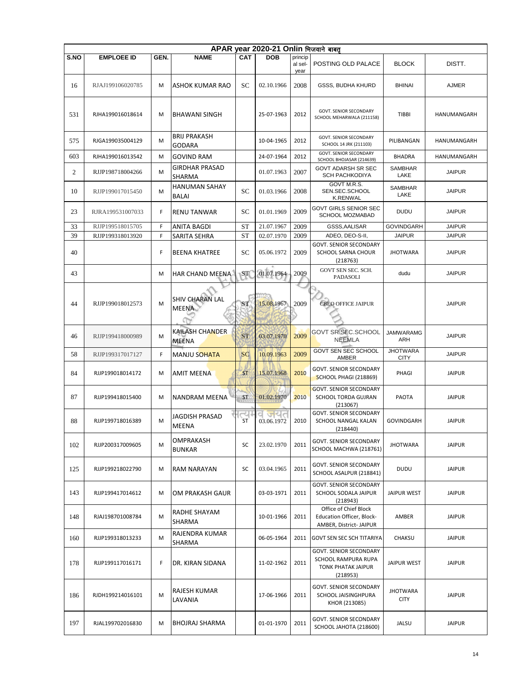|      | APAR year 2020-21 Onlin भिजवाने बाबत |      |                                       |            |            |                            |                                                                                        |                                |               |  |  |  |  |
|------|--------------------------------------|------|---------------------------------------|------------|------------|----------------------------|----------------------------------------------------------------------------------------|--------------------------------|---------------|--|--|--|--|
| S.NO | <b>EMPLOEE ID</b>                    | GEN. | <b>NAME</b>                           | <b>CAT</b> | <b>DOB</b> | princip<br>al sel-<br>year | POSTING OLD PALACE                                                                     | <b>BLOCK</b>                   | DISTT.        |  |  |  |  |
| 16   | RJAJ199106020785                     | M    | ASHOK KUMAR RAO                       | SC         | 02.10.1966 | 2008                       | <b>GSSS, BUDHA KHURD</b>                                                               | <b>BHINAI</b>                  | <b>AJMER</b>  |  |  |  |  |
| 531  | RJHA199016018614                     | M    | <b>BHAWANI SINGH</b>                  |            | 25-07-1963 | 2012                       | <b>GOVT. SENIOR SECONDARY</b><br>SCHOOL MEHARWALA (211158)                             | <b>TIBBI</b>                   | HANUMANGARH   |  |  |  |  |
| 575  | RJGA199035004129                     | M    | <b>BRIJ PRAKASH</b><br>GODARA         |            | 10-04-1965 | 2012                       | GOVT. SENIOR SECONDARY<br>SCHOOL 14 JRK (211103)                                       | PILIBANGAN                     | HANUMANGARH   |  |  |  |  |
| 603  | RJHA199016013542                     | M    | <b>GOVIND RAM</b>                     |            | 24-07-1964 | 2012                       | <b>GOVT. SENIOR SECONDARY</b><br>SCHOOL BHOJASAR (214639)                              | <b>BHADRA</b>                  | HANUMANGARH   |  |  |  |  |
| 2    | RJJP198718004266                     | M    | <b>GIRDHAR PRASAD</b><br>SHARMA       |            | 01.07.1963 | 2007                       | <b>GOVT ADARSH SR SEC</b><br><b>SCH PACHKODIYA</b>                                     | <b>SAMBHAR</b><br>LAKE         | <b>JAIPUR</b> |  |  |  |  |
| 10   | RJJP199017015450                     | M    | <b>HANUMAN SAHAY</b><br><b>BALAI</b>  | SC         | 01.03.1966 | 2008                       | GOVT M.R.S.<br>SEN.SEC.SCHOOL<br><b>K.RENWAL</b>                                       | <b>SAMBHAR</b><br>LAKE         | <b>JAIPUR</b> |  |  |  |  |
| 23   | RJRA199531007033                     | F    | <b>RENU TANWAR</b>                    | SС         | 01.01.1969 | 2009                       | GOVT GIRLS SENIOR SEC<br>SCHOOL MOZMABAD                                               | <b>DUDU</b>                    | <b>JAIPUR</b> |  |  |  |  |
| 33   | RJJP199518015705                     | F    | ANITA BAGDI                           | ST         | 21.07.1967 | 2009                       | GSSS, AALISAR                                                                          | <b>GOVINDGARH</b>              | <b>JAIPUR</b> |  |  |  |  |
| 39   | RJJP199318013920                     | F    | SARITA SEHRA                          | <b>ST</b>  | 02.07.1970 | 2009                       | ADEO, DEO-S-II,                                                                        | <b>JAIPUR</b>                  | <b>JAIPUR</b> |  |  |  |  |
| 40   |                                      | F    | <b>BEENA KHATREE</b>                  | SC         | 05.06.1972 | 2009                       | <b>GOVT. SENIOR SECONDARY</b><br><b>SCHOOL SARNA CHOUR</b><br>(218763)                 | <b>JHOTWARA</b>                | <b>JAIPUR</b> |  |  |  |  |
| 43   |                                      | м    | HAR CHAND MEENA                       | ST         | 01.07.1964 | 2009                       | GOVT SEN SEC. SCH.<br>PADASOLI                                                         | dudu                           | <b>JAIPUR</b> |  |  |  |  |
| 44   | RJJP199018012573                     | M    | SHIV CHARAN LAL<br><b>MEENA</b>       | <b>ST</b>  | 15.08.1967 | 2009                       | <b>CBEO OFFICE JAIPUR</b>                                                              |                                | <b>JAIPUR</b> |  |  |  |  |
| 46   | RJJP199418000989                     | M    | KAILASH CHANDER<br>MEENA              | <b>ST</b>  | 03.07.1970 | 2009                       | <b>GOVT SR SEC.SCHOOL</b><br><b>NEEMLA</b>                                             | <b>JAMWARAMG</b><br>ARH        | <b>JAIPUR</b> |  |  |  |  |
| 58   | RJJP199317017127                     | F    | MANJU SOHATA                          | <b>SC</b>  | 10.09.1963 | 2009                       | GOVT SEN SEC SCHOOL<br>AMBER                                                           | <b>JHOTWARA</b><br><b>CITY</b> | <b>JAIPUR</b> |  |  |  |  |
| 84   | RJJP199018014172                     | M    | <b>AMIT MEENA</b>                     | <b>ST</b>  | 15.07.1968 | 2010                       | GOVT. SENIOR SECONDARY<br><b>SCHOOL PHAGI (218869)</b>                                 | PHAGI                          | <b>JAIPUR</b> |  |  |  |  |
| 87   | RJJP199418015400                     | м    | NANDRAM MEENA                         | <b>ST</b>  | 01.02.1970 | 2010                       | <b>GOVT. SENIOR SECONDARY</b><br>SCHOOL TORDA GUJRAN<br>(213067)                       | <b>PAOTA</b>                   | <b>JAIPUR</b> |  |  |  |  |
| 88   | RJJP199718016389                     | M    | <b>JAGDISH PRASAD</b><br><b>MEENA</b> | ~나<br>ST   | 03.06.1972 | 2010                       | <b>GOVT. SENIOR SECONDARY</b><br>SCHOOL NANGAL KALAN<br>(218440)                       | <b>GOVINDGARH</b>              | <b>JAIPUR</b> |  |  |  |  |
| 102  | RJJP200317009605                     | M    | OMPRAKASH<br><b>BUNKAR</b>            | SC         | 23.02.1970 | 2011                       | GOVT. SENIOR SECONDARY<br>SCHOOL MACHWA (218761)                                       | <b>JHOTWARA</b>                | <b>JAIPUR</b> |  |  |  |  |
| 125  | RJJP199218022790                     | M    | <b>RAM NARAYAN</b>                    | SC         | 03.04.1965 | 2011                       | GOVT. SENIOR SECONDARY<br>SCHOOL ASALPUR (218841)                                      | <b>DUDU</b>                    | <b>JAIPUR</b> |  |  |  |  |
| 143  | RJJP199417014612                     | М    | OM PRAKASH GAUR                       |            | 03-03-1971 | 2011                       | <b>GOVT. SENIOR SECONDARY</b><br>SCHOOL SODALA JAIPUR<br>(218943)                      | <b>JAIPUR WEST</b>             | <b>JAIPUR</b> |  |  |  |  |
| 148  | RJAJ198701008784                     | M    | RADHE SHAYAM<br>SHARMA                |            | 10-01-1966 | 2011                       | Office of Chief Block<br>Education Officer, Block-<br>AMBER, District- JAIPUR          | AMBER                          | JAIPUR        |  |  |  |  |
| 160  | RJJP199318013233                     | M    | RAJENDRA KUMAR<br>SHARMA              |            | 06-05-1964 | 2011                       | <b>GOVT SEN SEC SCH TITARIYA</b>                                                       | CHAKSU                         | JAIPUR        |  |  |  |  |
| 178  | RJJP199117016171                     | F    | DR. KIRAN SIDANA                      |            | 11-02-1962 | 2011                       | GOVT. SENIOR SECONDARY<br>SCHOOL RAMPURA RUPA<br><b>TONK PHATAK JAIPUR</b><br>(218953) | JAIPUR WEST                    | <b>JAIPUR</b> |  |  |  |  |
| 186  | RJDH199214016101                     | M    | RAJESH KUMAR<br>LAVANIA               |            | 17-06-1966 | 2011                       | GOVT. SENIOR SECONDARY<br>SCHOOL JAISINGHPURA<br>KHOR (213085)                         | <b>JHOTWARA</b><br><b>CITY</b> | <b>JAIPUR</b> |  |  |  |  |
| 197  | RJAL199702016830                     | M    | <b>BHOJRAJ SHARMA</b>                 |            | 01-01-1970 | 2011                       | <b>GOVT. SENIOR SECONDARY</b><br>SCHOOL JAHOTA (218600)                                | JALSU                          | <b>JAIPUR</b> |  |  |  |  |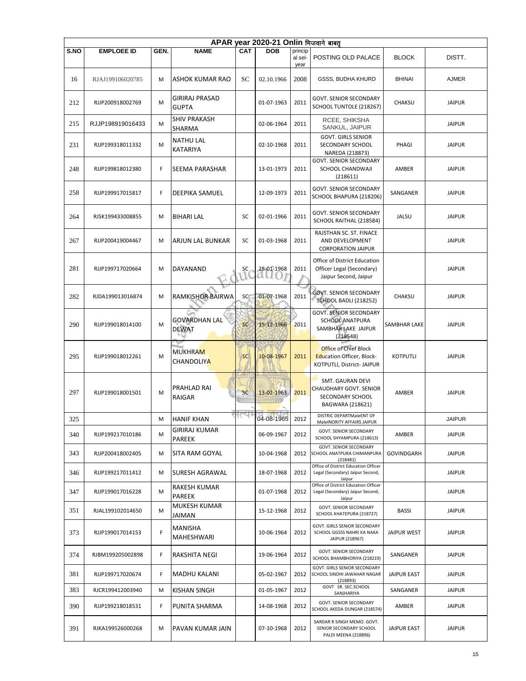|      | APAR year 2020-21 Onlin भिजवाने बाबत् |      |                                       |           |                     |                            |                                                                                                |                    |               |  |  |  |  |
|------|---------------------------------------|------|---------------------------------------|-----------|---------------------|----------------------------|------------------------------------------------------------------------------------------------|--------------------|---------------|--|--|--|--|
| S.NO | <b>EMPLOEE ID</b>                     | GEN. | <b>NAME</b>                           | CAT       | <b>DOB</b>          | princip<br>al sel-<br>year | POSTING OLD PALACE                                                                             | <b>BLOCK</b>       | DISTT.        |  |  |  |  |
| 16   | RJAJ199106020785                      | М    | <b>ASHOK KUMAR RAO</b>                | SC        | 02.10.1966          | 2008                       | <b>GSSS, BUDHA KHURD</b>                                                                       | <b>BHINAI</b>      | <b>AJMER</b>  |  |  |  |  |
| 212  | RJJP200918002769                      | M    | <b>GIRIRAJ PRASAD</b><br><b>GUPTA</b> |           | 01-07-1963          | 2011                       | <b>GOVT. SENIOR SECONDARY</b><br>SCHOOL TUNTOLE (218267)                                       | CHAKSU             | <b>JAIPUR</b> |  |  |  |  |
| 215  | RJJP198919016433                      | м    | <b>SHIV PRAKASH</b><br>SHARMA         |           | 02-06-1964          | 2011                       | RCEE, SHIKSHA<br>SANKUL, JAIPUR                                                                |                    | <b>JAIPUR</b> |  |  |  |  |
| 231  | RJJP199318011332                      | M    | <b>NATHU LAL</b><br><b>KATARIYA</b>   |           | 02-10-1968          | 2011                       | <b>GOVT. GIRLS SENIOR</b><br>SECONDARY SCHOOL<br>NAREDA (218873)                               | PHAGI              | <b>JAIPUR</b> |  |  |  |  |
| 248  | RJJP199818012380                      | F    | SEEMA PARASHAR                        |           | 13-01-1973          | 2011                       | GOVT. SENIOR SECONDARY<br>SCHOOL CHANDWAJI<br>(218611)                                         | AMBER              | <b>JAIPUR</b> |  |  |  |  |
| 258  | RJJP199917015817                      | F    | DEEPIKA SAMUEL                        |           | 12-09-1973          | 2011                       | <b>GOVT. SENIOR SECONDARY</b><br>SCHOOL BHAPURA (218206)                                       | SANGANER           | <b>JAIPUR</b> |  |  |  |  |
| 264  | RJSK199433008855                      | М    | <b>BIHARI LAL</b>                     | SC        | 02-01-1966          | 2011                       | <b>GOVT. SENIOR SECONDARY</b><br>SCHOOL RAITHAL (218584)                                       | JALSU              | <b>JAIPUR</b> |  |  |  |  |
| 267  | RJJP200419004467                      | м    | ARJUN LAL BUNKAR                      | SC        | 01-03-1968          | 2011                       | RAJSTHAN SC. ST. FINACE<br>AND DEVELOPMENT<br><b>CORPORATION JAIPUR</b>                        |                    | <b>JAIPUR</b> |  |  |  |  |
| 281  | RJJP199717020664                      | M    | DAYANAND                              | SC        | 28-01-1968<br>all() | 2011                       | Office of District Education<br>Officer Legal (Secondary)<br>Jaipur Second, Jaipur             |                    | <b>JAIPUR</b> |  |  |  |  |
| 282  | RJDA199013016874                      | м    | <b>RAMKISHOR BAIRWA</b>               | SC        | 01-07-1968          | 2011                       | <b>GOVT. SENIOR SECONDARY</b><br><b>SCHOOL BADLI (218252)</b>                                  | CHAKSU             | <b>JAIPUR</b> |  |  |  |  |
| 290  | RJJP199018014100                      | M    | <b>GOVARDHAN LAL</b><br><b>DEWAT</b>  | SC        | 15-12-1966          | 2011                       | <b>GOVT. SENIOR SECONDARY</b><br>SCHOOL ANATPURA<br>SAMBHAR LAKE JAIPUR<br>(218548)            | SAMBHAR LAKE       | <b>JAIPUR</b> |  |  |  |  |
| 295  | RJJP199018012261                      | M    | <b>MUKHRAM</b><br><b>CHANDOLIYA</b>   | <b>SC</b> | 10-08-1967          | 2011                       | <b>Office of Chief Block</b><br><b>Education Officer, Block-</b><br>KOTPUTLI, District- JAIPUR | <b>KOTPUTLI</b>    | <b>JAIPUR</b> |  |  |  |  |
| 297  | RJJP199018001501                      | M    | PRAHLAD RAI<br>RAIGAR                 | <b>SC</b> | 13-02-1963          | 2011                       | SMT. GAURAN DEVI<br><b>CHAUDHARY GOVT, SENIOR</b><br>SECONDARY SCHOOL<br>BAGWARA (218621)      | AMBER              | <b>JAIPUR</b> |  |  |  |  |
| 325  |                                       | М    | <b>HANIF KHAN</b>                     |           | 04-08-1965          | 2012                       | DISTRIC DEPARTMaleENT OF<br>MaleINORITY AFFAIRS JAIPUR                                         |                    | <b>JAIPUR</b> |  |  |  |  |
| 340  | RJJP199217010186                      | м    | GIRIRAJ KUMAR<br>PAREEK               |           | 06-09-1967          | 2012                       | GOVT. SENIOR SECONDARY<br>SCHOOL SHYAMPURA (218613)                                            | AMBER              | <b>JAIPUR</b> |  |  |  |  |
| 343  | RJJP200418002405                      | М    | SITA RAM GOYAL                        |           | 10-04-1968          | 2012                       | <b>GOVT. SENIOR SECONDARY</b><br>SCHOOL ANATPURA CHIMANPURA<br>(218481)                        | GOVINDGARH         | <b>JAIPUR</b> |  |  |  |  |
| 346  | RJJP199217011412                      | м    | SURESH AGRAWAL                        |           | 18-07-1968          | 2012                       | Office of District Education Officer<br>Legal (Secondary) Jaipur Second,<br>Jaipur             |                    | <b>JAIPUR</b> |  |  |  |  |
| 347  | RJJP199017016228                      | м    | RAKESH KUMAR<br>PAREEK                |           | 01-07-1968          | 2012                       | Office of District Education Officer<br>Legal (Secondary) Jaipur Second,<br>Jaipur             |                    | <b>JAIPUR</b> |  |  |  |  |
| 351  | RJAL199102014650                      | м    | MUKESH KUMAR<br>JAIMAN                |           | 15-12-1968          | 2012                       | <b>GOVT. SENIOR SECONDARY</b><br>SCHOOL KHATEPURA (218727)                                     | BASSI              | <b>JAIPUR</b> |  |  |  |  |
| 373  | RJJP199017014153                      | F    | MANISHA<br>MAHESHWARI                 |           | 10-06-1964          | 2012                       | GOVT. GIRLS SENIOR SECONDARY<br>SCHOOL GGSSS NAHRI KA NAKA<br>JAIPUR (218967)                  | <b>JAIPUR WEST</b> | <b>JAIPUR</b> |  |  |  |  |
| 374  | RJBM199205002898                      | F    | RAKSHITA NEGI                         |           | 19-06-1964          | 2012                       | GOVT. SENIOR SECONDARY<br>SCHOOL BHAMBHORIYA (218219)                                          | SANGANER           | <b>JAIPUR</b> |  |  |  |  |
| 381  | RJJP199717020674                      | F    | <b>MADHU KALANI</b>                   |           | 05-02-1967          | 2012                       | GOVT. GIRLS SENIOR SECONDARY<br>SCHOOL SINDHI JAWAHAR NAGAR<br>(218893)                        | <b>JAIPUR EAST</b> | <b>JAIPUR</b> |  |  |  |  |
| 383  | RJCR199412003940                      | М    | KISHAN SINGH                          |           | 01-05-1967          | 2012                       | GOVT SR. SEC.SCHOOL<br>SANJHARIYA                                                              | SANGANER           | <b>JAIPUR</b> |  |  |  |  |
| 390  | RJJP199218018531                      | F    | PUNITA SHARMA                         |           | 14-08-1968          | 2012                       | GOVT. SENIOR SECONDARY<br>SCHOOL AKEDA DUNGAR (218574)                                         | AMBER              | <b>JAIPUR</b> |  |  |  |  |
| 391  | RJKA199526000268                      | M    | PAVAN KUMAR JAIN                      |           | 07-10-1968          | 2012                       | SARDAR R SINGH MEMO. GOVT.<br>SENIOR SECONDARY SCHOOL<br>PALDI MEENA (218896)                  | JAIPUR EAST        | <b>JAIPUR</b> |  |  |  |  |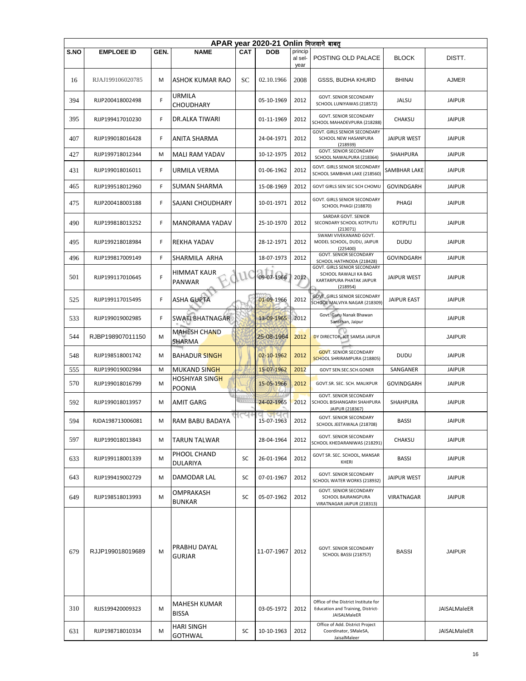|      | APAR year 2020-21 Onlin भिजवाने बाबत् |      |                                 |                |                   |                 |                                                                                               |                    |               |  |  |  |  |
|------|---------------------------------------|------|---------------------------------|----------------|-------------------|-----------------|-----------------------------------------------------------------------------------------------|--------------------|---------------|--|--|--|--|
| S.NO | <b>EMPLOEE ID</b>                     | GEN. | <b>NAME</b>                     | <b>CAT</b>     | <b>DOB</b>        | princip         | POSTING OLD PALACE                                                                            | <b>BLOCK</b>       | DISTT.        |  |  |  |  |
|      |                                       |      |                                 |                |                   | al sel-<br>year |                                                                                               |                    |               |  |  |  |  |
| 16   | RJAJ199106020785                      | M    | ASHOK KUMAR RAO                 | SC             | 02.10.1966        | 2008            | GSSS, BUDHA KHURD                                                                             | <b>BHINAI</b>      | <b>AJMER</b>  |  |  |  |  |
| 394  | RJJP200418002498                      | F    | URMILA<br>CHOUDHARY             |                | 05-10-1969        | 2012            | <b>GOVT. SENIOR SECONDARY</b><br>SCHOOL LUNIYAWAS (218572)                                    | <b>JALSU</b>       | <b>JAIPUR</b> |  |  |  |  |
| 395  | RJJP199417010230                      | F    | DR.ALKA TIWARI                  |                | 01-11-1969        | 2012            | <b>GOVT. SENIOR SECONDARY</b><br>SCHOOL MAHADEVPURA (218288)                                  | CHAKSU             | <b>JAIPUR</b> |  |  |  |  |
| 407  | RJJP199018016428                      | F    | ANITA SHARMA                    |                | 24-04-1971        | 2012            | GOVT. GIRLS SENIOR SECONDARY<br>SCHOOL NEW HASANPURA<br>(218939)                              | JAIPUR WEST        | <b>JAIPUR</b> |  |  |  |  |
| 427  | RJJP199718012344                      | M    | <b>MALI RAM YADAV</b>           |                | 10-12-1975        | 2012            | GOVT. SENIOR SECONDARY<br>SCHOOL NAWALPURA (218364)                                           | SHAHPURA           | <b>JAIPUR</b> |  |  |  |  |
| 431  | RJJP199018016011                      | F    | URMILA VERMA                    |                | 01-06-1962        | 2012            | GOVT. GIRLS SENIOR SECONDARY<br>SCHOOL SAMBHAR LAKE (218560)                                  | SAMBHAR LAKE       | <b>JAIPUR</b> |  |  |  |  |
| 465  | RJJP199518012960                      | F    | SUMAN SHARMA                    |                | 15-08-1969        | 2012            | GOVT GIRLS SEN SEC SCH CHOMU                                                                  | GOVINDGARH         | <b>JAIPUR</b> |  |  |  |  |
| 475  | RJJP200418003188                      | F    | <b>SAJANI CHOUDHARY</b>         |                | 10-01-1971        | 2012            | GOVT. GIRLS SENIOR SECONDARY<br>SCHOOL PHAGI (218870)                                         | PHAGI              | <b>JAIPUR</b> |  |  |  |  |
| 490  | RJJP199818013252                      | F    | <b>MANORAMA YADAV</b>           |                | 25-10-1970        | 2012            | SARDAR GOVT. SENIOR<br>SECONDARY SCHOOL KOTPUTLI<br>(213071)                                  | <b>KOTPUTLI</b>    | <b>JAIPUR</b> |  |  |  |  |
| 495  | RJJP199218018984                      | F    | REKHA YADAV                     |                | 28-12-1971        | 2012            | SWAMI VIVEKANAND GOVT.<br>MODEL SCHOOL, DUDU, JAIPUR<br>(225400)                              | <b>DUDU</b>        | <b>JAIPUR</b> |  |  |  |  |
| 496  | RJJP199817009149                      | F    | SHARMILA ARHA                   |                | 18-07-1973        | 2012            | GOVT. SENIOR SECONDARY<br>SCHOOL HATHNODA (218428)                                            | <b>GOVINDGARH</b>  | <b>JAIPUR</b> |  |  |  |  |
| 501  | RJJP199117010645                      | F    | HIMMAT KAUR<br>PANWAR           | W              | 09-07-1966        | 2012            | GOVT. GIRLS SENIOR SECONDARY<br>SCHOOL RAWALJI KA BAG<br>KARTARPURA PHATAK JAIPUR<br>(218954) | JAIPUR WEST        | <b>JAIPUR</b> |  |  |  |  |
| 525  | RJJP199117015495                      | F    | <b>ASHA GUPTA</b>               |                | 01-09-1966        | 2012            | <b>GOVT. GIRLS SENIOR SECONDARY</b><br>SCHOOL MALVIYA NAGAR (218309)                          | <b>JAIPUR EAST</b> | <b>JAIPUR</b> |  |  |  |  |
| 533  | RJJP199019002985                      | F    | SWATI BHATNAGAR                 |                | 13-09-1965        | 2012            | Govt. Guru Nanak Bhawan<br>Sansthan, Jaipur                                                   |                    | <b>JAIPUR</b> |  |  |  |  |
| 544  | RJBP198907011150                      | м    | <b>MAHESH CHAND</b><br>SHARMA   |                | 25-08-1964        | 2012            | DY DIRECTOR, ICT SAMSA JAIPUR                                                                 |                    | <b>JAIPUR</b> |  |  |  |  |
| 548  | RJJP198518001742                      | M    | <b>BAHADUR SINGH</b>            |                | 02-10-1962        | 2012            | <b>GOVT. SENIOR SECONDARY</b><br>SCHOOL SHRIRAMPURA (218805)                                  | <b>DUDU</b>        | <b>JAIPUR</b> |  |  |  |  |
| 555  | RJJP199019002984                      | M    | <b>MUKAND SINGH</b>             |                | 15-07-1962        | 2012            | GOVT SEN.SEC.SCH.GONER                                                                        | SANGANER           | <b>JAIPUR</b> |  |  |  |  |
| 570  | RJJP199018016799                      | M    | HOSHIYAR SINGH<br><b>POONIA</b> |                | 15-05-1966        | 2012            | GOVT.SR. SEC. SCH. MALIKPUR                                                                   | <b>GOVINDGARH</b>  | <b>JAIPUR</b> |  |  |  |  |
| 592  | RJJP199018013957                      | M    | AMIT GARG                       | <b>COLLECT</b> | 24-02-1965        | 2012            | <b>GOVT. SENIOR SECONDARY</b><br>SCHOOL BISHANGARH SHAHPURA<br>JAIPUR (218367)                | <b>SHAHPURA</b>    | <b>JAIPUR</b> |  |  |  |  |
| 594  | RJDA198713006081                      | М    | RAM BABU BADAYA                 |                | जपत<br>15-07-1963 | 2012            | <b>GOVT. SENIOR SECONDARY</b><br>SCHOOL JEETAWALA (218708)                                    | BASSI              | <b>JAIPUR</b> |  |  |  |  |
| 597  | RJJP199018013843                      | м    | <b>TARUN TALWAR</b>             |                | 28-04-1964        | 2012            | GOVT. SENIOR SECONDARY<br>SCHOOL KHEDARANIWAS (218291)                                        | CHAKSU             | <b>JAIPUR</b> |  |  |  |  |
| 633  | RJJP199118001339                      | M    | PHOOL CHAND<br>DULARIYA         | SC             | 26-01-1964        | 2012            | GOVT SR. SEC. SCHOOL, MANSAR<br>KHERI                                                         | BASSI              | <b>JAIPUR</b> |  |  |  |  |
| 643  | RJJP199419002729                      | M    | DAMODAR LAL                     | SC             | 07-01-1967        | 2012            | GOVT. SENIOR SECONDARY<br>SCHOOL WATER WORKS (218932)                                         | JAIPUR WEST        | <b>JAIPUR</b> |  |  |  |  |
| 649  | RJJP198518013993                      | M    | OMPRAKASH<br><b>BUNKAR</b>      | SC             | 05-07-1962        | 2012            | <b>GOVT. SENIOR SECONDARY</b><br>SCHOOL BAJRANGPURA<br>VIRATNAGAR JAIPUR (218313)             | VIRATNAGAR         | <b>JAIPUR</b> |  |  |  |  |
| 679  | RJJP199018019689                      | M    | PRABHU DAYAL<br>GURJAR          |                | 11-07-1967        | 2012            | <b>GOVT. SENIOR SECONDARY</b><br>SCHOOL BASSI (218757)                                        | <b>BASSI</b>       | <b>JAIPUR</b> |  |  |  |  |
| 310  | RJJS199420009323                      | M    | MAHESH KUMAR<br><b>BISSA</b>    |                | 03-05-1972        | 2012            | Office of the District Institute for<br>Education and Training, District-<br>JAISALMaleER     |                    | JAISALMaleER  |  |  |  |  |
| 631  | RJJP198718010334                      | M    | HARI SINGH<br><b>GOTHWAL</b>    | SC             | 10-10-1963        | 2012            | Office of Add. District Project<br>Coordinator, SMaleSA,<br>JaisalMaleer                      |                    | JAISALMaleER  |  |  |  |  |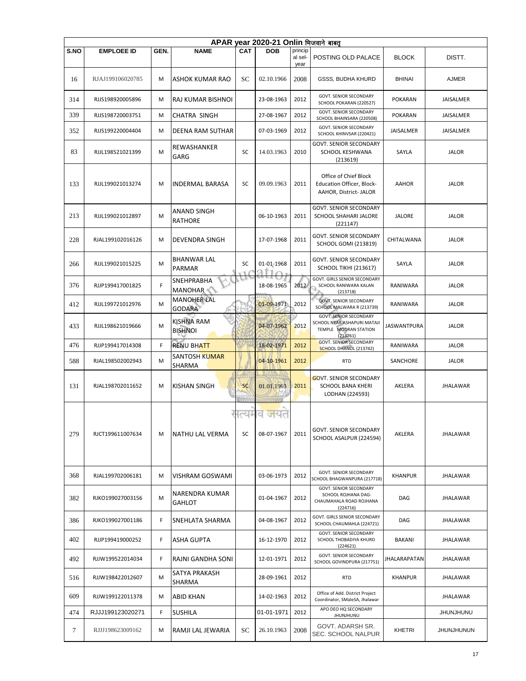|      | APAR year 2020-21 Onlin भिजवाने बाबत |      |                                     |            |                        |                            |                                                                                                   |                    |                   |  |  |  |  |
|------|--------------------------------------|------|-------------------------------------|------------|------------------------|----------------------------|---------------------------------------------------------------------------------------------------|--------------------|-------------------|--|--|--|--|
| S.NO | <b>EMPLOEE ID</b>                    | GEN. | <b>NAME</b>                         | CAT        | <b>DOB</b>             | princip<br>al sel-<br>year | POSTING OLD PALACE                                                                                | <b>BLOCK</b>       | DISTT.            |  |  |  |  |
| 16   | RJAJ199106020785                     | М    | ASHOK KUMAR RAO                     | SC         | 02.10.1966             | 2008                       | GSSS, BUDHA KHURD                                                                                 | <b>BHINAI</b>      | <b>AJMER</b>      |  |  |  |  |
| 314  | RJJS198920005896                     | м    | RAJ KUMAR BISHNOI                   |            | 23-08-1963             | 2012                       | GOVT. SENIOR SECONDARY<br>SCHOOL POKARAN (220527)                                                 | <b>POKARAN</b>     | JAISALMER         |  |  |  |  |
| 339  | RJJS198720003751                     | М    | <b>CHATRA SINGH</b>                 |            | 27-08-1967             | 2012                       | <b>GOVT. SENIOR SECONDARY</b><br>SCHOOL BHAINSARA (220508)                                        | <b>POKARAN</b>     | JAISALMER         |  |  |  |  |
| 352  | RJJS199220004404                     | М    | <b>DEENA RAM SUTHAR</b>             |            | 07-03-1969             | 2012                       | <b>GOVT. SENIOR SECONDARY</b><br>SCHOOL KHINVSAR (220421)                                         | JAISALMER          | JAISALMER         |  |  |  |  |
| 83   | RJJL198521021399                     | M    | REWASHANKER<br>GARG                 | SC         | 14.03.1963             | 2010                       | <b>GOVT. SENIOR SECONDARY</b><br>SCHOOL KESHWANA<br>(213619)                                      | SAYLA              | <b>JALOR</b>      |  |  |  |  |
| 133  | RJJL199021013274                     | M    | <b>INDERMAL BARASA</b>              | SC         | 09.09.1963             | 2011                       | Office of Chief Block<br>Education Officer, Block-<br>AAHOR, District- JALOR                      | <b>AAHOR</b>       | <b>JALOR</b>      |  |  |  |  |
| 213  | RJJL199021012897                     | М    | ANAND SINGH<br>RATHORE              |            | 06-10-1963             | 2011                       | GOVT. SENIOR SECONDARY<br>SCHOOL SHAHARI JALORE<br>(221147)                                       | <b>JALORE</b>      | <b>JALOR</b>      |  |  |  |  |
| 228  | RJAL199102016126                     | M    | <b>DEVENDRA SINGH</b>               |            | 17-07-1968             | 2011                       | GOVT. SENIOR SECONDARY<br><b>SCHOOL GOMI (213819)</b>                                             | CHITALWANA         | <b>JALOR</b>      |  |  |  |  |
| 266  | RJJL199021015225                     | м    | <b>BHANWAR LAL</b><br><b>PARMAR</b> | SC<br>71 A | 01-01-1968             | 2011                       | <b>GOVT. SENIOR SECONDARY</b><br><b>SCHOOL TIKHI (213617)</b>                                     | SAYLA              | <b>JALOR</b>      |  |  |  |  |
| 376  | RJJP199417001825                     | F    | SNEHPRABHA<br><b>MANOHAR</b>        |            | 18-08-1965             | 2012                       | <b>GOVT. GIRLS SENIOR SECONDARY</b><br>SCHOOL RANIWARA KALAN<br>(213718)                          | RANIWARA           | <b>JALOR</b>      |  |  |  |  |
| 412  | RJJL199721012976                     | M    | <b>MANOHER LAL</b><br><b>GODARA</b> |            | 01-09-1971             | 2012                       | <b>GOVT. SENIOR SECONDARY</b><br>SCHOOL MALWARA R (213739)                                        | RANIWARA           | <b>JALOR</b>      |  |  |  |  |
| 433  | RJJL198621019666                     | M    | <b>KISHNA RAM</b><br><b>BISHNOI</b> |            | 04-07-1962             | 2012                       | <b>GOVT. SENIOR SECONDARY</b><br>SCHOOL NEAR ASHAPURI MATAJI<br>TEMPLE MODRAN STATION<br>(213761) | <b>JASWANTPURA</b> | <b>JALOR</b>      |  |  |  |  |
| 476  | RJJP199417014308                     | F.   | <b>RENU BHATT</b>                   |            | 18-02-1971             | 2012                       | <b>GOVT. SENIOR SECONDARY</b><br>SCHOOL DHANOL (213742)                                           | RANIWARA           | <b>JALOR</b>      |  |  |  |  |
| 588  | RJAL198502002943                     | M    | <b>SANTOSH KUMAR</b><br>SHARMA      |            | 04-10-1961             | 2012                       | <b>RTD</b>                                                                                        | SANCHORE           | <b>JALOR</b>      |  |  |  |  |
| 131  | RJAL198702011652                     | М    | <b>KISHAN SINGH</b>                 | <b>SC</b>  | 01.01.1963             | 2011                       | <b>GOVT. SENIOR SECONDARY</b><br><b>SCHOOL BANA KHERI</b><br>LODHAN (224593)                      | AKLERA             | <b>JHALAWAR</b>   |  |  |  |  |
| 279  | RJCT199611007634                     | м    | <b>NATHU LAL VERMA</b>              | SC         | त्यमव जय<br>08-07-1967 | 2011                       | <b>GOVT. SENIOR SECONDARY</b><br>SCHOOL ASALPUR (224594)                                          | AKLERA             | <b>JHALAWAR</b>   |  |  |  |  |
| 368  | RJAL199702006181                     | м    | VISHRAM GOSWAMI                     |            | 03-06-1973             | 2012                       | GOVT. SENIOR SECONDARY<br>SCHOOL BHAGWANPURA (217718)                                             | <b>KHANPUR</b>     | JHALAWAR          |  |  |  |  |
| 382  | RJKO199027003156                     | M    | NARENDRA KUMAR<br><b>GAHLOT</b>     |            | 01-04-1967             | 2012                       | <b>GOVT. SENIOR SECONDARY</b><br>SCHOOL ROJHANA DAG-<br>CHAUMAHALA ROAD ROJHANA<br>(224716)       | DAG                | JHALAWAR          |  |  |  |  |
| 386  | RJKO199027001186                     | F    | SNEHLATA SHARMA                     |            | 04-08-1967             | 2012                       | <b>GOVT. GIRLS SENIOR SECONDARY</b><br>SCHOOL CHAUMAHLA (224721)                                  | DAG                | JHALAWAR          |  |  |  |  |
| 402  | RJJP199419000252                     | F    | ASHA GUPTA                          |            | 16-12-1970             | 2012                       | <b>GOVT. SENIOR SECONDARY</b><br>SCHOOL THOBADIYA KHURD<br>(224621)                               | BAKANI             | JHALAWAR          |  |  |  |  |
| 492  | RJJW199522014034                     | F    | RAJNI GANDHA SONI                   |            | 12-01-1971             | 2012                       | GOVT. SENIOR SECONDARY<br>SCHOOL GOVINDPURA (217751)                                              | JHALARAPATAN       | <b>JHALAWAR</b>   |  |  |  |  |
| 516  | RJJW198422012607                     | м    | SATYA PRAKASH<br>SHARMA             |            | 28-09-1961             | 2012                       | <b>RTD</b>                                                                                        | <b>KHANPUR</b>     | JHALAWAR          |  |  |  |  |
| 609  | RJJW199122011378                     | м    | <b>ABID KHAN</b>                    |            | 14-02-1963             | 2012                       | Office of Add. District Project<br>Coordinator, SMaleSA, Jhalawar                                 |                    | JHALAWAR          |  |  |  |  |
| 474  | RJJJ199123020271                     | F    | <b>SUSHILA</b>                      |            | 01-01-1971             | 2012                       | APO DEO HQ SECONDARY<br>JHUNJHUNU                                                                 |                    | <b>JHUNJHUNU</b>  |  |  |  |  |
| 7    | RJJJ198623009162                     | м    | RAMJI LAL JEWARIA                   | SC         | 26.10.1963             | 2008                       | GOVT. ADARSH SR.<br><b>SEC. SCHOOL NALPUR</b>                                                     | KHETRI             | <b>JHUNJHUNUN</b> |  |  |  |  |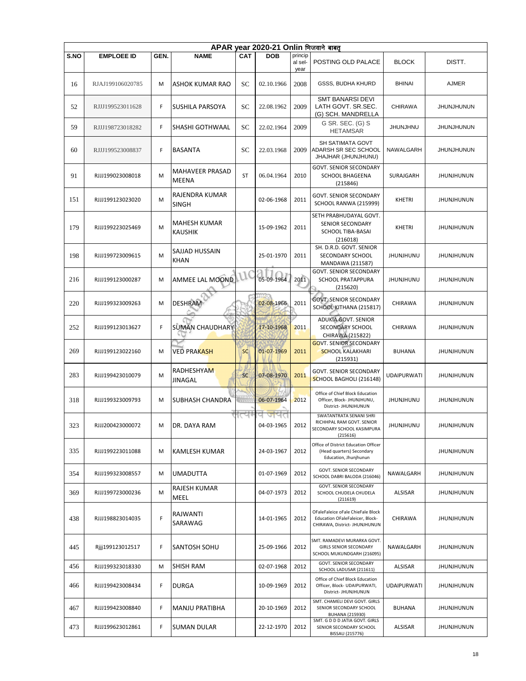|      | APAR year 2020-21 Onlin भिजवाने बाबत |      |                                 |                |            |                            |                                                                                                       |                    |                   |  |  |  |  |
|------|--------------------------------------|------|---------------------------------|----------------|------------|----------------------------|-------------------------------------------------------------------------------------------------------|--------------------|-------------------|--|--|--|--|
| S.NO | <b>EMPLOEE ID</b>                    | GEN. | <b>NAME</b>                     | <b>CAT</b>     | <b>DOB</b> | princip<br>al sel-<br>year | POSTING OLD PALACE                                                                                    | <b>BLOCK</b>       | DISTT.            |  |  |  |  |
| 16   | RJAJ199106020785                     | M    | ASHOK KUMAR RAO                 | SC             | 02.10.1966 | 2008                       | <b>GSSS, BUDHA KHURD</b>                                                                              | <b>BHINAI</b>      | <b>AJMER</b>      |  |  |  |  |
| 52   | RJJJ199523011628                     | F    | SUSHILA PARSOYA                 | SC             | 22.08.1962 | 2009                       | <b>SMT BANARSI DEVI</b><br>LATH GOVT. SR.SEC.<br>(G) SCH. MANDRELLA                                   | <b>CHIRAWA</b>     | <b>JHUNJHUNUN</b> |  |  |  |  |
| 59   | RJJJ198723018282                     | F    | SHASHI GOTHWAAL                 | SC             | 22.02.1964 | 2009                       | G SR. SEC. (G) S<br><b>HETAMSAR</b>                                                                   | <b>JHUNJHNU</b>    | <b>JHUNJHUNUN</b> |  |  |  |  |
| 60   | RJJJ199523008837                     | F    | <b>BASANTA</b>                  | SС             | 22.03.1968 | 2009                       | SH SATIMATA GOVT<br>ADARSH SR SEC SCHOOL<br>JHAJHAR (JHUNJHUNU)                                       | NAWALGARH          | <b>JHUNJHUNUN</b> |  |  |  |  |
| 91   | RJJJ199023008018                     | M    | MAHAVEER PRASAD<br><b>MEENA</b> | <b>ST</b>      | 06.04.1964 | 2010                       | <b>GOVT. SENIOR SECONDARY</b><br><b>SCHOOL BHAGEENA</b><br>(215846)                                   | SURAJGARH          | <b>JHUNJHUNUN</b> |  |  |  |  |
| 151  | RJJJ199123023020                     | M    | RAJENDRA KUMAR<br><b>SINGH</b>  |                | 02-06-1968 | 2011                       | GOVT. SENIOR SECONDARY<br>SCHOOL RANWA (215999)                                                       | <b>KHETRI</b>      | <b>JHUNJHUNUN</b> |  |  |  |  |
| 179  | RJJJ199223025469                     | M    | MAHESH KUMAR<br><b>KAUSHIK</b>  |                | 15-09-1962 | 2011                       | SETH PRABHUDAYAL GOVT.<br>SENIOR SECONDARY<br>SCHOOL TIBA-BASAI<br>(216018)                           | <b>KHETRI</b>      | <b>JHUNJHUNUN</b> |  |  |  |  |
| 198  | RJJJ199723009615                     | M    | SAJJAD HUSSAIN<br><b>KHAN</b>   |                | 25-01-1970 | 2011                       | SH. D.R.D. GOVT. SENIOR<br>SECONDARY SCHOOL<br>MANDAWA (211587)                                       | <b>JHUNJHUNU</b>   | <b>JHUNJHUNUN</b> |  |  |  |  |
| 216  | RJJJ199123000287                     | M    | AMMEE LAL MOOND                 |                | 05-09-1964 | 2011                       | <b>GOVT. SENIOR SECONDARY</b><br>SCHOOL PRATAPPURA<br>(215620)                                        | <b>JHUNJHUNU</b>   | <b>JHUNJHUNUN</b> |  |  |  |  |
| 220  | RJJJ199323009263                     | M    | <b>DESHRAM</b>                  |                | 02-08-1966 | 2011                       | <b>GOVT: SENIOR SECONDARY</b><br>SCHOOL KITHANA (215817)                                              | <b>CHIRAWA</b>     | <b>JHUNJHUNUN</b> |  |  |  |  |
| 252  | RJJJ199123013627                     | F    | <b>SUMAN CHAUDHARY</b>          |                | 17-10-1968 | 2011                       | <b>ADUKIA GOVT. SENIOR</b><br>SECONDARY SCHOOL<br>CHIRAWA (215822)                                    | CHIRAWA            | <b>JHUNJHUNUN</b> |  |  |  |  |
| 269  | RJJJ199123022160                     | M    | VED PRA <mark>KASH</mark>       | <b>SC</b>      | 01-07-1969 | 2011                       | <b>GOVT. SENIOR SECONDARY</b><br><b>SCHOOL KALAKHARI</b><br>(215931)                                  | <b>BUHANA</b>      | <b>JHUNJHUNUN</b> |  |  |  |  |
| 283  | RJJJ199423010079                     | M    | RADHESHYAM<br><b>JINAGAL</b>    | <b>SC</b>      | 07-08-1970 | 2011                       | <b>GOVT. SENIOR SECONDARY</b><br>SCHOOL BAGHOLI (216148)                                              | <b>UDAIPURWATI</b> | <b>JHUNJHUNUN</b> |  |  |  |  |
| 318  | RJJJ199323009793                     | M    | SUBHASH CHANDRA                 | <b>TELEVIS</b> | 06-07-1964 | 2012                       | Office of Chief Block Education<br>Officer, Block- JHUNJHUNU,<br>District- JHUNJHUNUN                 | <b>JHUNJHUNU</b>   | <b>JHUNJHUNUN</b> |  |  |  |  |
| 323  | RJJJ200423000072                     | M    | DR. DAYA RAM                    |                | 04-03-1965 | 2012                       | SWATANTRATA SENANI SHRI<br>RICHHPAL RAM GOVT. SENIOR<br>SECONDARY SCHOOL KASIMPURA<br>(215616)        | UNUHIUNU           | <b>JHUNJHUNUN</b> |  |  |  |  |
| 335  | RJJJ199223011088                     | M    | KAMLESH KUMAR                   |                | 24-03-1967 | 2012                       | Office of District Education Officer<br>(Head quarters) Secondary<br>Education, Jhunjhunun            |                    | <b>JHUNJHUNUN</b> |  |  |  |  |
| 354  | RJJJ199323008557                     | M    | UMADUTTA                        |                | 01-07-1969 | 2012                       | <b>GOVT. SENIOR SECONDARY</b><br>SCHOOL DABRI BALODA (216046)                                         | NAWALGARH          | <b>JHUNJHUNUN</b> |  |  |  |  |
| 369  | RJJJ199723000236                     | M    | RAJESH KUMAR<br>MEEL            |                | 04-07-1973 | 2012                       | <b>GOVT. SENIOR SECONDARY</b><br>SCHOOL CHUDELA CHUDELA<br>(211619)                                   | ALSISAR            | <b>JHUNJHUNUN</b> |  |  |  |  |
| 438  | RJJJ198823014035                     | F    | RAJWANTI<br>SARAWAG             |                | 14-01-1965 | 2012                       | OFaleFaleice oFale ChieFale Block<br>Education OFaleFaleicer, Block-<br>CHIRAWA, District- JHUNJHUNUN | CHIRAWA            | <b>JHUNJHUNUN</b> |  |  |  |  |
| 445  | Rjjj199123012517                     | F    | SANTOSH SOHU                    |                | 25-09-1966 | 2012                       | SMT. RAMADEVI MURARKA GOVT.<br><b>GIRLS SENIOR SECONDARY</b><br>SCHOOL MUKUNDGARH (216095)            | NAWALGARH          | <b>JHUNJHUNUN</b> |  |  |  |  |
| 456  | RJJJ199323018330                     | M    | SHISH RAM                       |                | 02-07-1968 | 2012                       | <b>GOVT. SENIOR SECONDARY</b><br>SCHOOL LADUSAR (211611)                                              | ALSISAR            | <b>JHUNJHUNUN</b> |  |  |  |  |
| 466  | RJJJ199423008434                     | F    | DURGA                           |                | 10-09-1969 | 2012                       | Office of Chief Block Education<br>Officer, Block- UDAIPURWATI,<br>District- JHUNJHUNUN               | <b>UDAIPURWATI</b> | <b>JHUNJHUNUN</b> |  |  |  |  |
| 467  | RJJJ199423008840                     | F    | MANJU PRATIBHA                  |                | 20-10-1969 | 2012                       | SMT. CHAMELI DEVI GOVT. GIRLS<br>SENIOR SECONDARY SCHOOL<br><b>BUHANA (215930)</b>                    | <b>BUHANA</b>      | <b>JHUNJHUNUN</b> |  |  |  |  |
| 473  | RJJJ199623012861                     | F    | <b>SUMAN DULAR</b>              |                | 22-12-1970 | 2012                       | SMT. G D D D JATIA GOVT. GIRLS<br>SENIOR SECONDARY SCHOOL<br>BISSAU (215776)                          | ALSISAR            | <b>JHUNJHUNUN</b> |  |  |  |  |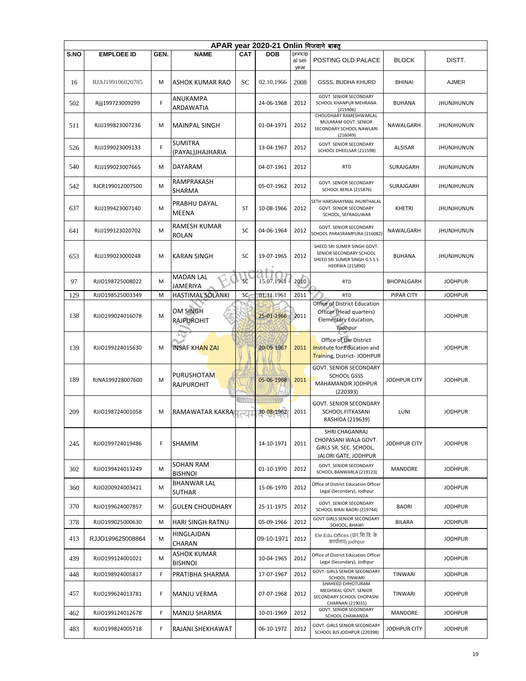|      | APAR year 2020-21 Onlin भिजवाने बाबत् |      |                                     |              |            |                            |                                                                                                                   |                     |                   |  |  |  |  |
|------|---------------------------------------|------|-------------------------------------|--------------|------------|----------------------------|-------------------------------------------------------------------------------------------------------------------|---------------------|-------------------|--|--|--|--|
| S.NO | <b>EMPLOEE ID</b>                     | GEN. | <b>NAME</b>                         | <b>CAT</b>   | <b>DOB</b> | princip<br>al sel-<br>year | POSTING OLD PALACE                                                                                                | <b>BLOCK</b>        | DISTT.            |  |  |  |  |
| 16   | RJAJ199106020785                      | M    | ASHOK KUMAR RAO                     | SC           | 02.10.1966 | 2008                       | GSSS, BUDHA KHURD                                                                                                 | <b>BHINAI</b>       | <b>AJMER</b>      |  |  |  |  |
| 502  | Rjjj199723009299                      | F    | ANUKAMPA<br>ARDAWATIA               |              | 24-06-1968 | 2012                       | GOVT. SENIOR SECONDARY<br>SCHOOL KHANPUR MEHRANA<br>(215906)                                                      | <b>BUHANA</b>       | <b>JHUNJHUNUN</b> |  |  |  |  |
| 511  | RJJJ199823007236                      | M    | <b>MAINPAL SINGH</b>                |              | 01-04-1971 | 2012                       | CHOUDHARY RAMESHWARLAL<br>MULARAM GOVT. SENIOR<br>SECONDARY SCHOOL NAWLARI<br>(216049)                            | NAWALGARH           | JHUNJHUNUN        |  |  |  |  |
| 526  | RJJJ199023009133                      | F    | <b>SUMITRA</b><br>(PAYAL)JHAJHARIA  |              | 13-04-1967 | 2012                       | <b>GOVT. SENIOR SECONDARY</b><br>SCHOOL DHEELSAR (211598)                                                         | <b>ALSISAR</b>      | <b>JHUNJHUNUN</b> |  |  |  |  |
| 540  | RJJJ199023007665                      | M    | DAYARAM                             |              | 04-07-1961 | 2012                       | <b>RTD</b>                                                                                                        | SURAJGARH           | JHUNJHUNUN        |  |  |  |  |
| 542  | RJCR199012007500                      | M    | RAMPRAKASH<br>SHARMA                |              | 05-07-1962 | 2012                       | <b>GOVT. SENIOR SECONDARY</b><br>SCHOOL BERLA (215876)                                                            | SURAJGARH           | <b>JHUNJHUNUN</b> |  |  |  |  |
| 637  | RJJJ199423007140                      | M    | PRABHU DAYAL<br>MEENA               | ST           | 10-08-1966 | 2012                       | SETH HARSAHAYMAL JHUNTHALAL<br><b>GOVT SENIOR SECONDARY</b><br>SCHOOL, SEFRAGUWAR                                 | <b>KHETRI</b>       | <b>JHUNJHUNUN</b> |  |  |  |  |
| 641  | RJJJ199123020702                      | M    | RAMESH KUMAR<br><b>ROLAN</b>        | <b>SC</b>    | 04-06-1964 | 2012                       | <b>GOVT. SENIOR SECONDARY</b><br>SCHOOL PARASRAMPURA (216082)                                                     | NAWALGARH           | <b>JHUNJHUNUN</b> |  |  |  |  |
| 653  | RJJJ199023000248                      | M    | <b>KARAN SINGH</b>                  | SC           | 19-07-1965 | 2012                       | SHEED SRI SUMER SINGH GOVT.<br>SENIOR SECONDARY SCHOOL<br>SHEED SRI SUMER SINGH G S S S<br><b>HEERWA (215890)</b> | <b>BUHANA</b>       | <b>JHUNJHUNUN</b> |  |  |  |  |
| 97   | RJJO198725008022                      | M    | <b>MADAN LAL</b><br>JAMERIYA        | <b>SC</b>    | 15.07.1961 | 2010                       | <b>RTD</b>                                                                                                        | <b>BHOPALGARH</b>   | <b>JODHPUR</b>    |  |  |  |  |
| 129  | RJJO198525003349                      | M    | HASTIMAL SOLANKI                    | SC           | 01.11.1961 | 2011                       | <b>RTD</b>                                                                                                        | <b>PIPAR CITY</b>   | <b>JODHPUR</b>    |  |  |  |  |
| 138  | RJJO199024016078                      | M    | OM SINGH<br><b>RAJPUROHIT</b>       |              | 25-01-1966 | 2011                       | Office of District Education<br>Officer (Head quarters)<br>Elementary Education,<br>Jodhpur                       |                     | <b>JODHPUR</b>    |  |  |  |  |
| 139  | RJJO199224015630                      | M    | <b>INSAF KHAN ZAI</b>               |              | 20-09-1967 | 2011                       | Office of the District<br>Institute for Education and<br>Training, District- JODHPUR                              |                     | <b>JODHPUR</b>    |  |  |  |  |
| 189  | RJNA199228007600                      | M    | <b>PURUSHOTAM</b><br>RAJPUROHIT     |              | 05-06-1968 | 2011                       | GOVT. SENIOR SECONDARY<br>SCHOOL GSSS<br>MAHAMANDIR JODHPUR<br>(220393)                                           | JODHPUR CITY        | <b>JODHPUR</b>    |  |  |  |  |
| 209  | RJJO198724001058                      | M    | RAMAWATAR KAKRA                     | <b>TELES</b> | 30-08-1962 | 2011                       | GOVT. SENIOR SECONDARY<br>SCHOOL FITKASANI<br>RASHIDA (219639)                                                    | LUNI                | <b>JODHPUR</b>    |  |  |  |  |
| 245  | RJJO199724019486                      | F    | <b>SHAMIM</b>                       |              | 14-10-1971 | 2011                       | SHRI CHAGANRAJ<br>CHOPASANI WALA GOVT.<br>GIRLS SR. SEC. SCHOOL,<br>JALORI GATE, JODHPUR                          | <b>JODHPUR CITY</b> | <b>JODHPUR</b>    |  |  |  |  |
| 302  | RJJO199424013249                      | M    | SOHAN RAM<br><b>BISHNOI</b>         |              | 01-10-1970 | 2012                       | <b>GOVT. SENIOR SECONDARY</b><br>SCHOOL BANWARLA (219123)                                                         | <b>MANDORE</b>      | <b>JODHPUR</b>    |  |  |  |  |
| 360  | RJJO200924003421                      | M    | <b>BHANWAR LAL</b><br><b>SUTHAR</b> |              | 15-06-1970 | 2012                       | Office of District Education Officer<br>Legal (Secondary), Jodhpur                                                |                     | <b>JODHPUR</b>    |  |  |  |  |
| 370  | RJJO199624007857                      | M    | <b>GULEN CHOUDHARY</b>              |              | 25-11-1975 | 2012                       | GOVT. SENIOR SECONDARY<br>SCHOOL BIRAI BAORI (219744)                                                             | <b>BAORI</b>        | <b>JODHPUR</b>    |  |  |  |  |
| 378  | RJJO199025000630                      | M    | HARI SINGH RATNU                    |              | 05-09-1966 | 2012                       | GOVT GIRLS SENIOR SECONDARY<br>SCHOOL, BHAWI                                                                      | <b>BILARA</b>       | <b>JODHPUR</b>    |  |  |  |  |
| 413  | RJJO199625008864                      | м    | HINGLAJDAN<br>CHARAN                |              | 09-10-1971 | 2012                       | Ele.Edu.Offices (प्रार.शि.वि. के<br>कार्यालय) jodhpur                                                             |                     | <b>JODHPUR</b>    |  |  |  |  |
| 439  | RJJO199124001021                      | M    | ASHOK KUMAR<br><b>BISHNOI</b>       |              | 10-04-1965 | 2012                       | Office of District Education Officer<br>Legal (Secondary), Jodhpur                                                |                     | <b>JODHPUR</b>    |  |  |  |  |
| 448  | RJJO198924005817                      | F    | PRATIBHA SHARMA                     |              | 17-07-1967 | 2012                       | GOVT. GIRLS SENIOR SECONDARY<br><b>SCHOOL TINWARI</b>                                                             | <b>TINWARI</b>      | <b>JODHPUR</b>    |  |  |  |  |
| 457  | RJJO199624013781                      | F    | MANJU VERMA                         |              | 07-07-1968 | 2012                       | SHAHEED CHHOTURAM<br>MEGHWAL GOVT. SENIOR<br>SECONDARY SCHOOL CHOPASNI<br>CHARNAN (219031)                        | <b>TINWARI</b>      | <b>JODHPUR</b>    |  |  |  |  |
| 462  | RJJO199124012678                      | F    | MANJU SHARMA                        |              | 10-01-1969 | 2012                       | GOVT. SENIOR SECONDARY<br>SCHOOL CHAWANDA                                                                         | MANDORE             | <b>JODHPUR</b>    |  |  |  |  |
| 483  | RJJO199824005718                      | F.   | RAJANI SHEKHAWAT                    |              | 06-10-1972 | 2012                       | GOVT. GIRLS SENIOR SECONDARY<br>SCHOOL BJS JODHPUR (220398)                                                       | JODHPUR CITY        | <b>JODHPUR</b>    |  |  |  |  |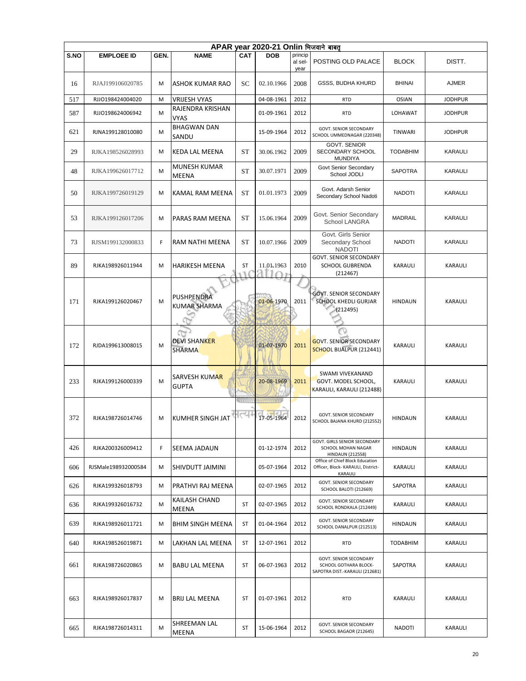|      | APAR year 2020-21 Onlin भिजवाने बाबत् |      |                                      |           |            |                 |                                                                                   |                 |                |  |  |  |  |
|------|---------------------------------------|------|--------------------------------------|-----------|------------|-----------------|-----------------------------------------------------------------------------------|-----------------|----------------|--|--|--|--|
| S.NO | <b>EMPLOEE ID</b>                     | GEN. | <b>NAME</b>                          | CAT       | <b>DOB</b> | princip         |                                                                                   |                 |                |  |  |  |  |
|      |                                       |      |                                      |           |            | al sel-<br>year | POSTING OLD PALACE                                                                | <b>BLOCK</b>    | DISTT.         |  |  |  |  |
| 16   | RJAJ199106020785                      | M    | <b>ASHOK KUMAR RAO</b>               | SC        | 02.10.1966 | 2008            | GSSS, BUDHA KHURD                                                                 | <b>BHINAI</b>   | <b>AJMER</b>   |  |  |  |  |
| 517  | RJJO198424004020                      | M    | <b>VRIJESH VYAS</b>                  |           | 04-08-1961 | 2012            | <b>RTD</b>                                                                        | <b>OSIAN</b>    | <b>JODHPUR</b> |  |  |  |  |
| 587  | RJJO198624006942                      | M    | RAJENDRA KRISHAN<br><b>VYAS</b>      |           | 01-09-1961 | 2012            | <b>RTD</b>                                                                        | LOHAWAT         | <b>JODHPUR</b> |  |  |  |  |
| 621  | RJNA199128010080                      | M    | <b>BHAGWAN DAN</b><br>SANDU          |           | 15-09-1964 | 2012            | <b>GOVT. SENIOR SECONDARY</b><br>SCHOOL UMMEDNAGAR (220348)                       | <b>TINWARI</b>  | <b>JODHPUR</b> |  |  |  |  |
| 29   | RJKA198526028993                      | M    | <b>KEDA LAL MEENA</b>                | <b>ST</b> | 30.06.1962 | 2009            | <b>GOVT. SENIOR</b><br>SECONDARY SCHOOL<br><b>MUNDIYA</b>                         | <b>TODABHIM</b> | KARAULI        |  |  |  |  |
| 48   | RJKA199626017712                      | M    | MUNESH KUMAR<br>MEENA                | <b>ST</b> | 30.07.1971 | 2009            | Govt Senior Secondary<br>School JODLI                                             | <b>SAPOTRA</b>  | KARAULI        |  |  |  |  |
| 50   | RJKA199726019129                      | M    | KAMAL RAM MEENA                      | <b>ST</b> | 01.01.1973 | 2009            | Govt. Adarsh Senior<br>Secondary School Nadoti                                    | <b>NADOTI</b>   | KARAULI        |  |  |  |  |
| 53   | RJKA199126017206                      | M    | PARAS RAM MEENA                      | <b>ST</b> | 15.06.1964 | 2009            | Govt. Senior Secondary<br><b>School LANGRA</b>                                    | <b>MADRAIL</b>  | KARAULI        |  |  |  |  |
| 73   | RJSM199132000833                      | F    | <b>RAM NATHI MEENA</b>               | <b>ST</b> | 10.07.1966 | 2009            | Govt. Girls Senior<br>Secondary School<br><b>NADOTI</b>                           | <b>NADOTI</b>   | KARAULI        |  |  |  |  |
| 89   | RJKA198926011944                      | M    | HARIKESH MEENA                       | ST        | 11.01.1963 | 2010            | <b>GOVT. SENIOR SECONDARY</b><br><b>SCHOOL GUBRENDA</b><br>(212467)               | KARAULI         | KARAULI        |  |  |  |  |
|      |                                       |      |                                      |           |            |                 |                                                                                   |                 |                |  |  |  |  |
|      |                                       |      | PUSHPENDRA                           |           |            |                 | <b>GOVT. SENIOR SECONDARY</b>                                                     |                 |                |  |  |  |  |
| 171  | RJKA199126020467                      | M    | <b>KUMAR SHARMA</b>                  |           | 01-06-1970 | 2011            | SCHOOL KHEDLI GURJAR                                                              | <b>HINDAUN</b>  | <b>KARAULI</b> |  |  |  |  |
|      |                                       |      |                                      |           |            |                 | (212495)                                                                          |                 |                |  |  |  |  |
|      |                                       |      |                                      |           |            |                 |                                                                                   |                 |                |  |  |  |  |
|      |                                       |      |                                      |           |            |                 |                                                                                   |                 |                |  |  |  |  |
| 172  | RJDA199613008015                      | M    | <b>DEVI SHANKER</b><br><b>SHARMA</b> |           | 01-07-1970 | 2011            | <b>GOVT. SENIOR SECONDARY</b><br>SCHOOL BIJALPUR (212441)                         | <b>KARAULI</b>  | <b>KARAULI</b> |  |  |  |  |
|      |                                       |      |                                      |           |            |                 |                                                                                   |                 |                |  |  |  |  |
|      |                                       |      |                                      |           |            |                 | <b>SWAMI VIVEKANAND</b>                                                           |                 |                |  |  |  |  |
| 233  | RJKA199126000339                      | M    | SARVESH KUMAR                        |           | 20-08-1969 | 2011            | GOVT. MODEL SCHOOL,                                                               | <b>KARAULI</b>  | KARAULI        |  |  |  |  |
|      |                                       |      | <b>GUPTA</b>                         |           |            |                 | KARAULI, KARAULI (212488)                                                         |                 |                |  |  |  |  |
|      |                                       |      |                                      |           |            |                 |                                                                                   |                 |                |  |  |  |  |
|      |                                       |      |                                      |           | 17-05-1964 |                 | GOVT. SENIOR SECONDARY                                                            |                 |                |  |  |  |  |
| 372  | RJKA198726014746                      | M    | <b>KUMHER SINGH JAT</b>              |           |            | 2012            | SCHOOL BAJANA KHURD (212552)                                                      | <b>HINDAUN</b>  | <b>KARAULI</b> |  |  |  |  |
|      |                                       |      |                                      |           |            |                 |                                                                                   |                 |                |  |  |  |  |
| 426  | RJKA200326009412                      | F    | SEEMA JADAUN                         |           | 01-12-1974 | 2012            | GOVT. GIRLS SENIOR SECONDARY<br>SCHOOL MOHAN NAGAR                                | <b>HINDAUN</b>  | KARAULI        |  |  |  |  |
|      |                                       |      |                                      |           |            |                 | <b>HINDAUN (212558)</b><br>Office of Chief Block Education                        |                 |                |  |  |  |  |
| 606  | RJSMale198932000584                   | м    | SHIVDUTT JAIMINI                     |           | 05-07-1964 | 2012            | Officer, Block- KARAULI, District-<br>KARAULI                                     | KARAULI         | KARAULI        |  |  |  |  |
| 626  | RJKA199326018793                      | M    | PRATHVI RAJ MEENA                    |           | 02-07-1965 | 2012            | <b>GOVT. SENIOR SECONDARY</b><br>SCHOOL BALOTI (212669)                           | SAPOTRA         | <b>KARAULI</b> |  |  |  |  |
| 636  | RJKA199326016732                      | M    | KAILASH CHAND<br>MEENA               | ST        | 02-07-1965 | 2012            | GOVT. SENIOR SECONDARY<br>SCHOOL RONDKALA (212449)                                | KARAULI         | KARAULI        |  |  |  |  |
| 639  | RJKA198926011721                      | м    | <b>BHIM SINGH MEENA</b>              | ST        | 01-04-1964 | 2012            | GOVT. SENIOR SECONDARY<br>SCHOOL DANALPUR (212513)                                | <b>HINDAUN</b>  | KARAULI        |  |  |  |  |
| 640  | RJKA198526019871                      | M    | LAKHAN LAL MEENA                     | ST        | 12-07-1961 | 2012            | <b>RTD</b>                                                                        | <b>TODABHIM</b> | KARAULI        |  |  |  |  |
| 661  | RJKA198726020865                      | м    | <b>BABU LAL MEENA</b>                | ST        | 06-07-1963 | 2012            | GOVT. SENIOR SECONDARY<br>SCHOOL GOTHARA BLOCK-<br>SAPOTRA DIST.-KARAULI (212681) | SAPOTRA         | KARAULI        |  |  |  |  |
|      |                                       |      |                                      |           |            |                 |                                                                                   |                 |                |  |  |  |  |
| 663  | RJKA198926017837                      | м    | <b>BRIJ LAL MEENA</b>                | ST        | 01-07-1961 | 2012            | <b>RTD</b>                                                                        | KARAULI         | KARAULI        |  |  |  |  |
|      |                                       |      |                                      |           |            |                 |                                                                                   |                 |                |  |  |  |  |
|      |                                       |      |                                      |           |            |                 |                                                                                   |                 |                |  |  |  |  |
| 665  | RJKA198726014311                      | M    | SHREEMAN LAL<br>MEENA                | ST        | 15-06-1964 | 2012            | GOVT. SENIOR SECONDARY<br>SCHOOL BAGAOR (212645)                                  | <b>NADOTI</b>   | KARAULI        |  |  |  |  |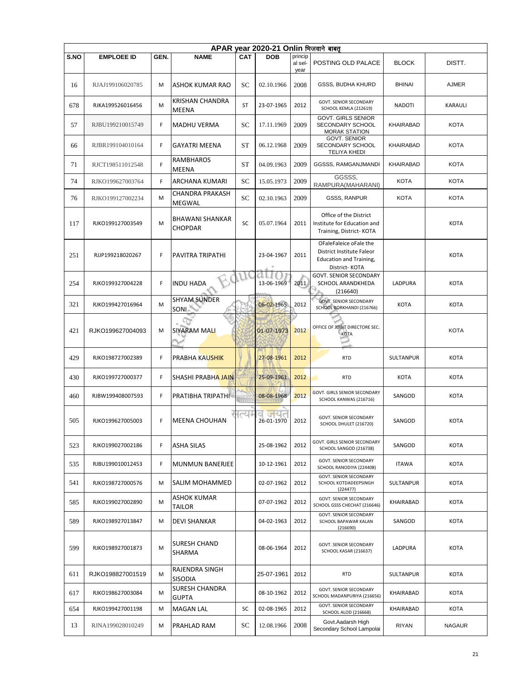|      |                   |      |                                          |            | APAR year 2020-21 Onlin भिजवाने बाबत |                            |                                                                                                               |                  |              |
|------|-------------------|------|------------------------------------------|------------|--------------------------------------|----------------------------|---------------------------------------------------------------------------------------------------------------|------------------|--------------|
| S.NO | <b>EMPLOEE ID</b> | GEN. | <b>NAME</b>                              | <b>CAT</b> | <b>DOB</b>                           | princip<br>al sel-<br>year | POSTING OLD PALACE                                                                                            | <b>BLOCK</b>     | DISTT.       |
| 16   | RJAJ199106020785  | М    | ASHOK KUMAR RAO                          | SC         | 02.10.1966                           | 2008                       | <b>GSSS, BUDHA KHURD</b>                                                                                      | <b>BHINAI</b>    | <b>AJMER</b> |
| 678  | RJKA199526016456  | М    | <b>KRISHAN CHANDRA</b><br>MEENA          | ST         | 23-07-1965                           | 2012                       | <b>GOVT. SENIOR SECONDARY</b><br>SCHOOL KEMLA (212619)                                                        | <b>NADOTI</b>    | KARAULI      |
| 57   | RJBU199210015749  | F.   | <b>MADHU VERMA</b>                       | SC         | 17.11.1969                           | 2009                       | <b>GOVT. GIRLS SENIOR</b><br>SECONDARY SCHOOL<br><b>MORAK STATION</b>                                         | KHAIRABAD        | <b>KOTA</b>  |
| 66   | RJBR199104010164  | F.   | <b>GAYATRI MEENA</b>                     | <b>ST</b>  | 06.12.1968                           | 2009                       | <b>GOVT. SENIOR</b><br>SECONDARY SCHOOL<br><b>TELIYA KHEDI</b>                                                | KHAIRABAD        | KOTA         |
| 71   | RJCT198511012548  | F    | <b>RAMBHAROS</b><br>MEENA                | <b>ST</b>  | 04.09.1963                           | 2009                       | GGSSS, RAMGANJMANDI                                                                                           | <b>KHAIRABAD</b> | <b>KOTA</b>  |
| 74   | RJKO199627003764  | F.   | ARCHANA KUMARI                           | SC         | 15.05.1973                           | 2009                       | GGSSS,<br>RAMPURA(MAHARANI)                                                                                   | <b>KOTA</b>      | <b>KOTA</b>  |
| 76   | RJKO199127002234  | м    | CHANDRA PRAKASH<br>MEGWAL                | <b>SC</b>  | 02.10.1963                           | 2009                       | <b>GSSS, RANPUR</b>                                                                                           | <b>KOTA</b>      | <b>KOTA</b>  |
| 117  | RJKO199127003549  | M    | <b>BHAWANI SHANKAR</b><br><b>CHOPDAR</b> | SC         | 05.07.1964                           | 2011                       | Office of the District<br>Institute for Education and<br>Training, District-KOTA                              |                  | <b>KOTA</b>  |
| 251  | RJJP199218020267  | F    | PAVITRA TRIPATHI                         |            | 23-04-1967                           | 2011                       | OFaleFaleice oFale the<br><b>District Institute Faleor</b><br><b>Education and Training,</b><br>District-KOTA |                  | <b>KOTA</b>  |
| 254  | RJKO199327004228  | F    | <b>INDU HADA</b>                         |            | 13-06-1969                           | 2011                       | <b>GOVT. SENIOR SECONDARY</b><br>SCHOOL ARANDKHEDA<br>(216640)                                                | LADPURA          | <b>KOTA</b>  |
| 321  | RJKO199427016964  | м    | <b>SHYAM SUNDER</b><br>SONI <sub>A</sub> |            | 06-02-1965                           | 2012                       | <b>GOVT. SENIOR SECONDARY</b><br>SCHOOL BORKHANDI (216766)                                                    | <b>KOTA</b>      | <b>KOTA</b>  |
| 421  | RJKO199627004093  | M    | <b>SIYARAM MALI</b>                      |            | 01-07-1973                           | 2012                       | OFFICE OF JOINT DIRECTORE SEC.<br><b>KOTA</b>                                                                 |                  | KOTA         |
| 429  | RJKO198727002389  | F.   | PRABHA KAUSHIK                           |            | 27-08-1961                           | 2012                       | <b>RTD</b>                                                                                                    | SULTANPUR        | <b>KOTA</b>  |
| 430  | RJKO199727000377  | F.   | <b>SHASHI PRABHA JAIN</b>                |            | 25-09-1961                           | 2012                       | <b>RTD</b>                                                                                                    | <b>KOTA</b>      | <b>KOTA</b>  |
| 460  | RJBW199408007593  | F.   | PRATIBHA TRIPATHI                        |            | 08-08-1968                           | 2012                       | GOVT. GIRLS SENIOR SECONDARY<br>SCHOOL KANWAS (216716)                                                        | SANGOD           | <b>KOTA</b>  |
| 505  | RJKO199627005003  | F    | <b>MEENA CHOUHAN</b>                     |            | 26-01-1970                           | 2012                       | GOVT. SENIOR SECONDARY<br>SCHOOL DHULET (216720)                                                              | SANGOD           | <b>KOTA</b>  |
| 523  | RJKO199027002186  | F.   | <b>ASHA SILAS</b>                        |            | 25-08-1962                           | 2012                       | GOVT. GIRLS SENIOR SECONDARY<br>SCHOOL SANGOD (216738)                                                        | SANGOD           | <b>KOTA</b>  |
| 535  | RJBU199010012453  | F.   | <b>MUNMUN BANERJEE</b>                   |            | 10-12-1961                           | 2012                       | GOVT. SENIOR SECONDARY<br>SCHOOL RANODIYA (224408)                                                            | <b>ITAWA</b>     | KOTA         |
| 541  | RJKO198727000576  | М    | SALIM MOHAMMED                           |            | 02-07-1962                           | 2012                       | <b>GOVT. SENIOR SECONDARY</b><br>SCHOOL KOTDADEEPSINGH<br>(224477)                                            | SULTANPUR        | KOTA         |
| 585  | RJKO199027002890  | M    | ASHOK KUMAR<br><b>TAILOR</b>             |            | 07-07-1962                           | 2012                       | GOVT. SENIOR SECONDARY<br>SCHOOL GSSS CHECHAT (216646)                                                        | KHAIRABAD        | <b>KOTA</b>  |
| 589  | RJKO198927013847  | м    | <b>DEVI SHANKAR</b>                      |            | 04-02-1963                           | 2012                       | GOVT. SENIOR SECONDARY<br>SCHOOL BAPAWAR KALAN<br>(216690)                                                    | SANGOD           | KOTA         |
| 599  | RJKO198927001873  | M    | <b>SURESH CHAND</b><br>SHARMA            |            | 08-06-1964                           | 2012                       | <b>GOVT. SENIOR SECONDARY</b><br>SCHOOL KASAR (216637)                                                        | LADPURA          | <b>KOTA</b>  |
| 611  | RJKO198827001519  | м    | RAJENDRA SINGH<br><b>SISODIA</b>         |            | 25-07-1961                           | 2012                       | <b>RTD</b>                                                                                                    | SULTANPUR        | KOTA         |
| 617  | RJKO198627003084  | м    | <b>SURESH CHANDRA</b><br><b>GUPTA</b>    |            | 08-10-1962                           | 2012                       | <b>GOVT. SENIOR SECONDARY</b><br>SCHOOL MADANPURIYA (216656)                                                  | KHAIRABAD        | <b>KOTA</b>  |
| 654  | RJKO199427001198  | М    | MAGAN LAL                                | SC         | 02-08-1965                           | 2012                       | GOVT. SENIOR SECONDARY<br><b>SCHOOL ALOD (216668)</b>                                                         | KHAIRABAD        | KOTA         |
| 13   | RJNA199028010249  | м    | PRAHLAD RAM                              | SC         | 12.08.1966                           | 2008                       | Govt.Aadarsh High<br>Secondary School Lampolai                                                                | <b>RIYAN</b>     | NAGAUR       |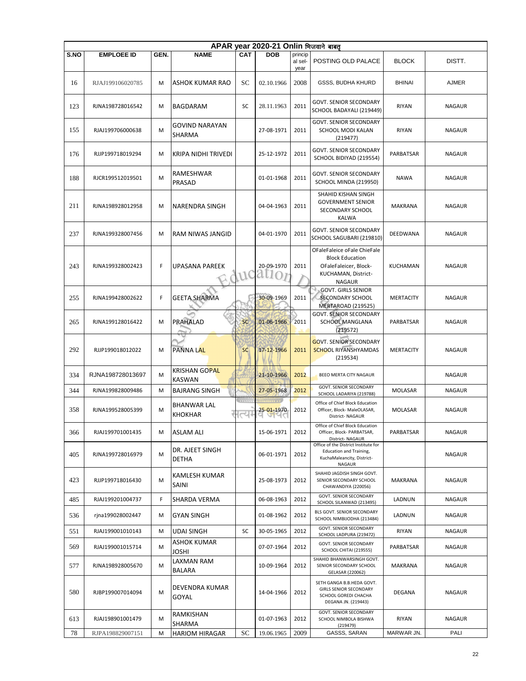|      | APAR year 2020-21 Onlin भिजवाने बाबत् |      |                                        |                                   |                        |                            |                                                                                                                        |                  |               |  |  |  |  |
|------|---------------------------------------|------|----------------------------------------|-----------------------------------|------------------------|----------------------------|------------------------------------------------------------------------------------------------------------------------|------------------|---------------|--|--|--|--|
| S.NO | <b>EMPLOEE ID</b>                     | GEN. | <b>NAME</b>                            | <b>CAT</b>                        | <b>DOB</b>             | princip<br>al sel-<br>year | POSTING OLD PALACE                                                                                                     | <b>BLOCK</b>     | DISTT.        |  |  |  |  |
| 16   | RJAJ199106020785                      | M    | ASHOK KUMAR RAO                        | SC                                | 02.10.1966             | 2008                       | GSSS, BUDHA KHURD                                                                                                      | <b>BHINAI</b>    | <b>AJMER</b>  |  |  |  |  |
| 123  | RJNA198728016542                      | M    | BAGDARAM                               | SC                                | 28.11.1963             | 2011                       | <b>GOVT. SENIOR SECONDARY</b><br>SCHOOL BADAYALI (219449)                                                              | <b>RIYAN</b>     | <b>NAGAUR</b> |  |  |  |  |
| 155  | RJAJ199706000638                      | M    | <b>GOVIND NARAYAN</b><br><b>SHARMA</b> |                                   | 27-08-1971             | 2011                       | <b>GOVT. SENIOR SECONDARY</b><br>SCHOOL MODI KALAN<br>(219477)                                                         | <b>RIYAN</b>     | <b>NAGAUR</b> |  |  |  |  |
| 176  | RJJP199718019294                      | M    | <b>KRIPA NIDHI TRIVEDI</b>             |                                   | 25-12-1972             | 2011                       | GOVT. SENIOR SECONDARY<br>SCHOOL BIDIYAD (219554)                                                                      | PARBATSAR        | <b>NAGAUR</b> |  |  |  |  |
| 188  | RJCR199512019501                      | M    | RAMESHWAR<br>PRASAD                    |                                   | 01-01-1968             | 2011                       | <b>GOVT. SENIOR SECONDARY</b><br>SCHOOL MINDA (219950)                                                                 | <b>NAWA</b>      | <b>NAGAUR</b> |  |  |  |  |
| 211  | RJNA198928012958                      | M    | NARENDRA SINGH                         |                                   | 04-04-1963             | 2011                       | SHAHID KISHAN SINGH<br><b>GOVERNMENT SENIOR</b><br>SECONDARY SCHOOL<br><b>KALWA</b>                                    | MAKRANA          | <b>NAGAUR</b> |  |  |  |  |
| 237  | RJNA199328007456                      | M    | RAM NIWAS JANGID                       |                                   | 04-01-1970             | 2011                       | <b>GOVT. SENIOR SECONDARY</b><br>SCHOOL SAGUBARI (219810)                                                              | DEEDWANA         | <b>NAGAUR</b> |  |  |  |  |
| 243  | RJNA199328002423                      | F    | UPASANA PAREEK                         | tuc                               | 20-09-1970<br>a<br>()7 | 2011                       | OFaleFaleice oFale ChieFale<br><b>Block Education</b><br>OFaleFaleicer, Block-<br>KUCHAMAN, District-<br><b>NAGAUR</b> | KUCHAMAN         | <b>NAGAUR</b> |  |  |  |  |
| 255  | RJNA199428002622                      | F    | <b>GEETA SHARMA</b>                    |                                   | 30-09-1969             | 2011                       | <b>GOVT. GIRLS SENIOR</b><br><b>SECONDARY SCHOOL</b><br>MERTAROAD (219525)                                             | MERTACITY        | <b>NAGAUR</b> |  |  |  |  |
| 265  | RJNA199128016422                      | M    | PRAHALAD                               | <b>SC</b>                         | 01-06-1966             | 2011                       | <b>GOVT. SENIOR SECONDARY</b><br>SCHOOL MANGLANA<br>(219572)                                                           | PARBATSAR        | NAGAUR        |  |  |  |  |
| 292  | RJJP199018012022                      | M    | <b>PANNA LAL</b>                       | SC                                | 17-12-1966             | 2011                       | <b>GOVT. SENIOR SECONDARY</b><br><b>SCHOOL RIYANSHYAMDAS</b><br>(219534)                                               | <b>MERTACITY</b> | <b>NAGAUR</b> |  |  |  |  |
| 334  | RJNA198728013697                      | M    | <b>KRISHAN GOPAL</b><br>KASWAN         |                                   | 21-10-1966             | 2012                       | BEEO MERTA CITY NAGAUR                                                                                                 |                  | <b>NAGAUR</b> |  |  |  |  |
| 344  | RJNA199828009486                      | M    | <b>BAJRANG SINGH</b>                   |                                   | 27-05-1968             | 2012                       | GOVT. SENIOR SECONDARY<br>SCHOOL LADARIYA (219788)                                                                     | <b>MOLASAR</b>   | <b>NAGAUR</b> |  |  |  |  |
| 358  | RJNA199528005399                      | M    | <b>BHANWAR LAL</b><br><b>KHOKHAR</b>   | <b>CELLE</b><br>$\overline{\sim}$ | 25-01-1970<br>UMU      | 2012                       | Office of Chief Block Education<br>Officer, Block- MaleOLASAR,<br>District-NAGAUR                                      | MOLASAR          | <b>NAGAUR</b> |  |  |  |  |
| 366  | RJAJ199701001435                      | M    | <b>ASLAM ALI</b>                       |                                   | 15-06-1971             | 2012                       | Office of Chief Block Education<br>Officer, Block- PARBATSAR,<br>District-NAGAUR                                       | PARBATSAR        | <b>NAGAUR</b> |  |  |  |  |
| 405  | RJNA199728016979                      | M    | DR. AJEET SINGH<br>DETHA               |                                   | 06-01-1971             | 2012                       | Office of the District Institute for<br>Education and Training,<br>KuchaMaleancity, District-<br>NAGAUR                |                  | NAGAUR        |  |  |  |  |
| 423  | RJJP199718016430                      | M    | KAMLESH KUMAR<br><b>SAINI</b>          |                                   | 25-08-1973             | 2012                       | SHAHID JAGDISH SINGH GOVT.<br>SENIOR SECONDARY SCHOOL<br>CHAWANDIYA (220056)                                           | MAKRANA          | <b>NAGAUR</b> |  |  |  |  |
| 485  | RJAJ199201004737                      | F    | SHARDA VERMA                           |                                   | 06-08-1963             | 2012                       | GOVT. SENIOR SECONDARY<br>SCHOOL SILANWAD (213495)                                                                     | LADNUN           | NAGAUR        |  |  |  |  |
| 536  | rjna199028002447                      | M    | <b>GYAN SINGH</b>                      |                                   | 01-08-1962             | 2012                       | BLS GOVT. SENIOR SECONDARY<br>SCHOOL NIMBIJODHA (213484)                                                               | LADNUN           | <b>NAGAUR</b> |  |  |  |  |
| 551  | RJAJ199001010143                      | M    | UDAI SINGH                             | SC                                | 30-05-1965             | 2012                       | GOVT. SENIOR SECONDARY<br>SCHOOL LADPURA (219472)                                                                      | <b>RIYAN</b>     | <b>NAGAUR</b> |  |  |  |  |
| 569  | RJAJ199001015714                      | м    | ASHOK KUMAR<br>JOSHI                   |                                   | 07-07-1964             | 2012                       | GOVT. SENIOR SECONDARY<br>SCHOOL CHITAI (219555)                                                                       | PARBATSAR        | NAGAUR        |  |  |  |  |
| 577  | RJNA198928005670                      | M    | LAXMAN RAM<br>BALARA                   |                                   | 10-09-1964             | 2012                       | SHAHID BHANWARSINGH GOVT.<br>SENIOR SECONDARY SCHOOL<br>GELASAR (220062)                                               | MAKRANA          | NAGAUR        |  |  |  |  |
| 580  | RJBP199007014094                      | M    | DEVENDRA KUMAR<br>GOYAL                |                                   | 14-04-1966             | 2012                       | SETH GANGA B.B.HEDA GOVT.<br><b>GIRLS SENIOR SECONDARY</b><br>SCHOOL GOREDI CHACHA<br>DEGANA JN. (219443)              | DEGANA           | NAGAUR        |  |  |  |  |
| 613  | RJAJ198901001479                      | м    | RAMKISHAN<br>SHARMA                    |                                   | 01-07-1963             | 2012                       | <b>GOVT. SENIOR SECONDARY</b><br>SCHOOL NIMBOLA BISHWA<br>(219479)                                                     | RIYAN            | NAGAUR        |  |  |  |  |
| 78   | RJPA198829007151                      | M    | HARIOM HIRAGAR                         | SС                                | 19.06.1965             | 2009                       | GASSS, SARAN                                                                                                           | MARWAR JN.       | PALI          |  |  |  |  |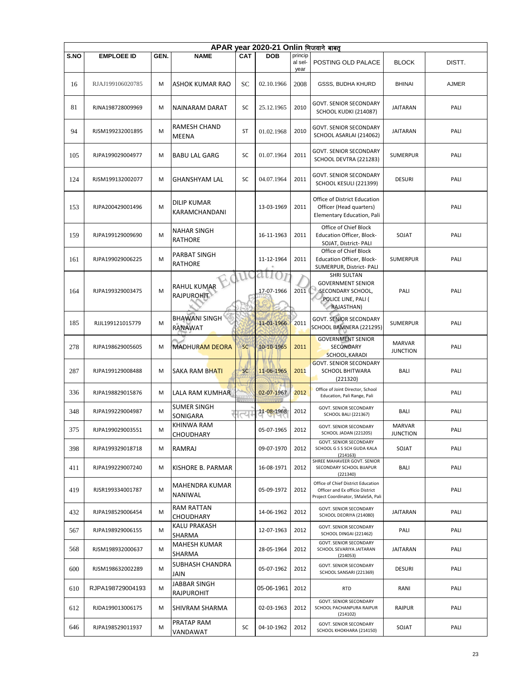|      | APAR vear 2020-21 Onlin भिजवाने बाबत |      |                                         |            |                  |                            |                                                                                                             |                                  |              |  |  |  |  |
|------|--------------------------------------|------|-----------------------------------------|------------|------------------|----------------------------|-------------------------------------------------------------------------------------------------------------|----------------------------------|--------------|--|--|--|--|
| S.NO | <b>EMPLOEE ID</b>                    | GEN. | <b>NAME</b>                             | <b>CAT</b> | DOB              | princip<br>al sel-<br>year | POSTING OLD PALACE                                                                                          | <b>BLOCK</b>                     | DISTT.       |  |  |  |  |
| 16   | RJAJ199106020785                     | М    | ASHOK KUMAR RAO                         | SC         | 02.10.1966       | 2008                       | GSSS, BUDHA KHURD                                                                                           | <b>BHINAI</b>                    | <b>AJMER</b> |  |  |  |  |
| 81   | RJNA198728009969                     | м    | NAINARAM DARAT                          | SC         | 25.12.1965       | 2010                       | <b>GOVT. SENIOR SECONDARY</b><br>SCHOOL KUDKI (214087)                                                      | JAITARAN                         | PALI         |  |  |  |  |
| 94   | RJSM199232001895                     | M    | RAMESH CHAND<br>MEENA                   | ST         | 01.02.1968       | 2010                       | <b>GOVT. SENIOR SECONDARY</b><br>SCHOOL ASARLAI (214062)                                                    | <b>JAITARAN</b>                  | PALI         |  |  |  |  |
| 105  | RJPA199029004977                     | M    | <b>BABU LAL GARG</b>                    | <b>SC</b>  | 01.07.1964       | 2011                       | GOVT. SENIOR SECONDARY<br>SCHOOL DEVTRA (221283)                                                            | <b>SUMERPUR</b>                  | PALI         |  |  |  |  |
| 124  | RJSM199132002077                     | М    | <b>GHANSHYAM LAL</b>                    | SC         | 04.07.1964       | 2011                       | <b>GOVT. SENIOR SECONDARY</b><br>SCHOOL KESULI (221399)                                                     | <b>DESURI</b>                    | PALI         |  |  |  |  |
| 153  | RJPA200429001496                     | M    | <b>DILIP KUMAR</b><br>KARAMCHANDANI     |            | 13-03-1969       | 2011                       | Office of District Education<br>Officer (Head quarters)<br>Elementary Education, Pali                       |                                  | PALI         |  |  |  |  |
| 159  | RJPA199129009690                     | M    | <b>NAHAR SINGH</b><br><b>RATHORE</b>    |            | 16-11-1963       | 2011                       | Office of Chief Block<br>Education Officer, Block-<br>SOJAT, District- PALI                                 | SOJAT                            | PALI         |  |  |  |  |
| 161  | RJPA199029006225                     | M    | PARBAT SINGH<br><b>RATHORE</b>          |            | 11-12-1964       | 2011                       | Office of Chief Block<br><b>Education Officer, Block-</b><br>SUMERPUR, District- PALI                       | <b>SUMERPUR</b>                  | PALI         |  |  |  |  |
| 164  | RJPA199329003475                     | M    | <b>RAHUL KUMAR</b><br><b>RAJPUROHIT</b> |            | dU<br>17-07-1966 | 2011                       | <b>SHRI SULTAN</b><br><b>GOVERNMENT SENIOR</b><br>SECONDARY SCHOOL,<br>POLICE LINE, PALI (<br>RAJASTHAN)    | PALI                             | PALI         |  |  |  |  |
| 185  | RJJL199121015779                     | M    | <b>BHAWANI SINGH</b><br><b>RANAWAT</b>  |            | 11-01-1966       | 2011                       | <b>GOVT. SENIOR SECONDARY</b><br>SCHOOL BAMNERA (221295)                                                    | <b>SUMERPUR</b>                  | PALI         |  |  |  |  |
| 278  | RJPA198629005605                     | M    | <b>MADHURAM DEORA</b>                   | SC         | 10-10-1965       | 2011                       | <b>GOVERNMENT SENIOR</b><br>SECONDARY<br>SCHOOL, KARADI                                                     | <b>MARVAR</b><br><b>JUNCTION</b> | PALI         |  |  |  |  |
| 287  | RJPA199129008488                     | M    | <b>SAKA RAM BHATI</b>                   | <b>SC</b>  | 11-06-1965       | 2011                       | <b>GOVT. SENIOR SECONDARY</b><br>SCHOOL BHITWARA<br>(221320)                                                | <b>BALI</b>                      | PALI         |  |  |  |  |
| 336  | RJPA198829015876                     | м    | LALA RAM KUMHAR                         |            | 02-07-1967       | 2012                       | Office of Joint Director, School<br>Education, Pali Range, Pali                                             |                                  | PALI         |  |  |  |  |
| 348  | RJPA199229004987                     | M    | <b>SUMER SINGH</b><br>SONIGARA          | त्य        | 11-08-1968       | 2012                       | GOVT. SENIOR SECONDARY<br><b>SCHOOL BALI (221367)</b>                                                       | <b>BALI</b>                      | PALI         |  |  |  |  |
| 375  | RJPA199029003551                     | М    | KHINWA RAM<br><b>CHOUDHARY</b>          |            | 05-07-1965       | 2012                       | <b>GOVT. SENIOR SECONDARY</b><br>SCHOOL JADAN (221205)                                                      | <b>MARVAR</b><br><b>JUNCTION</b> | PALI         |  |  |  |  |
| 398  | RJPA199329018718                     | м    | <b>RAMRAJ</b>                           |            | 09-07-1970       | 2012                       | <b>GOVT. SENIOR SECONDARY</b><br>SCHOOL G S S SCH GUDA KALA<br>(214163)                                     | SOJAT                            | PALI         |  |  |  |  |
| 411  | RJPA199229007240                     | м    | KISHORE B. PARMAR                       |            | 16-08-1971       | 2012                       | SHREE MAHAVEER GOVT. SENIOR<br>SECONDARY SCHOOL BIJAPUR<br>(221340)                                         | <b>BALI</b>                      | PALI         |  |  |  |  |
| 419  | RJSR199334001787                     | М    | MAHENDRA KUMAR<br>NANIWAL               |            | 05-09-1972       | 2012                       | Office of Chief District Education<br>Officer and Ex officio District<br>Project Coordinator, SMaleSA, Pali |                                  | PALI         |  |  |  |  |
| 432  | RJPA198529006454                     | м    | RAM RATTAN<br><b>CHOUDHARY</b>          |            | 14-06-1962       | 2012                       | GOVT. SENIOR SECONDARY<br>SCHOOL DEORIYA (214080)                                                           | <b>JAITARAN</b>                  | PALI         |  |  |  |  |
| 567  | RJPA198929006155                     | М    | KALU PRAKASH<br><b>SHARMA</b>           |            | 12-07-1963       | 2012                       | <b>GOVT. SENIOR SECONDARY</b><br>SCHOOL DINGAI (221462)                                                     | PALI                             | PALI         |  |  |  |  |
| 568  | RJSM198932000637                     | M    | MAHESH KUMAR<br>SHARMA                  |            | 28-05-1964       | 2012                       | GOVT. SENIOR SECONDARY<br>SCHOOL SEVARIYA JAITARAN<br>(214053)                                              | <b>JAITARAN</b>                  | PALI         |  |  |  |  |
| 600  | RJSM198632002289                     | м    | SUBHASH CHANDRA<br>JAIN                 |            | 05-07-1962       | 2012                       | GOVT. SENIOR SECONDARY<br>SCHOOL SANSARI (221369)                                                           | <b>DESURI</b>                    | PALI         |  |  |  |  |
| 610  | RJPA198729004193                     | м    | JABBAR SINGH<br>RAJPUROHIT              |            | 05-06-1961       | 2012                       | <b>RTD</b>                                                                                                  | RANI                             | PALI         |  |  |  |  |
| 612  | RJDA199013006175                     | M    | <b>SHIVRAM SHARMA</b>                   |            | 02-03-1963       | 2012                       | <b>GOVT. SENIOR SECONDARY</b><br>SCHOOL PACHANPURA RAIPUR<br>(214102)                                       | <b>RAIPUR</b>                    | PALI         |  |  |  |  |
| 646  | RJPA198529011937                     | м    | PRATAP RAM<br>VANDAWAT                  | SC         | 04-10-1962       | 2012                       | GOVT. SENIOR SECONDARY<br>SCHOOL KHOKHARA (214150)                                                          | SOJAT                            | PALI         |  |  |  |  |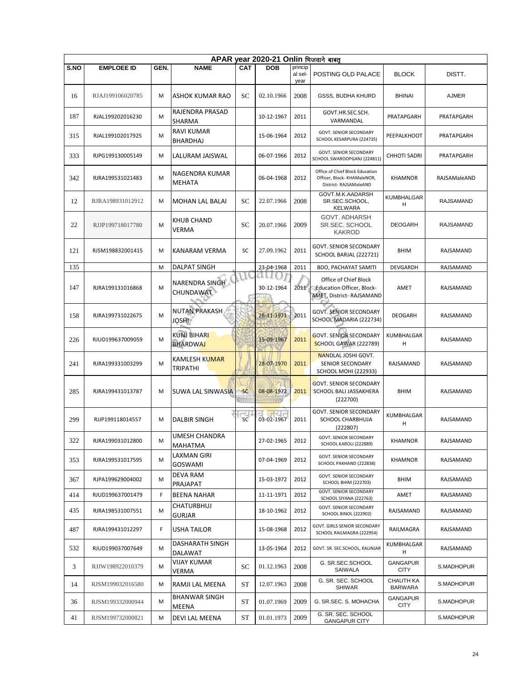|      | APAR year 2020-21 Onlin भिजवाने बाबत् |      |                                              |                      |                   |                            |                                                                                         |                                |                  |  |  |  |  |
|------|---------------------------------------|------|----------------------------------------------|----------------------|-------------------|----------------------------|-----------------------------------------------------------------------------------------|--------------------------------|------------------|--|--|--|--|
| S.NO | <b>EMPLOEE ID</b>                     | GEN. | <b>NAME</b>                                  | <b>CAT</b>           | <b>DOB</b>        | princip<br>al sel-<br>year | POSTING OLD PALACE                                                                      | <b>BLOCK</b>                   | DISTT.           |  |  |  |  |
| 16   | RJAJ199106020785                      | M    | <b>ASHOK KUMAR RAO</b>                       | SC                   | 02.10.1966        | 2008                       | GSSS, BUDHA KHURD                                                                       | <b>BHINAI</b>                  | <b>AJMER</b>     |  |  |  |  |
| 187  | RJAL199202016230                      | м    | RAJENDRA PRASAD<br>SHARMA                    |                      | 10-12-1967        | 2011                       | GOVT.HR.SEC.SCH.<br>VARMANDAL                                                           | PRATAPGARH                     | PRATAPGARH       |  |  |  |  |
| 315  | RJAL199102017925                      | M    | RAVI KUMAR<br><b>BHARDHAJ</b>                |                      | 15-06-1964        | 2012                       | GOVT. SENIOR SECONDARY<br>SCHOOL KESARPURA (224735)                                     | PEEPALKHOOT                    | PRATAPGARH       |  |  |  |  |
| 333  | RJPG199130005149                      | M    | LALURAM JAISWAL                              |                      | 06-07-1966        | 2012                       | <b>GOVT. SENIOR SECONDARY</b><br>SCHOOL SWAROOPGANJ (224811)                            | <b>CHHOTI SADRI</b>            | PRATAPGARH       |  |  |  |  |
| 342  | RJRA199531021483                      | M    | NAGENDRA KUMAR<br><b>MEHATA</b>              |                      | 06-04-1968        | 2012                       | Office of Chief Block Education<br>Officer, Block- KHAMaleNOR,<br>District-RAJSAMaleAND | <b>KHAMNOR</b>                 | RAJSAMaleAND     |  |  |  |  |
| 12   | RJRA198931012912                      | M    | MOHAN LAL BALAI                              | SC                   | 22.07.1966        | 2008                       | GOVT.M.K.AADARSH<br>SR.SEC.SCHOOL,<br><b>KELWARA</b>                                    | <b>KUMBHALGAR</b><br>н         | RAJSAMAND        |  |  |  |  |
| 22   | RJJP199718017780                      | M    | KHUB CHAND<br>VERMA                          | SC                   | 20.07.1966        | 2009                       | GOVT. ADHARSH<br>SR.SEC. SCHOOL<br><b>KAKROD</b>                                        | <b>DEOGARH</b>                 | RAJSAMAND        |  |  |  |  |
| 121  | RJSM198832001415                      | M    | <b>KANARAM VERMA</b>                         | SC                   | 27.09.1962        | 2011                       | GOVT. SENIOR SECONDARY<br>SCHOOL BARJAL (222721)                                        | <b>BHIM</b>                    | <b>RAJSAMAND</b> |  |  |  |  |
| 135  |                                       | M    | DALPAT SINGH                                 |                      | 23-04-1968        | 2011                       | <b>BDO, PACHAYAT SAMITI</b>                                                             | <b>DEVGARDH</b>                | RAJSAMAND        |  |  |  |  |
| 147  | RJRA199131016868                      | M    | NARENDRA SINGH<br><b>CHUNDAWAT</b>           |                      | a t<br>30-12-1964 | 2011                       | Office of Chief Block<br><b>Education Officer, Block-</b><br>AMET, District- RAJSAMAND  | AMET                           | RAJSAMAND        |  |  |  |  |
| 158  | RJRA199731022675                      | M    | <b>NUTAN PRAKASH</b><br>JOSHI <sup>1</sup>   |                      | 28-11-1971        | 2011                       | <b>GOVT. SENIOR SECONDARY</b><br>SCHOOL MADARIA (222734)                                | <b>DEOGARH</b>                 | RAJSAMAND        |  |  |  |  |
| 226  | RJUD199637009059                      | M    | KUNJ BIHAR <mark>I</mark><br><b>BHARDWAJ</b> |                      | 15-09-1967        | 2011                       | <b>GOVT. SENIOR SECONDARY</b><br><b>SCHOOL GAWAR (222789)</b>                           | KUMBHALGAR<br>н                | RAJSAMAND        |  |  |  |  |
| 241  | RJRA199331003299                      | M    | KAMLESH KUMAR<br>TRIPATHI                    |                      | 28-07-1970        | 2011                       | <b>NANDLAL JOSHI GOVT.</b><br>SENIOR SECONDARY<br><b>SCHOOL MOHI (222933)</b>           | RAJSAMAND                      | RAJSAMAND        |  |  |  |  |
| 285  | RJRA199431013787                      | M    | SUWA LAL SINWASIA                            | <b>SC</b>            | 08-08-1972        | 2011                       | <b>GOVT. SENIOR SECONDARY</b><br><b>SCHOOL BALI JASSAKHERA</b><br>(222700)              | <b>BHIM</b>                    | RAJSAMAND        |  |  |  |  |
| 299  | RJJP199118014557                      | M    | <b>DALBIR SINGH</b>                          | $\frac{1}{\sqrt{2}}$ | 03-02-1967        | 2011                       | <b>GOVT. SENIOR SECONDARY</b><br>SCHOOL CHARBHUJA<br>(222807)                           | KUMBHALGAR<br>H                | <b>RAJSAMAND</b> |  |  |  |  |
| 322  | RJRA199031012800                      | м    | UMESH CHANDRA<br>MAHATMA                     |                      | 27-02-1965        | 2012                       | <b>GOVT. SENIOR SECONDARY</b><br>SCHOOL KAROLI (222889)                                 | KHAMNOR                        | RAJSAMAND        |  |  |  |  |
| 353  | RJRA199531017595                      | M    | LAXMAN GIRI<br><b>GOSWAMI</b>                |                      | 07-04-1969        | 2012                       | <b>GOVT. SENIOR SECONDARY</b><br>SCHOOL PAKHAND (222838)                                | KHAMNOR                        | RAJSAMAND        |  |  |  |  |
| 367  | RJPA199629004002                      | M    | DEVA RAM<br>PRAJAPAT                         |                      | 15-03-1972        | 2012                       | GOVT. SENIOR SECONDARY<br><b>SCHOOL BHIM (222703)</b>                                   | <b>BHIM</b>                    | RAJSAMAND        |  |  |  |  |
| 414  | RJUD199637001479                      | F    | BEENA NAHAR                                  |                      | 11-11-1971        | 2012                       | <b>GOVT. SENIOR SECONDARY</b><br>SCHOOL SIYANA (222763)                                 | AMET                           | RAJSAMAND        |  |  |  |  |
| 435  | RJRA198531007551                      | M    | CHATURBHUJ<br><b>GURJAR</b>                  |                      | 18-10-1962        | 2012                       | GOVT. SENIOR SECONDARY<br>SCHOOL BINOL (222902)                                         | RAJSAMAND                      | RAJSAMAND        |  |  |  |  |
| 487  | RJRA199431012297                      | F    | USHA TAILOR                                  |                      | 15-08-1968        | 2012                       | GOVT. GIRLS SENIOR SECONDARY<br>SCHOOL RAILMAGRA (222954)                               | RAILMAGRA                      | RAJSAMAND        |  |  |  |  |
| 532  | RJUD199037007649                      | M    | DASHARATH SINGH<br>DALAWAT                   |                      | 13-05-1964        | 2012                       | GOVT. SR. SEC.SCHOOL, KALINJAR                                                          | KUMBHALGAR<br>H                | RAJSAMAND        |  |  |  |  |
| 3    | RJJW198922010379                      | M    | VIJAY KUMAR<br>VERMA                         | SC                   | 01.12.1963        | 2008                       | G. SR.SEC.SCHOOL<br>SAIWALA                                                             | <b>GANGAPUR</b><br><b>CITY</b> | S.MADHOPUR       |  |  |  |  |
| 14   | RJSM199032016580                      | M    | RAMJI LAL MEENA                              | ST                   | 12.07.1963        | 2008                       | G. SR. SEC. SCHOOL<br><b>SHIWAR</b>                                                     | CHAUTH KA<br><b>BARWARA</b>    | S.MADHOPUR       |  |  |  |  |
| 36   | RJSM199332000944                      | М    | <b>BHANWAR SINGH</b><br>MEENA                | ST                   | 01.07.1969        | 2009                       | G. SR.SEC. S. MOHACHA                                                                   | GANGAPUR<br><b>CITY</b>        | S.MADHOPUR       |  |  |  |  |
| 41   | RJSM199732000821                      | м    | DEVI LAL MEENA                               | ST                   | 01.01.1973        | 2009                       | G. SR. SEC. SCHOOL<br><b>GANGAPUR CITY</b>                                              |                                | S.MADHOPUR       |  |  |  |  |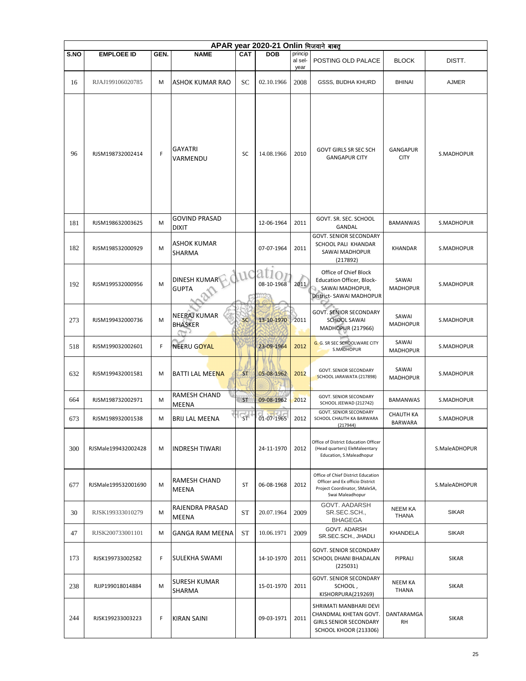|      | APAR year 2020-21 Onlin भिजवाने बाबत् |      |                                       |                        |            |                            |                                                                                                                            |                                |               |  |  |  |
|------|---------------------------------------|------|---------------------------------------|------------------------|------------|----------------------------|----------------------------------------------------------------------------------------------------------------------------|--------------------------------|---------------|--|--|--|
| S.NO | <b>EMPLOEE ID</b>                     | GEN. | <b>NAME</b>                           | CAT                    | <b>DOB</b> | princip<br>al sel-<br>year | POSTING OLD PALACE                                                                                                         | <b>BLOCK</b>                   | DISTT.        |  |  |  |
| 16   | RJAJ199106020785                      | M    | ASHOK KUMAR RAO                       | SC                     | 02.10.1966 | 2008                       | GSSS, BUDHA KHURD                                                                                                          | <b>BHINAI</b>                  | <b>AJMER</b>  |  |  |  |
| 96   | RJSM198732002414                      | F    | <b>GAYATRI</b><br>VARMENDU            | SC                     | 14.08.1966 | 2010                       | GOVT GIRLS SR SEC SCH<br><b>GANGAPUR CITY</b>                                                                              | <b>GANGAPUR</b><br><b>CITY</b> | S.MADHOPUR    |  |  |  |
| 181  | RJSM198632003625                      | M    | <b>GOVIND PRASAD</b><br><b>DIXIT</b>  |                        | 12-06-1964 | 2011                       | GOVT. SR. SEC. SCHOOL<br>GANDAL                                                                                            | <b>BAMANWAS</b>                | S.MADHOPUR    |  |  |  |
| 182  | RJSM198532000929                      | M    | ASHOK KUMAR<br><b>SHARMA</b>          |                        | 07-07-1964 | 2011                       | <b>GOVT. SENIOR SECONDARY</b><br>SCHOOL PALI KHANDAR<br>SAWAI MADHOPUR<br>(217892)                                         | KHANDAR                        | S.MADHOPUR    |  |  |  |
| 192  | RJSM199532000956                      | M    | <b>DINESH KUMAR</b><br><b>GUPTA</b>   | UC                     | 08-10-1968 | 2011                       | Office of Chief Block<br>Education Officer, Block-<br>SAWAI MADHOPUR,<br>District- SAWAI MADHOPUR                          | SAWAI<br><b>MADHOPUR</b>       | S.MADHOPUR    |  |  |  |
| 273  | RJSM199432000736                      | M    | <b>NEERAJ KUMAR</b><br><b>BHASKER</b> | <b>SC</b>              | 13-10-1970 | 2011                       | <b>GOVT. SENIOR SECONDARY</b><br><b>SCHOOL SAWAI</b><br><b>MADHOPUR (217966)</b>                                           | SAWAI<br><b>MADHOPUR</b>       | S.MADHOPUR    |  |  |  |
| 518  | RJSM199032002601                      | F    | NEERU GOYAL                           |                        | 23-09-1964 | 2012                       | G. G. SR SEC SCHOOLWARE CITY<br>S.MADHOPUR                                                                                 | SAWAI<br><b>MADHOPUR</b>       | S.MADHOPUR    |  |  |  |
| 632  | RJSM199432001581                      | M    | <b>BATTI LAL MEENA</b>                | <b>ST</b>              | 05-08-1962 | 2012                       | <b>GOVT. SENIOR SECONDARY</b><br>SCHOOL JARAWATA (217898)                                                                  | SAWAI<br><b>MADHOPUR</b>       | S.MADHOPUR    |  |  |  |
| 664  | RJSM198732002971                      | M    | RAMESH CHAND<br>MEENA                 | <b>ST</b>              | 09-08-1962 | 2012                       | GOVT. SENIOR SECONDARY<br>SCHOOL JEEWAD (212742)                                                                           | <b>BAMANWAS</b>                | S.MADHOPUR    |  |  |  |
| 673  | RJSM198932001538                      | M    | BRIJ LAL MEENA                        | $\overline{\text{ST}}$ | 01-07-1965 | 2012                       | GOVT. SENIOR SECONDARY<br>SCHOOL CHAUTH KA BARWARA<br>(217944)                                                             | <b>CHAUTH KA</b><br>BARWARA    | S.MADHOPUR    |  |  |  |
| 300  | RJSMale199432002428                   | M    | <b>INDRESH TIWARI</b>                 |                        | 24-11-1970 | 2012                       | Office of District Education Officer<br>(Head quarters) EleMaleentary<br>Education, S.Maleadhopur                          |                                | S.MaleADHOPUR |  |  |  |
| 677  | RJSMale199532001690                   | M    | RAMESH CHAND<br>MEENA                 | <b>ST</b>              | 06-08-1968 | 2012                       | Office of Chief District Education<br>Officer and Ex officio District<br>Project Coordinator, SMaleSA,<br>Swai Maleadhopur |                                | S.MaleADHOPUR |  |  |  |
| 30   | RJSK199333010279                      | M    | RAJENDRA PRASAD<br>MEENA              | ST                     | 20.07.1964 | 2009                       | GOVT. AADARSH<br>SR.SEC.SCH<br><b>BHAGEGA</b>                                                                              | <b>NEEM KA</b><br><b>THANA</b> | <b>SIKAR</b>  |  |  |  |
| 47   | RJSK200733001101                      | M    | <b>GANGA RAM MEENA</b>                | ST                     | 10.06.1971 | 2009                       | GOVT. ADARSH<br>SR.SEC.SCH., JHADLI                                                                                        | KHANDELA                       | <b>SIKAR</b>  |  |  |  |
| 173  | RJSK199733002582                      | F    | SULEKHA SWAMI                         |                        | 14-10-1970 | 2011                       | <b>GOVT. SENIOR SECONDARY</b><br>SCHOOL DHANI BHADALAN<br>(225031)                                                         | PIPRALI                        | <b>SIKAR</b>  |  |  |  |
| 238  | RJJP199018014884                      | M    | <b>SURESH KUMAR</b><br>SHARMA         |                        | 15-01-1970 | 2011                       | <b>GOVT. SENIOR SECONDARY</b><br>SCHOOL,<br>KISHORPURA(219269)                                                             | <b>NEEM KA</b><br>THANA        | <b>SIKAR</b>  |  |  |  |
| 244  | RJSK199233003223                      | F    | <b>KIRAN SAINI</b>                    |                        | 09-03-1971 | 2011                       | SHRIMATI MANBHARI DEVI<br>CHANDMAL KHETAN GOVT.<br><b>GIRLS SENIOR SECONDARY</b><br><b>SCHOOL KHOOR (213306)</b>           | DANTARAMGA<br>RH               | <b>SIKAR</b>  |  |  |  |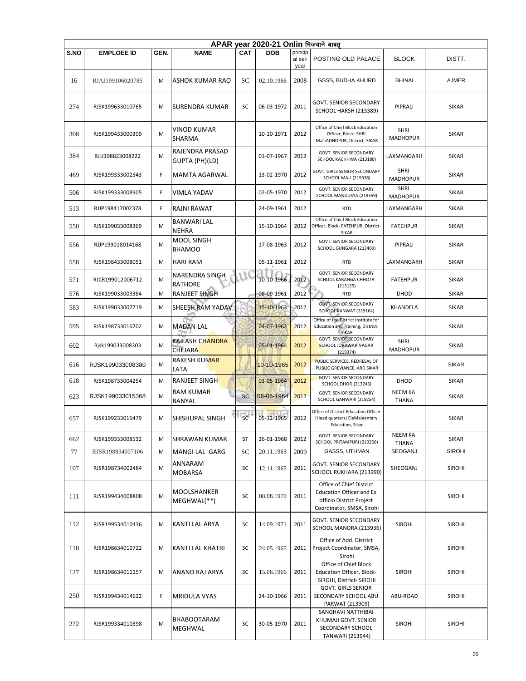|      | APAR year 2020-21 Onlin भिजवाने बाबत् |      |                                    |                        |            |                            |                                                                                                                      |                                |               |  |  |  |
|------|---------------------------------------|------|------------------------------------|------------------------|------------|----------------------------|----------------------------------------------------------------------------------------------------------------------|--------------------------------|---------------|--|--|--|
| S.NO | <b>EMPLOEE ID</b>                     | GEN. | <b>NAME</b>                        | <b>CAT</b>             | <b>DOB</b> | princip<br>al sel-<br>year | POSTING OLD PALACE                                                                                                   | <b>BLOCK</b>                   | DISTT.        |  |  |  |
| 16   | RJAJ199106020785                      | M    | ASHOK KUMAR RAO                    | SC                     | 02.10.1966 | 2008                       | GSSS, BUDHA KHURD                                                                                                    | <b>BHINAI</b>                  | <b>AJMER</b>  |  |  |  |
| 274  | RJSK199633010765                      | M    | SURENDRA KUMAR                     | SC                     | 06-03-1972 | 2011                       | <b>GOVT. SENIOR SECONDARY</b><br>SCHOOL HARSH (213389)                                                               | PIPRALI                        | <b>SIKAR</b>  |  |  |  |
| 308  | RJSK199433000309                      | M    | VINOD KUMAR<br>SHARMA              |                        | 10-10-1971 | 2012                       | Office of Chief Block Education<br>Officer, Block- SHRI<br>MaleADHOPUR, District- SIKAR                              | SHRI<br><b>MADHOPUR</b>        | <b>SIKAR</b>  |  |  |  |
| 384  | RJJJ198823008222                      | M    | RAJENDRA PRASAD<br>GUPTA (PH)(LD)  |                        | 01-07-1967 | 2012                       | GOVT. SENIOR SECONDARY<br>SCHOOL KACHHWA (213180)                                                                    | LAXMANGARH                     | SIKAR         |  |  |  |
| 469  | RJSK199333002543                      | F    | MAMTA AGARWAL                      |                        | 13-02-1970 | 2012                       | GOVT. GIRLS SENIOR SECONDARY<br>SCHOOL MAU (219338)                                                                  | <b>SHRI</b><br><b>MADHOPUR</b> | <b>SIKAR</b>  |  |  |  |
| 506  | RJSK199333008905                      | F    | <b>VIMLA YADAV</b>                 |                        | 02-05-1970 | 2012                       | GOVT. SENIOR SECONDARY<br>SCHOOL MANDUSYA (219359)                                                                   | <b>SHRI</b><br><b>MADHOPUR</b> | <b>SIKAR</b>  |  |  |  |
| 513  | RJJP198417002378                      | F    | RAJNI RAWAT                        |                        | 24-09-1961 | 2012                       | <b>RTD</b>                                                                                                           | LAXMANGARH                     | <b>SIKAR</b>  |  |  |  |
| 550  | RJSK199033008369                      | м    | <b>BANWARI LAL</b><br><b>NEHRA</b> |                        | 15-10-1964 | 2012                       | Office of Chief Block Education<br>Officer, Block- FATEHPUR, District-<br><b>SIKAR</b>                               | <b>FATEHPUR</b>                | SIKAR         |  |  |  |
| 556  | RJJP199018014168                      | м    | MOOL SINGH<br><b>BHAMOO</b>        |                        | 17-08-1963 | 2012                       | GOVT. SENIOR SECONDARY<br>SCHOOL GUNGARA (213409)                                                                    | PIPRALI                        | <b>SIKAR</b>  |  |  |  |
| 558  | RJSK198433008051                      | M    | <b>HARI RAM</b>                    |                        | 05-11-1961 | 2012                       | <b>RTD</b>                                                                                                           | LAXMANGARH                     | <b>SIKAR</b>  |  |  |  |
| 571  | RJCR199012006712                      | M    | NARENDRA SINGH<br>RATHORE          |                        | 10-10-1966 | 2012                       | GOVT. SENIOR SECONDARY<br>SCHOOL KARANGA CHHOTA<br>(213125)                                                          | <b>FATEHPUR</b>                | <b>SIKAR</b>  |  |  |  |
| 576  | RJSK199033009384                      | M    | <b>RANJEET SINGH</b>               |                        | 08-09-1961 | 2012                       | <b>RTD</b>                                                                                                           | DHOD                           | <b>SIKAR</b>  |  |  |  |
| 583  | RJSK199033007719                      | M    | SHEESH RAM YADAV                   |                        | 15-10-1963 | 2012                       | <b>GOVT: SENIOR SECONDARY</b><br>SCHOOL KANWAT (219164)                                                              | KHANDELA                       | <b>SIKAR</b>  |  |  |  |
| 595  | RJSK198733016702                      | м    | <b>MADAN LAL</b>                   |                        | 04-07-1962 | 2012                       | Office of the District Institute for<br>Education and Training, District-<br>SIKAR                                   |                                | <b>SIKAR</b>  |  |  |  |
| 602  | Rjsk199033008303                      | м    | KAILASH CHANDRA<br><b>CHEJARA</b>  |                        | 05-01-1964 | 2012                       | <b>GOVT. SENIOR SECONDARY</b><br>SCHOOL JORAWAR NAGAR<br>(219374)                                                    | <b>SHRI</b><br><b>MADHOPUR</b> | SIKAR         |  |  |  |
| 616  | RJSK199033008380                      | M    | RAKESH KUMAR<br>LATA               |                        | 10-10-1965 | 2012                       | PUBLIC SERVICES, REDRESAL OF<br>PUBLIC GREVIANCE, ARD SIKAR                                                          |                                | <b>SIKAR</b>  |  |  |  |
| 618  | RJSK198733004254                      | M    | <b>RANJEET SINGH</b>               |                        | 03-05-1964 | 2012                       | GOVT. SENIOR SECONDARY                                                                                               | DHOD                           | <b>SIKAR</b>  |  |  |  |
| 623  | RJSK199033015368                      | м    | <b>RAM KUMAR</b>                   | <b>SC</b>              | 06-06-1964 | 2012                       | <b>SCHOOL DHOD (213246)</b><br>GOVT. SENIOR SECONDARY<br>SCHOOL GANWARI (219254)                                     | NEEM KA                        | <b>SIKAR</b>  |  |  |  |
| 657  | RJSK199233015479                      | M    | BANYAL<br><b>SHISHUPAL SINGH</b>   | $\overline{\text{sc}}$ | 05-12-1965 | 2012                       | Office of District Education Officer<br>(Head quarters) EleMaleentary<br>Education, Sikar                            | <b>THANA</b>                   | <b>SIKAR</b>  |  |  |  |
| 662  | RJSK199333008532                      | M    | <b>SHRAWAN KUMAR</b>               | ST                     | 26-01-1968 | 2012                       | <b>GOVT. SENIOR SECONDARY</b><br>SCHOOL PRITAMPURI (219258)                                                          | <b>NEEM KA</b><br><b>THANA</b> | <b>SIKAR</b>  |  |  |  |
| 77   | RJSR198834007106                      | M    | MANGI LAL GARG                     | SC                     | 20.11.1963 | 2009                       | GASSS, UTHMAN                                                                                                        | SEOGANJ                        | <b>SIROHI</b> |  |  |  |
| 107  | RJSR198734002484                      | M    | ANNARAM<br><b>MOBARSA</b>          | SC                     | 12.11.1965 | 2011                       | GOVT. SENIOR SECONDARY<br>SCHOOL RUKHARA (213990)                                                                    | SHEOGANJ                       | <b>SIROHI</b> |  |  |  |
| 111  | RJSR199434008808                      | M    | MOOLSHANKER<br>MEGHWAL(**)         | SC                     | 08.08.1970 | 2011                       | Office of Chief District<br><b>Education Officer and Ex</b><br>officio District Project<br>Coordinator, SMSA, Sirohi |                                | <b>SIROHI</b> |  |  |  |
| 112  | RJSR199534010436                      | M    | KANTI LAL ARYA                     | SC                     | 14.09.1971 | 2011                       | GOVT. SENIOR SECONDARY<br>SCHOOL MANORA (213936)                                                                     | <b>SIROHI</b>                  | <b>SIROHI</b> |  |  |  |
| 118  | RJSR198634010722                      | M    | KANTI LAL KHATRI                   | SC                     | 24.05.1965 | 2011                       | Office of Add. District<br>Project Coordinator, SMSA,<br>Sirohi                                                      |                                | <b>SIROHI</b> |  |  |  |
| 127  | RJSR198634011157                      | M    | ANAND RAJ ARYA                     | SC                     | 15.06.1966 | 2011                       | Office of Chief Block<br>Education Officer, Block-<br>SIROHI, District- SIROHI                                       | <b>SIROHI</b>                  | <b>SIROHI</b> |  |  |  |
| 250  | RJSR199434014622                      | F    | MRIDULA VYAS                       |                        | 24-10-1966 | 2011                       | <b>GOVT. GIRLS SENIOR</b><br>SECONDARY SCHOOL ABU<br>PARWAT (213909)                                                 | ABU-ROAD                       | <b>SIROHI</b> |  |  |  |
| 272  | RJSR199334010398                      | M    | <b>BHABOOTARAM</b><br>MEGHWAL      | SC                     | 30-05-1970 | 2011                       | SANGHAVI NATTHIBAI<br>KHUMAJI GOVT. SENIOR<br>SECONDARY SCHOOL<br>TANWARI (213944)                                   | <b>SIROHI</b>                  | <b>SIROHI</b> |  |  |  |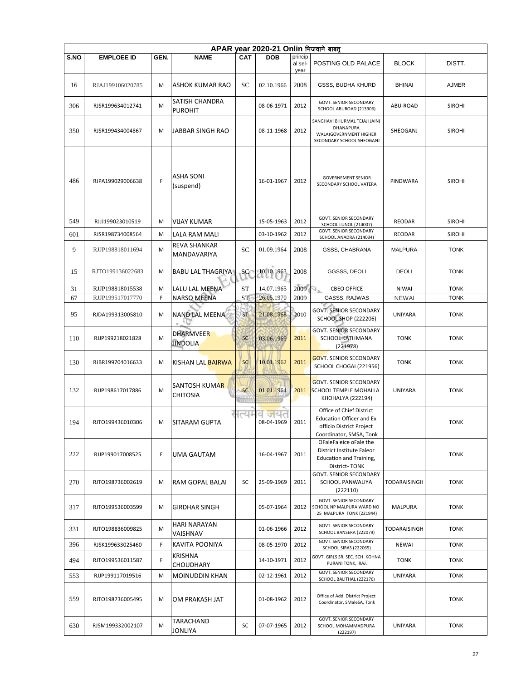|      | APAR year 2020-21 Onlin भिजवाने बाबतू |      |                                         |                 |                   |                            |                                                                                                                    |                |               |  |  |  |
|------|---------------------------------------|------|-----------------------------------------|-----------------|-------------------|----------------------------|--------------------------------------------------------------------------------------------------------------------|----------------|---------------|--|--|--|
| S.NO | <b>EMPLOEE ID</b>                     | GEN. | <b>NAME</b>                             | <b>CAT</b>      | <b>DOB</b>        | princip<br>al sel-<br>year | POSTING OLD PALACE                                                                                                 | <b>BLOCK</b>   | DISTT.        |  |  |  |
| 16   | RJAJ199106020785                      | м    | ASHOK KUMAR RAO                         | <b>SC</b>       | 02.10.1966        | 2008                       | <b>GSSS, BUDHA KHURD</b>                                                                                           | <b>BHINAI</b>  | <b>AJMER</b>  |  |  |  |
| 306  | RJSR199634012741                      | M    | <b>SATISH CHANDRA</b><br><b>PUROHIT</b> |                 | 08-06-1971        | 2012                       | GOVT. SENIOR SECONDARY<br>SCHOOL ABUROAD (213906)                                                                  | ABU-ROAD       | <b>SIROHI</b> |  |  |  |
| 350  | RJSR199434004867                      | M    | JABBAR SINGH RAO                        |                 | 08-11-1968        | 2012                       | SANGHAVI BHURMAL TEJAJI JAIN(<br>DHANAPURA<br>WALA)GOVERNMENT HIGHER<br>SECONDARY SCHOOL SHEOGANJ                  | SHEOGANJ       | <b>SIROHI</b> |  |  |  |
| 486  | RJPA199029006638                      | F    | <b>ASHA SONI</b><br>(suspend)           |                 | 16-01-1967        | 2012                       | <b>GOVERNEMENT SENIOR</b><br>SECONDARY SCHOOL VATERA                                                               | PINDWARA       | <b>SIROHI</b> |  |  |  |
| 549  | RJJJ199023010519                      | M    | <b>VIJAY KUMAR</b>                      |                 | 15-05-1963        | 2012                       | <b>GOVT. SENIOR SECONDARY</b><br>SCHOOL LUNOL (214007)                                                             | <b>REODAR</b>  | <b>SIROHI</b> |  |  |  |
| 601  | RJSR198734008564                      | M    | LALA RAM MALI                           |                 | 03-10-1962        | 2012                       | GOVT. SENIOR SECONDARY<br>SCHOOL ANADRA (214034)                                                                   | REODAR         | <b>SIROHI</b> |  |  |  |
| 9    | RJJP198818011694                      | М    | <b>REVA SHANKAR</b><br>MANDAVARIYA      | SC              | 01.09.1964        | 2008                       | <b>GSSS, CHABRANA</b>                                                                                              | <b>MALPURA</b> | <b>TONK</b>   |  |  |  |
| 15   | RJTO199136022683                      | М    | <b>BABU LAL THAGRIYA</b>                | SC⁄             | 10.10.1963        | 2008                       | GGSSS, DEOLI                                                                                                       | DEOLI          | <b>TONK</b>   |  |  |  |
| 31   | RJJP198818015538                      | M    | LALU LAL MEENA                          | ST              | 14.07.1965        | 2009                       | <b>CBEO OFFICE</b>                                                                                                 | <b>NIWAI</b>   | <b>TONK</b>   |  |  |  |
| 67   | RJJP199517017770                      | F    | <b>NARSO MEENA</b>                      | ST              | 26.05.1970        | 2009                       | GASSS, RAJWAS                                                                                                      | <b>NEWAI</b>   | <b>TONK</b>   |  |  |  |
| 95   | RJDA199313005810                      | М    | NAND LAL MEENA                          | ST <sub>1</sub> | 21.08.1968        | 2010                       | <b>GOVT. SENIOR SECONDARY</b><br><b>SCHOOL SHOP (222206)</b>                                                       | UNIYARA        | <b>TONK</b>   |  |  |  |
| 110  | RJJP199218021828                      | M    | <b>DHARMVEER</b><br><b>JINDOLIA</b>     | SC              | 03.06.1969        | 2011                       | <b>GOVT. SENIOR SECONDARY</b><br>SCHOOL KATHMANA<br>(221978)                                                       | <b>TONK</b>    | <b>TONK</b>   |  |  |  |
| 130  | RJBR199704016633                      | M    | KISHAN LAL BAIRWA                       | <b>SC</b>       | 10.01.1962        | 2011                       | <b>GOVT. SENIOR SECONDARY</b><br>SCHOOL CHOGAI (221956)                                                            | <b>TONK</b>    | TONK          |  |  |  |
| 132  | RJJP198617017886                      | M    | <b>SANTOSH KUMAR</b><br><b>CHITOSIA</b> | <b>SC</b>       | 01.01.1964        | 2011                       | <b>GOVT. SENIOR SECONDARY</b><br><b>SCHOOL TEMPLE MOHALLA</b><br>KHOHALYA (222194)                                 | <b>UNIYARA</b> | <b>TONK</b>   |  |  |  |
| 194  | RJTO199436010306                      | М    | <b>SITARAM GUPTA</b>                    | त्या            | जयत<br>08-04-1969 | 2011                       | Office of Chief District<br><b>Education Officer and Ex</b><br>officio District Project<br>Coordinator, SMSA, Tonk |                | <b>TONK</b>   |  |  |  |
| 222  | RJJP199017008525                      | F    | <b>UMA GAUTAM</b>                       |                 | 16-04-1967        | 2011                       | OFaleFaleice oFale the<br>District Institute Faleor<br><b>Education and Training,</b><br>District-TONK             |                | <b>TONK</b>   |  |  |  |
| 270  | RJTO198736002619                      | М    | RAM GOPAL BALAI                         | SC              | 25-09-1969        | 2011                       | GOVT. SENIOR SECONDARY<br>SCHOOL PANWALIYA<br>(222110)                                                             | TODARAISINGH   | <b>TONK</b>   |  |  |  |
| 317  | RJTO199536003599                      | М    | <b>GIRDHAR SINGH</b>                    |                 | 05-07-1964        | 2012                       | <b>GOVT. SENIOR SECONDARY</b><br>SCHOOL NP MALPURA WARD NO<br>25 MALPURA TONK (221944)                             | <b>MALPURA</b> | TONK          |  |  |  |
| 331  | RJTO198836009825                      | м    | HARI NARAYAN<br>VAISHNAV                |                 | 01-06-1966        | 2012                       | <b>GOVT. SENIOR SECONDARY</b><br>SCHOOL BANSERA (222079)                                                           | TODARAISINGH   | <b>TONK</b>   |  |  |  |
| 396  | RJSK199633025460                      | F    | KAVITA POONIYA                          |                 | 08-05-1970        | 2012                       | GOVT. SENIOR SECONDARY<br>SCHOOL SIRAS (222065)                                                                    | <b>NEWAI</b>   | <b>TONK</b>   |  |  |  |
| 494  | RJTO199536011587                      | F    | KRISHNA<br><b>CHOUDHARY</b>             |                 | 14-10-1971        | 2012                       | GOVT. GIRLS SR. SEC. SCH. KOHNA<br>PURANI TONK, RAJ.                                                               | <b>TONK</b>    | <b>TONK</b>   |  |  |  |
| 553  | RJJP199117019516                      | М    | MOINUDDIN KHAN                          |                 | 02-12-1961        | 2012                       | GOVT. SENIOR SECONDARY<br>SCHOOL BALITHAL (222176)                                                                 | UNIYARA        | <b>TONK</b>   |  |  |  |
| 559  | RJTO198736005495                      | М    | OM PRAKASH JAT                          |                 | 01-08-1962        | 2012                       | Office of Add. District Project<br>Coordinator, SMaleSA, Tonk                                                      |                | <b>TONK</b>   |  |  |  |
| 630  | RJSM199332002107                      | м    | TARACHAND<br>JONLIYA                    | SC              | 07-07-1965        | 2012                       | GOVT. SENIOR SECONDARY<br>SCHOOL MOHAMMADPURA<br>(222197)                                                          | UNIYARA        | TONK          |  |  |  |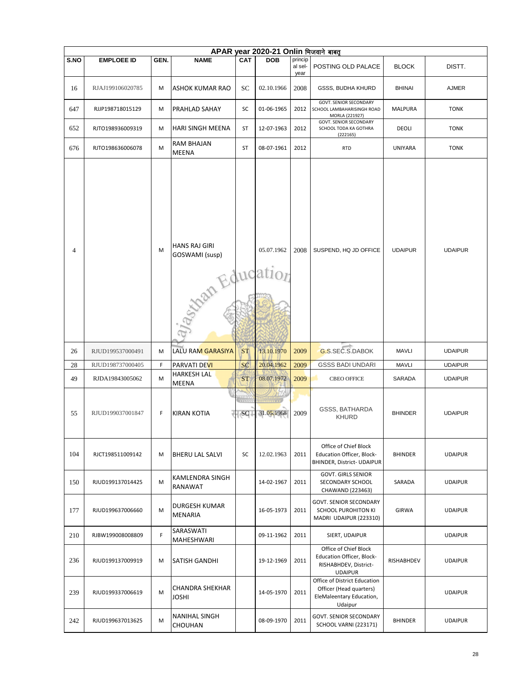|             | APAR year 2020-21 Onlin भिजवाने बाबत् |        |                                                           |                        |                          |                            |                                                                                                      |                        |                                  |  |  |  |  |
|-------------|---------------------------------------|--------|-----------------------------------------------------------|------------------------|--------------------------|----------------------------|------------------------------------------------------------------------------------------------------|------------------------|----------------------------------|--|--|--|--|
| <b>S.NO</b> | <b>EMPLOEE ID</b>                     | GEN.   | <b>NAME</b>                                               | <b>CAT</b>             | <b>DOB</b>               | princip<br>al sel-<br>year | POSTING OLD PALACE                                                                                   | <b>BLOCK</b>           | DISTT.                           |  |  |  |  |
| 16          | RJAJ199106020785                      | М      | <b>ASHOK KUMAR RAO</b>                                    | SС                     | 02.10.1966               | 2008                       | GSSS, BUDHA KHURD                                                                                    | <b>BHINAI</b>          | <b>AJMER</b>                     |  |  |  |  |
| 647         | RJJP198718015129                      | М      | PRAHLAD SAHAY                                             | SC                     | 01-06-1965               | 2012                       | GOVT. SENIOR SECONDARY<br>SCHOOL LAMBAHARISINGH ROAD<br>MORLA (221927)                               | <b>MALPURA</b>         | <b>TONK</b>                      |  |  |  |  |
| 652         | RJTO198936009319                      | М      | <b>HARI SINGH MEENA</b>                                   | ST                     | 12-07-1963               | 2012                       | GOVT. SENIOR SECONDARY<br>SCHOOL TODA KA GOTHRA<br>(222165)                                          | DEOLI                  | <b>TONK</b>                      |  |  |  |  |
| 676         | RJTO198636006078                      | M      | RAM BHAJAN<br><b>MEENA</b>                                | <b>ST</b>              | 08-07-1961               | 2012                       | <b>RTD</b>                                                                                           | UNIYARA                | <b>TONK</b>                      |  |  |  |  |
| 4           |                                       | M      | <b>HANS RAJ GIRI</b><br>GOSWAMI (susp)<br>Stran Education |                        | 05.07.1962               | 2008                       | SUSPEND, HQ JD OFFICE                                                                                | <b>UDAIPUR</b>         | <b>UDAIPUR</b>                   |  |  |  |  |
| 26          | RJUD199537000491                      | М      | LALU RAM GARASIYA                                         | <b>ST</b>              | 13.10.1970               | 2009                       | G.S.SEC.S.DABOK                                                                                      | <b>MAVLI</b>           | <b>UDAIPUR</b>                   |  |  |  |  |
|             |                                       |        |                                                           |                        |                          |                            |                                                                                                      |                        |                                  |  |  |  |  |
| 28<br>49    | RJUD198737000405<br>RJDA19843005062   | F<br>M | PARVATI DE <mark>VI</mark><br>HARKESH LAL                 | <b>SC</b><br><b>ST</b> | 20.04.1962<br>08.07.1972 | 2009<br>2009               | <b>GSSS BADI UNDARI</b><br><b>CBEO OFFICE</b>                                                        | <b>MAVLI</b><br>SARADA | <b>UDAIPUR</b><br><b>UDAIPUR</b> |  |  |  |  |
| 55          | RJUD199037001847                      | F      | <b>MEENA</b><br><b>KIRAN KOTIA</b>                        | ande<br>SC             | 31.05.1968               | 2009                       | GSSS, BATHARDA<br><b>KHURD</b>                                                                       | <b>BHINDER</b>         | <b>UDAIPUR</b>                   |  |  |  |  |
| 104         | RJCT198511009142                      | M      | <b>BHERU LAL SALVI</b>                                    | SC                     | 12.02.1963               | 2011                       | Office of Chief Block<br><b>Education Officer, Block-</b><br>BHINDER, District- UDAIPUR              | <b>BHINDER</b>         | <b>UDAIPUR</b>                   |  |  |  |  |
| 150         | RJUD199137014425                      | M      | KAMLENDRA SINGH<br>RANAWAT                                |                        | 14-02-1967               | 2011                       | <b>GOVT. GIRLS SENIOR</b><br>SECONDARY SCHOOL<br>CHAWAND (223463)                                    | SARADA                 | <b>UDAIPUR</b>                   |  |  |  |  |
| 177         | RJUD199637006660                      | M      | <b>DURGESH KUMAR</b><br><b>MENARIA</b>                    |                        | 16-05-1973               | 2011                       | <b>GOVT. SENIOR SECONDARY</b><br>SCHOOL PUROHITON KI<br>MADRI UDAIPUR (223310)                       | <b>GIRWA</b>           | <b>UDAIPUR</b>                   |  |  |  |  |
| 210         | RJBW199008008809                      | F      | SARASWATI<br>MAHESHWARI                                   |                        | 09-11-1962               | 2011                       | SIERT, UDAIPUR                                                                                       |                        | <b>UDAIPUR</b>                   |  |  |  |  |
| 236         | RJUD199137009919                      | M      | <b>SATISH GANDHI</b>                                      |                        | 19-12-1969               | 2011                       | Office of Chief Block<br><b>Education Officer, Block-</b><br>RISHABHDEV, District-<br><b>UDAIPUR</b> | RISHABHDEV             | <b>UDAIPUR</b>                   |  |  |  |  |
| 239         | RJUD199337006619                      | M      | <b>CHANDRA SHEKHAR</b><br><b>JOSHI</b>                    |                        | 14-05-1970               | 2011                       | Office of District Education<br>Officer (Head quarters)<br>EleMaleentary Education,<br>Udaipur       |                        | <b>UDAIPUR</b>                   |  |  |  |  |
| 242         | RJUD199637013625                      | M      | <b>NANIHAL SINGH</b><br>CHOUHAN                           |                        | 08-09-1970               | 2011                       | <b>GOVT. SENIOR SECONDARY</b><br><b>SCHOOL VARNI (223171)</b>                                        | <b>BHINDER</b>         | <b>UDAIPUR</b>                   |  |  |  |  |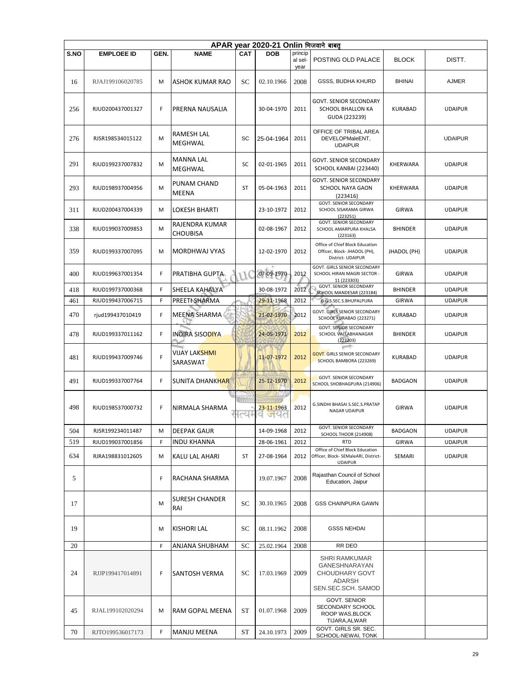|      | APAR year 2020-21 Onlin भिजवाने बाबत |      |                                   |            |                   |                            |                                                                                           |                |                |  |  |  |
|------|--------------------------------------|------|-----------------------------------|------------|-------------------|----------------------------|-------------------------------------------------------------------------------------------|----------------|----------------|--|--|--|
| S.NO | <b>EMPLOEE ID</b>                    | GEN. | <b>NAME</b>                       | <b>CAT</b> | <b>DOB</b>        | princip<br>al sel-<br>year | POSTING OLD PALACE                                                                        | <b>BLOCK</b>   | DISTT.         |  |  |  |
| 16   | RJAJ199106020785                     | M    | ASHOK KUMAR RAO                   | SC         | 02.10.1966        | 2008                       | <b>GSSS, BUDHA KHURD</b>                                                                  | <b>BHINAI</b>  | <b>AJMER</b>   |  |  |  |
| 256  | RJUD200437001327                     | F    | PRERNA NAUSALIA                   |            | 30-04-1970        | 2011                       | <b>GOVT. SENIOR SECONDARY</b><br>SCHOOL BHALLON KA<br>GUDA (223239)                       | <b>KURABAD</b> | <b>UDAIPUR</b> |  |  |  |
| 276  | RJSR198534015122                     | M    | <b>RAMESH LAL</b><br>MEGHWAL      | SC         | 25-04-1964        | 2011                       | OFFICE OF TRIBAL AREA<br>DEVELOPMaleENT,<br><b>UDAIPUR</b>                                |                | <b>UDAIPUR</b> |  |  |  |
| 291  | RJUD199237007832                     | M    | <b>MANNA LAL</b><br>MEGHWAL       | SC         | 02-01-1965        | 2011                       | GOVT. SENIOR SECONDARY<br>SCHOOL KANBAI (223440)                                          | KHERWARA       | <b>UDAIPUR</b> |  |  |  |
| 293  | RJUD198937004956                     | M    | <b>PUNAM CHAND</b><br>MEENA       | <b>ST</b>  | 05-04-1963        | 2011                       | <b>GOVT. SENIOR SECONDARY</b><br><b>SCHOOL NAYA GAON</b><br>(223416)                      | KHERWARA       | <b>UDAIPUR</b> |  |  |  |
| 311  | RJUD200437004339                     | M    | <b>LOKESH BHARTI</b>              |            | 23-10-1972        | 2012                       | <b>GOVT. SENIOR SECONDARY</b><br>SCHOOL SISARAMA GIRWA<br>(223251)                        | <b>GIRWA</b>   | <b>UDAIPUR</b> |  |  |  |
| 338  | RJUD199037009853                     | M    | RAJENDRA KUMAR<br><b>CHOUBISA</b> |            | 02-08-1967        | 2012                       | <b>GOVT. SENIOR SECONDARY</b><br>SCHOOL AMARPURA KHALSA<br>(223163)                       | <b>BHINDER</b> | <b>UDAIPUR</b> |  |  |  |
| 359  | RJUD199337007095                     | M    | MORDHWAJ VYAS                     |            | 12-02-1970        | 2012                       | Office of Chief Block Education<br>Officer, Block- JHADOL (PH),<br>District- UDAIPUR      | JHADOL (PH)    | <b>UDAIPUR</b> |  |  |  |
| 400  | RJUD199637001354                     | F.   | PRATIBHA GUPTA                    |            | 07-09-1970        | 2012                       | GOVT. GIRLS SENIOR SECONDARY<br>SCHOOL HIRAN MAGRI SECTOR -<br>11 (223303)                | <b>GIRWA</b>   | <b>UDAIPUR</b> |  |  |  |
| 418  | RJUD199737000368                     | F.   | SHEELA KAHALYA                    |            | 30-08-1972        | 2012                       | <b>GOVT. SENIOR SECONDARY</b><br>SCHOOL MANDESAR (223184)                                 | <b>BHINDER</b> | <b>UDAIPUR</b> |  |  |  |
| 461  | RJUD199437006715                     | F    | <b>PREETI SHARMA</b>              |            | 29-11-1968        | 2012                       | G.G.S.SEC.S.BHUPALPURA                                                                    | <b>GIRWA</b>   | <b>UDAIPUR</b> |  |  |  |
| 470  | rjud199437010419                     | F.   | <b>MEENA SHARMA</b>               |            | 21-02-1970        | 2012                       | GOVT. GIRLS SENIOR SECONDARY<br>SCHOOL KURABAD (223271)                                   | <b>KURABAD</b> | <b>UDAIPUR</b> |  |  |  |
| 478  | RJUD199337011162                     | F.   | <b>INDIRA SISODIYA</b>            |            | 24-05-1971        | 2012                       | <b>GOVT. SENIOR SECONDARY</b><br>SCHOOL VALLABHANAGAR<br>(223203)                         | BHINDER        | <b>UDAIPUR</b> |  |  |  |
| 481  | RJUD199437009746                     | F    | VIJAY LAKSHMI<br>SARASWAT         |            | 11-07-1972        | 2012                       | <b>GOVT. GIRLS SENIOR SECONDARY</b><br>SCHOOL BAMBORA (223269)                            | <b>KURABAD</b> | <b>UDAIPUR</b> |  |  |  |
| 491  | RJUD199337007764                     | F.   | <b>SUNITA DHANKHAR</b>            |            | 25-12-1970        | 2012                       | <b>GOVT. SENIOR SECONDARY</b><br>SCHOOL SHOBHAGPURA (214906)                              | <b>BADGAON</b> | <b>UDAIPUR</b> |  |  |  |
| 498  | RJUD198537000732                     | F.   | NIRMALA SHARMA                    | त्यः       | 23-11-1963<br>जयत | 2012                       | G.SINDHI BHASAI S.SEC.S.PRATAP<br>NAGAR UDAIPUR                                           | GIRWA          | <b>UDAIPUR</b> |  |  |  |
| 504  | RJSR199234011487                     | M    | <b>DEEPAK GAUR</b>                |            | 14-09-1968        | 2012                       | <b>GOVT. SENIOR SECONDARY</b><br>SCHOOL THOOR (214908)                                    | <b>BADGAON</b> | <b>UDAIPUR</b> |  |  |  |
| 519  | RJUD199037001856                     | F    | <b>INDU KHANNA</b>                |            | 28-06-1961        | 2012                       | <b>RTD</b>                                                                                | <b>GIRWA</b>   | <b>UDAIPUR</b> |  |  |  |
| 634  | RJRA198831012605                     | М    | KALU LAL AHARI                    | ST         | 27-08-1964        | 2012                       | Office of Chief Block Education<br>Officer, Block- SEMaleARI, District-<br><b>UDAIPUR</b> | SEMARI         | <b>UDAIPUR</b> |  |  |  |
| 5    |                                      | F    | RACHANA SHARMA                    |            | 19.07.1967        | 2008                       | Rajasthan Council of School<br>Education, Jaipur                                          |                |                |  |  |  |
| 17   |                                      | M    | <b>SURESH CHANDER</b><br>RAI      | SC         | 30.10.1965        | 2008                       | <b>GSS CHAINPURA GAWN</b>                                                                 |                |                |  |  |  |
| 19   |                                      | M    | <b>KISHORI LAL</b>                | SC         | 08.11.1962        | 2008                       | <b>GSSS NEHDAI</b>                                                                        |                |                |  |  |  |
| 20   |                                      | F    | ANJANA SHUBHAM                    | SC         | 25.02.1964        | 2008                       | RR DEO                                                                                    |                |                |  |  |  |
| 24   | RJJP199417014891                     | F    | SANTOSH VERMA                     | SС         | 17.03.1969        | 2009                       | <b>SHRI RAMKUMAR</b><br>GANESHNARAYAN<br>CHOUDHARY GOVT<br>ADARSH<br>SEN.SEC.SCH. SAMOD   |                |                |  |  |  |
| 45   | RJAL199102020294                     | M    | RAM GOPAL MEENA                   | <b>ST</b>  | 01.07.1968        | 2009                       | <b>GOVT. SENIOR</b><br>SECONDARY SCHOOL<br>ROOP WAS, BLOCK<br>TIJARA, ALWAR               |                |                |  |  |  |
| 70   | RJTO199536017173                     | F    | MANJU MEENA                       | <b>ST</b>  | 24.10.1973        | 2009                       | GOVT. GIRLS SR. SEC.<br>SCHOOL-NEWAI, TONK                                                |                |                |  |  |  |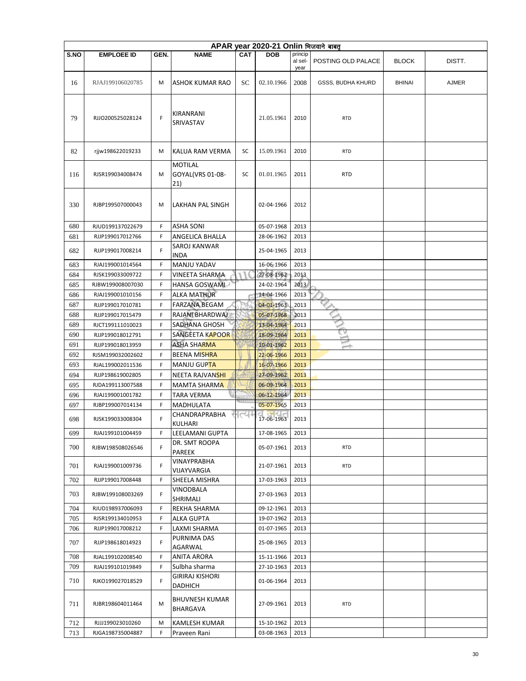|      | APAR year 2020-21 Onlin भिजवाने बाबत् |        |                               |            |                          |                 |                    |               |        |  |  |  |
|------|---------------------------------------|--------|-------------------------------|------------|--------------------------|-----------------|--------------------|---------------|--------|--|--|--|
| S.NO | <b>EMPLOEE ID</b>                     | GEN.   | <b>NAME</b>                   | <b>CAT</b> | <b>DOB</b>               | princip         |                    |               |        |  |  |  |
|      |                                       |        |                               |            |                          | al sel-<br>year | POSTING OLD PALACE | <b>BLOCK</b>  | DISTT. |  |  |  |
|      |                                       |        |                               |            |                          |                 |                    |               |        |  |  |  |
| 16   | RJAJ199106020785                      | M      | <b>ASHOK KUMAR RAO</b>        | SС         | 02.10.1966               | 2008            | GSSS, BUDHA KHURD  | <b>BHINAI</b> | AJMER  |  |  |  |
|      |                                       |        |                               |            |                          |                 |                    |               |        |  |  |  |
|      |                                       |        |                               |            |                          |                 |                    |               |        |  |  |  |
| 79   | RJJO200525028124                      | F      | KIRANRANI                     |            | 21.05.1961               | 2010            | <b>RTD</b>         |               |        |  |  |  |
|      |                                       |        | SRIVASTAV                     |            |                          |                 |                    |               |        |  |  |  |
|      |                                       |        |                               |            |                          |                 |                    |               |        |  |  |  |
|      |                                       |        |                               |            |                          |                 |                    |               |        |  |  |  |
| 82   | rjjw198622019233                      | М      | KALUA RAM VERMA               | SC         | 15.09.1961               | 2010            | <b>RTD</b>         |               |        |  |  |  |
|      |                                       |        | <b>MOTILAL</b>                |            |                          |                 |                    |               |        |  |  |  |
| 116  | RJSR199034008474                      | M      | GOYAL(VRS 01-08-              | SC         | 01.01.1965               | 2011            | <b>RTD</b>         |               |        |  |  |  |
|      |                                       |        | 21)                           |            |                          |                 |                    |               |        |  |  |  |
|      |                                       |        |                               |            |                          |                 |                    |               |        |  |  |  |
| 330  | RJBP199507000043                      | M      | LAKHAN PAL SINGH              |            | 02-04-1966               | 2012            |                    |               |        |  |  |  |
|      |                                       |        |                               |            |                          |                 |                    |               |        |  |  |  |
| 680  | RJUD199137022679                      | F      | <b>ASHA SONI</b>              |            | 05-07-1968               | 2013            |                    |               |        |  |  |  |
| 681  | RJJP199017012766                      | F      | <b>ANGELICA BHALLA</b>        |            | 28-06-1962               | 2013            |                    |               |        |  |  |  |
| 682  | RJJP199017008214                      | F      | SAROJ KANWAR                  |            | 25-04-1965               | 2013            |                    |               |        |  |  |  |
|      |                                       |        | <b>INDA</b>                   |            |                          |                 |                    |               |        |  |  |  |
| 683  | RJAJ199001014564                      | F      | <b>MANJU YADAV</b>            |            | 16-06-1966               | 2013            |                    |               |        |  |  |  |
| 684  | RJSK199033009722                      | F      | VINEETA SHARMA                |            | 27-08-1962               | 2013            |                    |               |        |  |  |  |
| 685  | RJBW199008007030                      | F      | <b>HANSA GOSWAML</b>          |            | 24-02-1964               | 2013            |                    |               |        |  |  |  |
| 686  | RJAJ199001010156                      | F      | <b>ALKA MATHUR</b>            |            | 14-04-1966               | 2013            |                    |               |        |  |  |  |
| 687  | RJJP199017010781                      | F      | <b>FARZANA BEGAM</b>          |            | 04-01-1963               | 2013            |                    |               |        |  |  |  |
| 688  | RJJP199017015479                      | F      | RAJANDBHARDWAJ                |            | 05-07-1968               | 2013            |                    |               |        |  |  |  |
| 689  | RJCT199111010023                      | F      | SADHANA GHOSH                 |            | 13-04-1964               | 2013            |                    |               |        |  |  |  |
| 690  | RJJP199018012791                      | F      | SANGEETA KAPOOR               |            | 18-09-1964               | 2013            |                    |               |        |  |  |  |
| 691  | RJJP199018013959                      | F      | <b>ASHA SHARMA</b>            |            | 10-01-1962               | 2013            | $\rightarrow$      |               |        |  |  |  |
| 692  | RJSM199032002602                      | F      | <b>BEENA MISHRA</b>           |            | 22-06-1966               | 2013            |                    |               |        |  |  |  |
| 693  | RJAL199002011536                      | F      | <b>MANJU GUPTA</b>            |            | 16-07-1966               | 2013            |                    |               |        |  |  |  |
| 694  | RJJP198619002805                      | F      | NEETA RAJVAN <mark>SHI</mark> |            | 27-09-1962               | 2013            |                    |               |        |  |  |  |
| 695  | RJDA199113007588                      | F      | <b>MAMTA SHARMA</b>           |            | 06-09-1964               | 2013            |                    |               |        |  |  |  |
| 696  | RJAJ199001001782                      | F<br>F | TARA VERMA                    |            | 06-12-1964<br>05-07-1965 | 2013<br>2013    |                    |               |        |  |  |  |
| 697  | RJBP199007014134                      |        | MADHULATA<br>CHANDRAPRABHA    | $\sim$     |                          |                 |                    |               |        |  |  |  |
| 698  | RJSK199033008304                      | F      | KULHARI                       |            | 17-06-1963               | 2013            |                    |               |        |  |  |  |
| 699  | RJAJ199101004459                      | F      | LEELAMANI GUPTA               |            | 17-08-1965               | 2013            |                    |               |        |  |  |  |
|      |                                       |        | DR. SMT ROOPA                 |            |                          |                 |                    |               |        |  |  |  |
| 700  | RJBW198508026546                      | F      | PAREEK                        |            | 05-07-1961               | 2013            | <b>RTD</b>         |               |        |  |  |  |
| 701  | RJAJ199001009736                      | F      | VINAYPRABHA                   |            | 21-07-1961               | 2013            | <b>RTD</b>         |               |        |  |  |  |
|      |                                       |        | VIJAYVARGIA                   |            |                          |                 |                    |               |        |  |  |  |
| 702  | RJJP199017008448                      | F      | SHEELA MISHRA                 |            | 17-03-1963               | 2013            |                    |               |        |  |  |  |
| 703  | RJBW199108003269                      | F      | VINODBALA                     |            | 27-03-1963               | 2013            |                    |               |        |  |  |  |
|      |                                       |        | SHRIMALI                      |            |                          |                 |                    |               |        |  |  |  |
| 704  | RJUD198937006093                      | F      | REKHA SHARMA                  |            | 09-12-1961               | 2013            |                    |               |        |  |  |  |
| 705  | RJSR199134010953                      | F      | ALKA GUPTA                    |            | 19-07-1962               | 2013            |                    |               |        |  |  |  |
| 706  | RJJP199017008212                      | F      | LAXMI SHARMA                  |            | 01-07-1965               | 2013            |                    |               |        |  |  |  |
| 707  | RJJP198618014923                      | F      | PURNIMA DAS                   |            | 25-08-1965               | 2013            |                    |               |        |  |  |  |
| 708  | RJAL199102008540                      | F      | AGARWAL<br>ANITA ARORA        |            | 15-11-1966               | 2013            |                    |               |        |  |  |  |
| 709  | RJAJ199101019849                      | F      | Sulbha sharma                 |            | 27-10-1963               | 2013            |                    |               |        |  |  |  |
|      |                                       |        | GIRIRAJ KISHORI               |            |                          |                 |                    |               |        |  |  |  |
| 710  | RJKO199027018529                      | F      | DADHICH                       |            | 01-06-1964               | 2013            |                    |               |        |  |  |  |
|      |                                       |        |                               |            |                          |                 |                    |               |        |  |  |  |
| 711  | RJBR198604011464                      | M      | <b>BHUVNESH KUMAR</b>         |            | 27-09-1961               | 2013            | <b>RTD</b>         |               |        |  |  |  |
|      |                                       |        | BHARGAVA                      |            |                          |                 |                    |               |        |  |  |  |
| 712  | RJJJ199023010260                      | М      | KAMLESH KUMAR                 |            | 15-10-1962               | 2013            |                    |               |        |  |  |  |
| 713  | RJGA198735004887                      | F      | Praveen Rani                  |            | 03-08-1963               | 2013            |                    |               |        |  |  |  |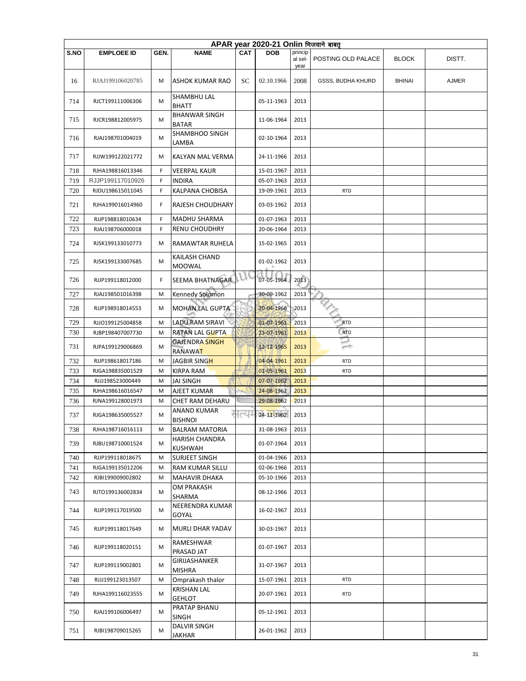|      | APAR year 2020-21 Onlin भिजवाने बाबत् |      |                                       |            |            |                 |                          |               |        |  |  |  |
|------|---------------------------------------|------|---------------------------------------|------------|------------|-----------------|--------------------------|---------------|--------|--|--|--|
| S.NO | <b>EMPLOEE ID</b>                     | GEN. | <b>NAME</b>                           | <b>CAT</b> | <b>DOB</b> | princip         |                          |               |        |  |  |  |
|      |                                       |      |                                       |            |            | al sel-<br>year | POSTING OLD PALACE       | <b>BLOCK</b>  | DISTT. |  |  |  |
| 16   | RJAJ199106020785                      | M    | <b>ASHOK KUMAR RAO</b>                | SС         | 02.10.1966 | 2008            | <b>GSSS, BUDHA KHURD</b> | <b>BHINAI</b> | AJMER  |  |  |  |
| 714  | RJCT199111006306                      | М    | <b>SHAMBHU LAL</b><br><b>BHATT</b>    |            | 05-11-1963 | 2013            |                          |               |        |  |  |  |
| 715  | RJCR198812005975                      | M    | <b>BHANWAR SINGH</b><br><b>BATAR</b>  |            | 11-06-1964 | 2013            |                          |               |        |  |  |  |
| 716  | RJAJ198701004019                      | M    | <b>SHAMBHOO SINGH</b><br>LAMBA        |            | 02-10-1964 | 2013            |                          |               |        |  |  |  |
| 717  | RJJW199122021772                      | М    | KALYAN MAL VERMA                      |            | 24-11-1966 | 2013            |                          |               |        |  |  |  |
| 718  | RJHA198816013346                      | F    | <b>VEERPAL KAUR</b>                   |            | 15-01-1967 | 2013            |                          |               |        |  |  |  |
| 719  | RJJP199117010926                      | F    | <b>INDIRA</b>                         |            | 05-07-1963 | 2013            |                          |               |        |  |  |  |
| 720  | RJDU198615011045                      | F    | KALPANA CHOBISA                       |            | 19-09-1961 | 2013            | <b>RTD</b>               |               |        |  |  |  |
| 721  | RJHA199016014960                      | F    | RAJESH CHOUDHARY                      |            | 03-03-1962 | 2013            |                          |               |        |  |  |  |
| 722  | RJJP198818010634                      | F    | MADHU SHARMA                          |            | 01-07-1963 | 2013            |                          |               |        |  |  |  |
| 723  | RJAJ198706000018                      | F    | <b>RENU CHOUDHRY</b>                  |            | 20-06-1964 | 2013            |                          |               |        |  |  |  |
| 724  | RJSK199133010773                      | M    | RAMAWTAR RUHELA                       |            | 15-02-1965 | 2013            |                          |               |        |  |  |  |
| 725  | RJSK199133007685                      | M    | <b>KAILASH CHAND</b><br><b>MOOWAL</b> |            | 01-02-1962 | 2013            |                          |               |        |  |  |  |
| 726  | RJJP199118012000                      | F    | SEEMA BHATNAGAR                       |            | 07-05-1964 | 2013            |                          |               |        |  |  |  |
| 727  | RJAJ198501016398                      | М    | Kennedy Solomon                       |            | 30-09-1962 | 2013            |                          |               |        |  |  |  |
| 728  | RJJP198918014553                      | M    | MOHAN LAL GUPTA                       |            | 20-04-1966 | 2013            |                          |               |        |  |  |  |
| 729  | RJJO199125004858                      | M    | <b>LADU RAM SIRAVI</b>                |            | 01-07-1961 | 2013            | <b>RTD</b>               |               |        |  |  |  |
| 730  | RJBP198407007730                      | М    | RATAN LAL GUPTA                       |            | 23-07-1961 | 2013            | RTD                      |               |        |  |  |  |
| 731  | RJPA199129006869                      | M    | <b>GAJENDRA SINGH</b><br>RANAWAT      |            | 12-12-1965 | 2013            | $\rightarrow$            |               |        |  |  |  |
| 732  | RJJP198618017186                      | M    | JAGBIR SINGH                          |            | 04-04-1961 | 2013            | <b>RTD</b>               |               |        |  |  |  |
| 733  | RJGA198835001529                      | M    | <b>KIRPA RAM</b>                      |            | 01-05-1961 | 2013            | <b>RTD</b>               |               |        |  |  |  |
| 734  | RJJJ198523000449                      | M    | <b>JAI SINGH</b>                      |            | 07-07-1962 | 2013            |                          |               |        |  |  |  |
| 735  | RJHA198616016547                      | M    | AJEET KUMAR                           |            | 24-08-1962 | 2013            |                          |               |        |  |  |  |
| 736  | RJNA199128001973                      | M    | CHET RAM DEHARU                       | $\cdots$   | 29-08-1962 | 2013            |                          |               |        |  |  |  |
| 737  | RJGA198635005527                      | М    | <b>ANAND KUMAR</b><br><b>BISHNOI</b>  | त्य        | 24-11-1962 | 2013            |                          |               |        |  |  |  |
| 738  | RJHA198716016113                      | M    | <b>BALRAM MATORIA</b>                 |            | 31-08-1963 | 2013            |                          |               |        |  |  |  |
| 739  | RJBU198710001524                      | м    | HARISH CHANDRA<br><b>KUSHWAH</b>      |            | 01-07-1964 | 2013            |                          |               |        |  |  |  |
| 740  | RJJP199118018675                      | M    | SURJEET SINGH                         |            | 01-04-1966 | 2013            |                          |               |        |  |  |  |
| 741  | RJGA199135012206                      | M    | RAM KUMAR SILLU                       |            | 02-06-1966 | 2013            |                          |               |        |  |  |  |
| 742  | RJBI199009002802                      | М    | <b>MAHAVIR DHAKA</b>                  |            | 05-10-1966 | 2013            |                          |               |        |  |  |  |
| 743  | RJTO199136002834                      | М    | OM PRAKASH<br>SHARMA                  |            | 08-12-1966 | 2013            |                          |               |        |  |  |  |
| 744  | RJJP199117019500                      | М    | NEERENDRA KUMAR<br>GOYAL              |            | 16-02-1967 | 2013            |                          |               |        |  |  |  |
| 745  | RJJP199118017649                      | М    | MURLI DHAR YADAV                      |            | 30-03-1967 | 2013            |                          |               |        |  |  |  |
| 746  | RJJP199118020151                      | М    | RAMESHWAR<br>PRASAD JAT               |            | 01-07-1967 | 2013            |                          |               |        |  |  |  |
| 747  | RJJP199119002801                      | М    | GIRIJASHANKER<br>MISHRA               |            | 31-07-1967 | 2013            |                          |               |        |  |  |  |
| 748  | RJJJ199123013507                      | М    | Omprakash thalor                      |            | 15-07-1961 | 2013            | <b>RTD</b>               |               |        |  |  |  |
| 749  | RJHA199116023555                      | М    | <b>KRISHAN LAL</b>                    |            | 20-07-1961 | 2013            | <b>RTD</b>               |               |        |  |  |  |
|      |                                       |      | <b>GEHLOT</b>                         |            |            |                 |                          |               |        |  |  |  |
| 750  | RJAJ199106006497                      | М    | PRATAP BHANU<br><b>SINGH</b>          |            | 05-12-1961 | 2013            |                          |               |        |  |  |  |
| 751  | RJBI198709015265                      | М    | DALVIR SINGH<br>JAKHAR                |            | 26-01-1962 | 2013            |                          |               |        |  |  |  |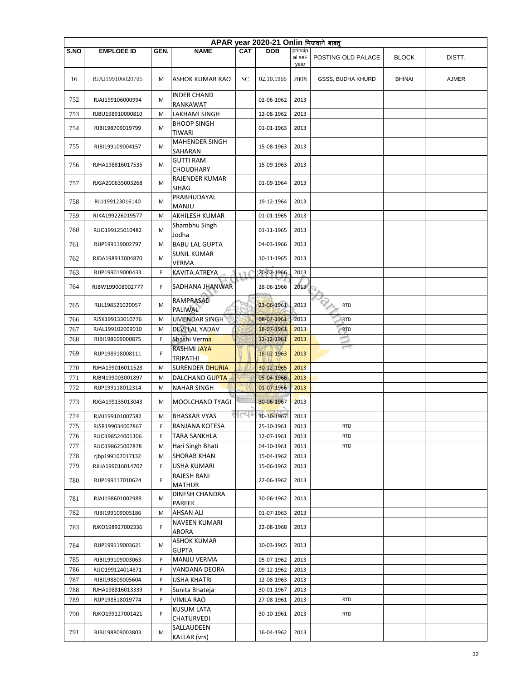|      | APAR year 2020-21 Onlin भिजवाने बाबत् |      |                                 |            |            |         |                          |               |        |  |  |  |
|------|---------------------------------------|------|---------------------------------|------------|------------|---------|--------------------------|---------------|--------|--|--|--|
| S.NO | <b>EMPLOEE ID</b>                     | GEN. | <b>NAME</b>                     | <b>CAT</b> | <b>DOB</b> | princip |                          |               |        |  |  |  |
|      |                                       |      |                                 |            |            | al sel- | POSTING OLD PALACE       | <b>BLOCK</b>  | DISTT. |  |  |  |
|      |                                       |      |                                 |            |            | year    |                          |               |        |  |  |  |
| 16   | RJAJ199106020785                      | M    | <b>ASHOK KUMAR RAO</b>          | SС         | 02.10.1966 | 2008    | GSSS, BUDHA KHURD        | <b>BHINAI</b> | AJMER  |  |  |  |
|      |                                       |      |                                 |            |            |         |                          |               |        |  |  |  |
| 752  | RJAJ199106000994                      | М    | <b>INDER CHAND</b>              |            | 02-06-1962 | 2013    |                          |               |        |  |  |  |
|      |                                       |      | RANKAWAT                        |            |            |         |                          |               |        |  |  |  |
| 753  | RJBU198910000810                      | M    | LAKHAMI SINGH                   |            | 12-08-1962 | 2013    |                          |               |        |  |  |  |
| 754  | RJBI198709019799                      | M    | <b>BHOOP SINGH</b><br>TIWARI    |            | 01-01-1963 | 2013    |                          |               |        |  |  |  |
|      |                                       |      | MAHENDER SINGH                  |            |            |         |                          |               |        |  |  |  |
| 755  | RJBI199109004157                      | М    | SAHARAN                         |            | 15-08-1963 | 2013    |                          |               |        |  |  |  |
|      |                                       |      | <b>GUTTI RAM</b>                |            |            |         |                          |               |        |  |  |  |
| 756  | RJHA198816017535                      | М    | <b>CHOUDHARY</b>                |            | 15-09-1963 | 2013    |                          |               |        |  |  |  |
|      |                                       |      | RAJENDER KUMAR                  |            |            |         |                          |               |        |  |  |  |
| 757  | RJGA200635003268                      | M    | <b>SIHAG</b>                    |            | 01-09-1964 | 2013    |                          |               |        |  |  |  |
| 758  | RJJJ199123016140                      | М    | PRABHUDAYAL                     |            | 19-12-1964 | 2013    |                          |               |        |  |  |  |
|      |                                       |      | MANJU                           |            |            |         |                          |               |        |  |  |  |
| 759  | RJKA199226019577                      | M    | AKHILESH KUMAR                  |            | 01-01-1965 | 2013    |                          |               |        |  |  |  |
| 760  | RJJO199125010482                      | M    | Shambhu Singh                   |            | 01-11-1965 | 2013    |                          |               |        |  |  |  |
|      |                                       |      | Jodha                           |            |            |         |                          |               |        |  |  |  |
| 761  | RJJP199119002797                      | M    | <b>BABU LAL GUPTA</b>           |            | 04-03-1966 | 2013    |                          |               |        |  |  |  |
| 762  | RJDA198913004870                      | М    | <b>SUNIL KUMAR</b>              |            | 10-11-1965 | 2013    |                          |               |        |  |  |  |
|      |                                       |      | VERMA                           |            |            |         |                          |               |        |  |  |  |
| 763  | RJJP199019000433                      | F    | KAVITA ATREYA                   | E a        | 20-02-1966 | 2013    |                          |               |        |  |  |  |
| 764  | RJBW199008002777                      | F    | SADHANA JHANWAR                 |            | 28-06-1966 | 2013    |                          |               |        |  |  |  |
|      |                                       |      | RAMPRASAD                       |            |            |         |                          |               |        |  |  |  |
| 765  | RJJL198521020057                      | М    | <b>PALIWAL</b>                  |            | 23-06-1961 | 2013    | <b>RTD</b>               |               |        |  |  |  |
| 766  | RJSK199133010776                      | M    | UMENDAR SINGH                   |            | 08-07-1961 | 2013    | <b>RTD</b>               |               |        |  |  |  |
| 767  | RJAL199102009010                      | M    | DEVI LAL YADAV                  |            | 18-07-1961 | 2013    | <b>RTD</b>               |               |        |  |  |  |
| 768  | RJBI198609000875                      | F    | Shashi Verma                    |            | 12-12-1961 | 2013    |                          |               |        |  |  |  |
|      |                                       |      | <b>RASHMI JAYA</b>              |            |            |         | $\overline{\phantom{0}}$ |               |        |  |  |  |
| 769  | RJJP198918008111                      | F    | <b>TRIPATHI</b>                 |            | 18-02-1963 | 2013    |                          |               |        |  |  |  |
| 770  | RJHA199016011528                      | M    | SURENDER DHURIA                 |            | 30-12-1965 | 2013    |                          |               |        |  |  |  |
| 771  | RJBN199003001897                      | М    | DALCHAND GUPTA                  |            | 05-04-1966 | 2013    |                          |               |        |  |  |  |
| 772  | RJJP199118012314                      | М    | NAHAR SINGH                     |            | 01-07-1966 | 2013    |                          |               |        |  |  |  |
|      |                                       |      |                                 |            |            |         |                          |               |        |  |  |  |
| 773  | RJGA199135013043                      | М    | MOOLCHAND TYAGI                 |            | 30-06-1967 | 2013    |                          |               |        |  |  |  |
| 774  | RJAJ199101007582                      | м    | <b>BHASKAR VYAS</b>             | ।⊂৭+       | 30-10-1967 | 2013    |                          |               |        |  |  |  |
| 775  | RJSR199034007867                      | F    | RANJANA KOTESA                  |            | 25-10-1961 | 2013    | <b>RTD</b>               |               |        |  |  |  |
| 776  | RJJO198524001306                      | F    | <b>TARA SANKHLA</b>             |            | 12-07-1961 | 2013    | <b>RTD</b>               |               |        |  |  |  |
| 777  | RJJO198625007878                      | M    | Hari Singh Bhati                |            | 04-10-1961 | 2013    | <b>RTD</b>               |               |        |  |  |  |
| 778  | rjbp199107017132                      | M    | <b>SHORAB KHAN</b>              |            | 15-04-1962 | 2013    |                          |               |        |  |  |  |
| 779  | RJHA199016014707                      | F    | USHA KUMARI                     |            | 15-06-1962 | 2013    |                          |               |        |  |  |  |
|      |                                       |      | RAJESH RANI                     |            |            |         |                          |               |        |  |  |  |
| 780  | RJJP199117010624                      | F    | <b>MATHUR</b>                   |            | 22-06-1962 | 2013    |                          |               |        |  |  |  |
| 781  | RJAJ198601002988                      | М    | DINESH CHANDRA                  |            | 30-06-1962 | 2013    |                          |               |        |  |  |  |
|      |                                       |      | PAREEK                          |            |            |         |                          |               |        |  |  |  |
| 782  | RJBI199109005186                      | М    | <b>AHSAN ALI</b>                |            | 01-07-1963 | 2013    |                          |               |        |  |  |  |
| 783  | RJKO198927002336                      | F    | <b>NAVEEN KUMARI</b>            |            | 22-08-1968 | 2013    |                          |               |        |  |  |  |
|      |                                       |      | ARORA                           |            |            |         |                          |               |        |  |  |  |
| 784  | RJJP199119003621                      | М    | <b>ASHOK KUMAR</b>              |            | 10-03-1965 | 2013    |                          |               |        |  |  |  |
|      |                                       |      | <b>GUPTA</b>                    |            |            |         |                          |               |        |  |  |  |
| 785  | RJBI199109003063                      | F    | <b>MANJU VERMA</b>              |            | 05-07-1962 | 2013    |                          |               |        |  |  |  |
| 786  | RJJO199124014871                      | F    | VANDANA DEORA                   |            | 09-12-1962 | 2013    |                          |               |        |  |  |  |
| 787  | RJBI198809005604                      | F    | USHA KHATRI                     |            | 12-08-1963 | 2013    |                          |               |        |  |  |  |
| 788  | RJHA198816013339                      | F    | Sunita Bhateja                  |            | 30-01-1967 | 2013    |                          |               |        |  |  |  |
| 789  | RJJP198518019774                      | F    | <b>VIMLA RAO</b>                |            | 27-08-1961 | 2013    | <b>RTD</b>               |               |        |  |  |  |
| 790  | RJKO199127001421                      | F    | <b>KUSUM LATA</b><br>CHATURVEDI |            | 30-10-1961 | 2013    | <b>RTD</b>               |               |        |  |  |  |
|      |                                       |      | SALLAUDEEN                      |            |            |         |                          |               |        |  |  |  |
| 791  | RJBI198809003803                      | M    | <b>KALLAR</b> (vrs)             |            | 16-04-1962 | 2013    |                          |               |        |  |  |  |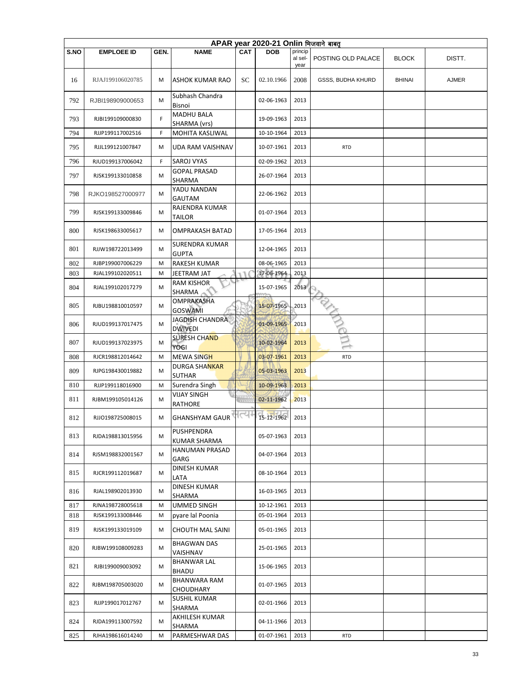|      | APAR year 2020-21 Onlin भिजवाने बाबत् |      |                                      |            |            |                    |                          |               |              |  |  |  |
|------|---------------------------------------|------|--------------------------------------|------------|------------|--------------------|--------------------------|---------------|--------------|--|--|--|
| S.NO | <b>EMPLOEE ID</b>                     | GEN. | <b>NAME</b>                          | <b>CAT</b> | <b>DOB</b> | princip<br>al sel- | POSTING OLD PALACE       | <b>BLOCK</b>  | DISTT.       |  |  |  |
| 16   | RJAJ199106020785                      | M    | <b>ASHOK KUMAR RAO</b>               | SС         | 02.10.1966 | year<br>2008       | <b>GSSS, BUDHA KHURD</b> | <b>BHINAI</b> | <b>AJMER</b> |  |  |  |
| 792  | RJBI198909000653                      | M    | Subhash Chandra<br>Bisnoi            |            | 02-06-1963 | 2013               |                          |               |              |  |  |  |
| 793  | RJBI199109000830                      | F    | <b>MADHU BALA</b><br>SHARMA (vrs)    |            | 19-09-1963 | 2013               |                          |               |              |  |  |  |
| 794  | RJJP199117002516                      | F    | MOHITA KASLIWAL                      |            | 10-10-1964 | 2013               |                          |               |              |  |  |  |
| 795  | RJJL199121007847                      | м    | UDA RAM VAISHNAV                     |            | 10-07-1961 | 2013               | <b>RTD</b>               |               |              |  |  |  |
| 796  | RJUD199137006042                      | F    | <b>SAROJ VYAS</b>                    |            | 02-09-1962 | 2013               |                          |               |              |  |  |  |
| 797  | RJSK199133010858                      | M    | <b>GOPAL PRASAD</b><br>SHARMA        |            | 26-07-1964 | 2013               |                          |               |              |  |  |  |
| 798  | RJKO198527000977                      | M    | YADU NANDAN<br><b>GAUTAM</b>         |            | 22-06-1962 | 2013               |                          |               |              |  |  |  |
| 799  | RJSK199133009846                      | M    | RAJENDRA KUMAR<br>TAILOR             |            | 01-07-1964 | 2013               |                          |               |              |  |  |  |
| 800  | RJSK198633005617                      | M    | <b>OMPRAKASH BATAD</b>               |            | 17-05-1964 | 2013               |                          |               |              |  |  |  |
| 801  | RJJW198722013499                      | м    | SURENDRA KUMAR<br><b>GUPTA</b>       |            | 12-04-1965 | 2013               |                          |               |              |  |  |  |
| 802  | RJBP199007006229                      | M    | <b>RAKESH KUMAR</b>                  |            | 08-06-1965 | 2013               |                          |               |              |  |  |  |
| 803  | RJAL199102020511                      | M    | JEETRAM JAT                          | ТT         | 17-06-1964 | 2013               |                          |               |              |  |  |  |
| 804  | RJAL199102017279                      | M    | <b>RAM KISHOR</b><br><b>SHARMA</b>   |            | 15-07-1965 | 2013               |                          |               |              |  |  |  |
| 805  | RJBU198810010597                      | м    | OMPRAKASHA<br><b>GOSWAMI</b>         |            | 15-07-1965 | 2013               |                          |               |              |  |  |  |
| 806  | RJUD199137017475                      | M    | JAGDISH CHANDRA<br><b>DWIVEDI</b>    |            | 01-09-1965 | 2013               |                          |               |              |  |  |  |
| 807  | RJUD199137023975                      | м    | <b>SURESH CHAND</b><br>YOGI          |            | 10-02-1964 | 2013               |                          |               |              |  |  |  |
| 808  | RJCR198812014642                      | M    | <b>MEWA SINGH</b>                    |            | 03-07-1961 | 2013               | <b>RTD</b>               |               |              |  |  |  |
| 809  | RJPG198430019882                      | м    | DURGA SHANKAR<br>SUTHAR              |            | 05-03-1963 | 2013               |                          |               |              |  |  |  |
| 810  | RJJP199118016900                      | M    | Surendra Singh                       |            | 10-09-1963 | 2013               |                          |               |              |  |  |  |
| 811  | RJBM199105014126                      | м    | <b>VIJAY SINGH</b><br><b>RATHORE</b> | 111111     | 02-11-1962 | 2013               |                          |               |              |  |  |  |
| 812  | RJJO198725008015                      | м    | <b>GHANSHYAM GAUR</b>                |            | 15-12-1962 | 2013               |                          |               |              |  |  |  |
| 813  | RJDA198813015956                      | м    | PUSHPENDRA<br>KUMAR SHARMA           |            | 05-07-1963 | 2013               |                          |               |              |  |  |  |
| 814  | RJSM198832001567                      | м    | HANUMAN PRASAD<br>GARG               |            | 04-07-1964 | 2013               |                          |               |              |  |  |  |
| 815  | RJCR199112019687                      | M    | DINESH KUMAR<br>LATA                 |            | 08-10-1964 | 2013               |                          |               |              |  |  |  |
| 816  | RJAL198902013930                      | M    | <b>DINESH KUMAR</b><br>SHARMA        |            | 16-03-1965 | 2013               |                          |               |              |  |  |  |
| 817  | RJNA198728005618                      | M    | UMMED SINGH                          |            | 10-12-1961 | 2013               |                          |               |              |  |  |  |
| 818  | RJSK199133008446                      | м    | pyare lal Poonia                     |            | 05-01-1964 | 2013               |                          |               |              |  |  |  |
| 819  | RJSK199133019109                      | M    | <b>CHOUTH MAL SAINI</b>              |            | 05-01-1965 | 2013               |                          |               |              |  |  |  |
| 820  | RJBW199108009283                      | M    | <b>BHAGWAN DAS</b><br>VAISHNAV       |            | 25-01-1965 | 2013               |                          |               |              |  |  |  |
| 821  | RJBI199009003092                      | м    | BHANWAR LAL<br><b>BHADU</b>          |            | 15-06-1965 | 2013               |                          |               |              |  |  |  |
| 822  | RJBM198705003020                      | М    | BHANWARA RAM<br>CHOUDHARY            |            | 01-07-1965 | 2013               |                          |               |              |  |  |  |
| 823  | RJJP199017012767                      | М    | SUSHIL KUMAR<br>SHARMA               |            | 02-01-1966 | 2013               |                          |               |              |  |  |  |
| 824  | RJDA199113007592                      | M    | AKHILESH KUMAR<br>SHARMA             |            | 04-11-1966 | 2013               |                          |               |              |  |  |  |
| 825  | RJHA198616014240                      | M    | PARMESHWAR DAS                       |            | 01-07-1961 | 2013               | <b>RTD</b>               |               |              |  |  |  |